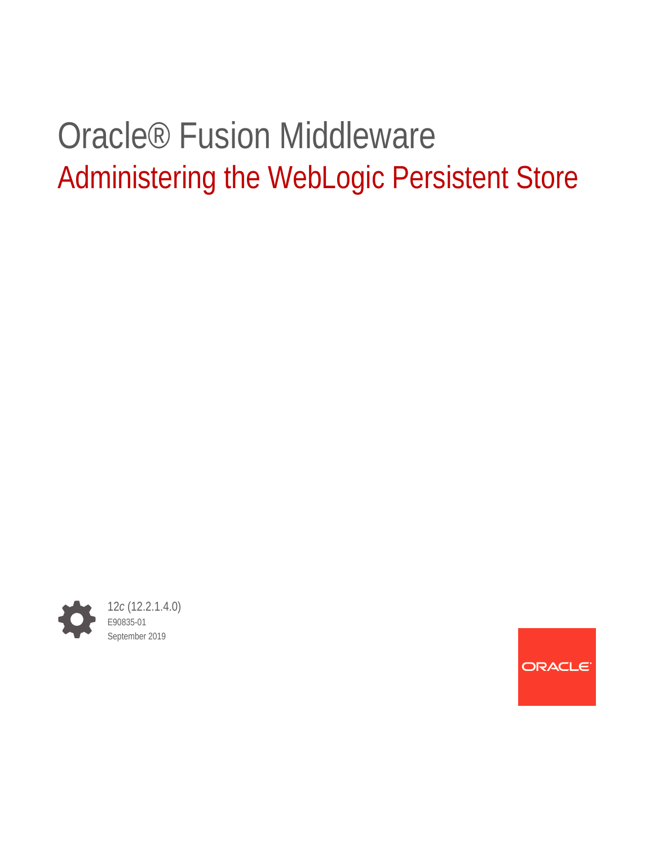# Oracle® Fusion Middleware Administering the WebLogic Persistent Store



ORACLE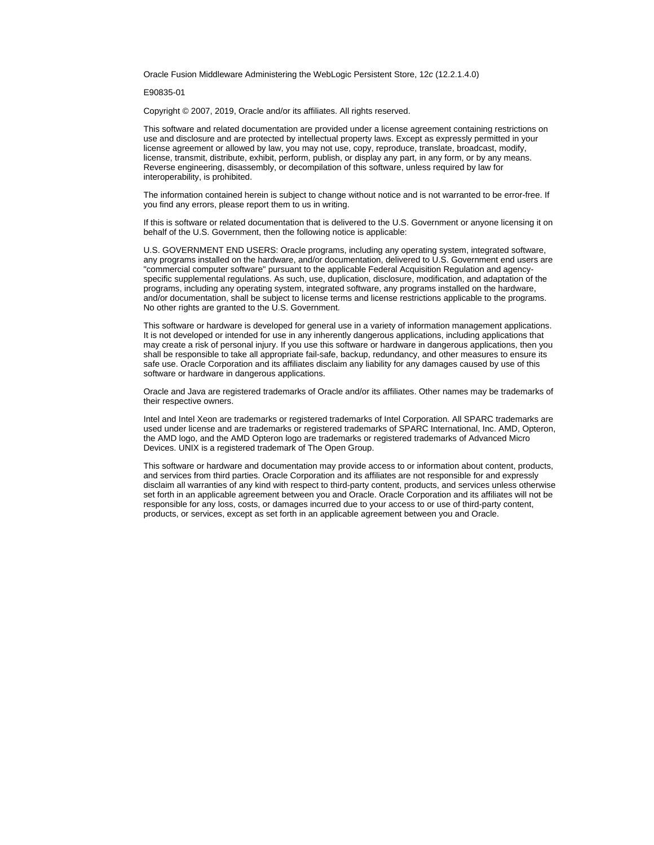Oracle Fusion Middleware Administering the WebLogic Persistent Store, 12*c* (12.2.1.4.0)

E90835-01

Copyright © 2007, 2019, Oracle and/or its affiliates. All rights reserved.

This software and related documentation are provided under a license agreement containing restrictions on use and disclosure and are protected by intellectual property laws. Except as expressly permitted in your license agreement or allowed by law, you may not use, copy, reproduce, translate, broadcast, modify, license, transmit, distribute, exhibit, perform, publish, or display any part, in any form, or by any means. Reverse engineering, disassembly, or decompilation of this software, unless required by law for interoperability, is prohibited.

The information contained herein is subject to change without notice and is not warranted to be error-free. If you find any errors, please report them to us in writing.

If this is software or related documentation that is delivered to the U.S. Government or anyone licensing it on behalf of the U.S. Government, then the following notice is applicable:

U.S. GOVERNMENT END USERS: Oracle programs, including any operating system, integrated software, any programs installed on the hardware, and/or documentation, delivered to U.S. Government end users are "commercial computer software" pursuant to the applicable Federal Acquisition Regulation and agencyspecific supplemental regulations. As such, use, duplication, disclosure, modification, and adaptation of the programs, including any operating system, integrated software, any programs installed on the hardware, and/or documentation, shall be subject to license terms and license restrictions applicable to the programs. No other rights are granted to the U.S. Government.

This software or hardware is developed for general use in a variety of information management applications. It is not developed or intended for use in any inherently dangerous applications, including applications that may create a risk of personal injury. If you use this software or hardware in dangerous applications, then you shall be responsible to take all appropriate fail-safe, backup, redundancy, and other measures to ensure its safe use. Oracle Corporation and its affiliates disclaim any liability for any damages caused by use of this software or hardware in dangerous applications.

Oracle and Java are registered trademarks of Oracle and/or its affiliates. Other names may be trademarks of their respective owners.

Intel and Intel Xeon are trademarks or registered trademarks of Intel Corporation. All SPARC trademarks are used under license and are trademarks or registered trademarks of SPARC International, Inc. AMD, Opteron, the AMD logo, and the AMD Opteron logo are trademarks or registered trademarks of Advanced Micro Devices. UNIX is a registered trademark of The Open Group.

This software or hardware and documentation may provide access to or information about content, products, and services from third parties. Oracle Corporation and its affiliates are not responsible for and expressly disclaim all warranties of any kind with respect to third-party content, products, and services unless otherwise set forth in an applicable agreement between you and Oracle. Oracle Corporation and its affiliates will not be responsible for any loss, costs, or damages incurred due to your access to or use of third-party content, products, or services, except as set forth in an applicable agreement between you and Oracle.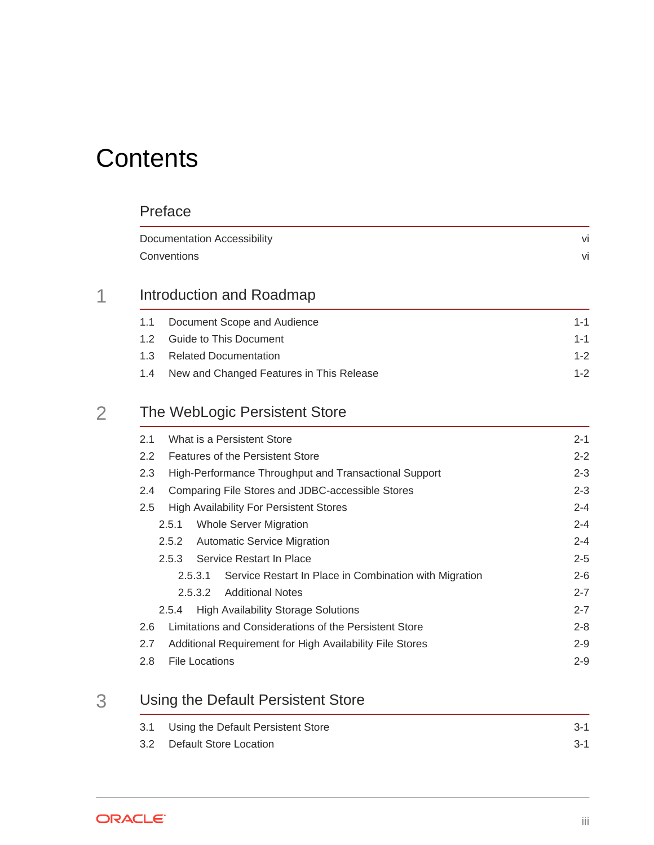# **Contents**

#### [Preface](#page-5-0)

|     | Documentation Accessibility<br>Conventions |         |
|-----|--------------------------------------------|---------|
|     |                                            | vi      |
|     | Introduction and Roadmap                   |         |
| 1.1 | Document Scope and Audience                | $1 - 1$ |
| 12  | <b>Guide to This Document</b>              | 1-1     |

| 1.3 Related Documentation                    |  |
|----------------------------------------------|--|
| 1.4 New and Changed Features in This Release |  |

## 2 [The WebLogic Persistent Store](#page-8-0)

| What is a Persistent Store<br>2.1                                 | $2 - 1$ |
|-------------------------------------------------------------------|---------|
| $2.2^{\circ}$<br>Features of the Persistent Store                 | $2 - 2$ |
| High-Performance Throughput and Transactional Support<br>2.3      | $2 - 3$ |
| Comparing File Stores and JDBC-accessible Stores<br>2.4           | $2 - 3$ |
| <b>High Availability For Persistent Stores</b><br>$2.5^{\circ}$   | $2 - 4$ |
| Whole Server Migration<br>2.5.1                                   | $2 - 4$ |
| <b>Automatic Service Migration</b><br>2.5.2                       | $2 - 4$ |
| Service Restart In Place<br>2.5.3                                 | $2 - 5$ |
| Service Restart In Place in Combination with Migration<br>2.5.3.1 | $2 - 6$ |
| <b>Additional Notes</b><br>2.5.3.2                                | $2 - 7$ |
| <b>High Availability Storage Solutions</b><br>2.5.4               | $2 - 7$ |
| Limitations and Considerations of the Persistent Store<br>2.6     | $2 - 8$ |
| Additional Requirement for High Availability File Stores<br>2.7   | $2 - 9$ |
| File Locations<br>2.8                                             | $2 - 9$ |
|                                                                   |         |

## 3 [Using the Default Persistent Store](#page-18-0)

| 3.1 Using the Default Persistent Store | $3-1$ |
|----------------------------------------|-------|
| 3.2 Default Store Location             | $3-1$ |

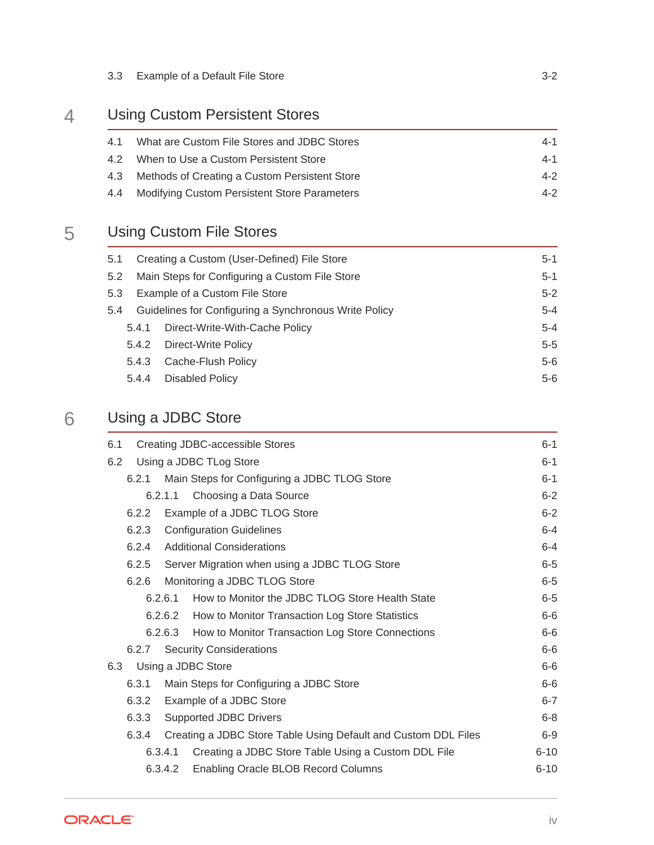| 3.3 Example of a Default File Store |  |
|-------------------------------------|--|
|                                     |  |

## 4 [Using Custom Persistent Stores](#page-20-0)

| 4.1 What are Custom File Stores and JDBC Stores   | $4 - 1$ |
|---------------------------------------------------|---------|
| 4.2 When to Use a Custom Persistent Store         | 4-1     |
| 4.3 Methods of Creating a Custom Persistent Store | $4 - 2$ |
| 4.4 Modifying Custom Persistent Store Parameters  | $4 - 2$ |

## 5 [Using Custom File Stores](#page-22-0)

| 5.1 |       | Creating a Custom (User-Defined) File Store<br>$5-1$             |         |  |  |  |
|-----|-------|------------------------------------------------------------------|---------|--|--|--|
| 5.2 |       | Main Steps for Configuring a Custom File Store                   | $5-1$   |  |  |  |
| 5.3 |       | $5-2$<br>Example of a Custom File Store                          |         |  |  |  |
| 5.4 |       | Guidelines for Configuring a Synchronous Write Policy<br>$5 - 4$ |         |  |  |  |
|     |       | 5.4.1 Direct-Write-With-Cache Policy                             | $5 - 4$ |  |  |  |
|     |       | 5.4.2 Direct-Write Policy                                        | $5 - 5$ |  |  |  |
|     | 5.4.3 | Cache-Flush Policy                                               | $5-6$   |  |  |  |
|     | 5.4.4 | Disabled Policy                                                  | $5-6$   |  |  |  |

## 6 [Using a JDBC Store](#page-28-0)

| 6.1 |       |         | Creating JDBC-accessible Stores                                | $6 - 1$  |
|-----|-------|---------|----------------------------------------------------------------|----------|
| 6.2 |       |         | Using a JDBC TLog Store                                        | $6 - 1$  |
|     |       |         | 6.2.1 Main Steps for Configuring a JDBC TLOG Store             | $6 - 1$  |
|     |       | 6.2.1.1 | Choosing a Data Source                                         | $6 - 2$  |
|     | 6.2.2 |         | Example of a JDBC TLOG Store                                   | $6 - 2$  |
|     | 6.2.3 |         | <b>Configuration Guidelines</b>                                | $6 - 4$  |
|     | 6.2.4 |         | <b>Additional Considerations</b>                               | $6 - 4$  |
|     | 6.2.5 |         | Server Migration when using a JDBC TLOG Store                  | $6-5$    |
|     | 6.2.6 |         | Monitoring a JDBC TLOG Store                                   | $6-5$    |
|     |       | 6.2.6.1 | How to Monitor the JDBC TLOG Store Health State                | $6-5$    |
|     |       |         | 6.2.6.2 How to Monitor Transaction Log Store Statistics        | $6-6$    |
|     |       |         | 6.2.6.3 How to Monitor Transaction Log Store Connections       | $6-6$    |
|     | 6.2.7 |         | <b>Security Considerations</b>                                 | $6-6$    |
| 6.3 |       |         | Using a JDBC Store                                             | $6-6$    |
|     | 6.3.1 |         | Main Steps for Configuring a JDBC Store                        | $6-6$    |
|     | 6.3.2 |         | Example of a JDBC Store                                        | $6 - 7$  |
|     | 6.3.3 |         | <b>Supported JDBC Drivers</b>                                  | $6-8$    |
|     | 6.3.4 |         | Creating a JDBC Store Table Using Default and Custom DDL Files | $6-9$    |
|     |       | 6.3.4.1 | Creating a JDBC Store Table Using a Custom DDL File            | $6 - 10$ |
|     |       | 6.3.4.2 | Enabling Oracle BLOB Record Columns                            | $6 - 10$ |
|     |       |         |                                                                |          |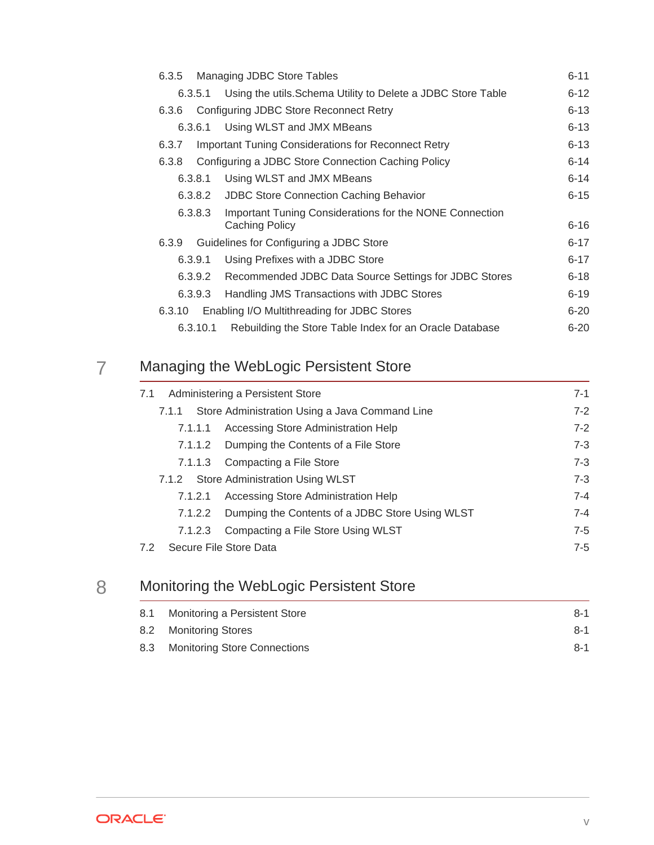| 6.3.5  |          | Managing JDBC Store Tables                                                | $6 - 11$ |
|--------|----------|---------------------------------------------------------------------------|----------|
|        | 6.3.5.1  | Using the utils. Schema Utility to Delete a JDBC Store Table              | $6 - 12$ |
| 6.3.6  |          | Configuring JDBC Store Reconnect Retry                                    | $6 - 13$ |
|        | 6.3.6.1  | Using WLST and JMX MBeans                                                 | $6 - 13$ |
| 6.3.7  |          | <b>Important Tuning Considerations for Reconnect Retry</b>                | $6 - 13$ |
| 6.3.8  |          | Configuring a JDBC Store Connection Caching Policy                        | $6 - 14$ |
|        | 6.3.8.1  | Using WLST and JMX MBeans                                                 | $6 - 14$ |
|        | 6.3.8.2  | <b>JDBC Store Connection Caching Behavior</b>                             | $6 - 15$ |
|        | 6.3.8.3  | Important Tuning Considerations for the NONE Connection<br>Caching Policy | $6 - 16$ |
| 6.3.9  |          | Guidelines for Configuring a JDBC Store                                   | $6 - 17$ |
|        | 6.3.9.1  | Using Prefixes with a JDBC Store                                          | $6 - 17$ |
|        | 6.3.9.2  | Recommended JDBC Data Source Settings for JDBC Stores                     | $6 - 18$ |
|        | 6.3.9.3  | Handling JMS Transactions with JDBC Stores                                | $6 - 19$ |
| 6.3.10 |          | Enabling I/O Multithreading for JDBC Stores                               | $6 - 20$ |
|        | 6.3.10.1 | Rebuilding the Store Table Index for an Oracle Database                   | $6 - 20$ |
|        |          |                                                                           |          |

## 7 [Managing the WebLogic Persistent Store](#page-49-0)

| 7.1     | Administering a Persistent Store                | $7 - 1$ |
|---------|-------------------------------------------------|---------|
| 7.1.1   | Store Administration Using a Java Command Line  | $7-2$   |
| 7.1.1.1 | Accessing Store Administration Help             | $7-2$   |
| 7.1.1.2 | Dumping the Contents of a File Store            | $7 - 3$ |
| 7.1.1.3 | Compacting a File Store                         | $7 - 3$ |
|         | 7.1.2 Store Administration Using WLST           | $7 - 3$ |
| 7.1.2.1 | Accessing Store Administration Help             | $7 - 4$ |
| 7.1.2.2 | Dumping the Contents of a JDBC Store Using WLST | $7 - 4$ |
| 7.1.2.3 | Compacting a File Store Using WLST              | $7 - 5$ |
| 7.2     | Secure File Store Data                          | $7-5$   |

## 8 [Monitoring the WebLogic Persistent Store](#page-54-0)

|     | 8.1 Monitoring a Persistent Store   | $8-1$ |
|-----|-------------------------------------|-------|
|     | 8.2 Monitoring Stores               | $8-1$ |
| 8.3 | <b>Monitoring Store Connections</b> | $8-1$ |

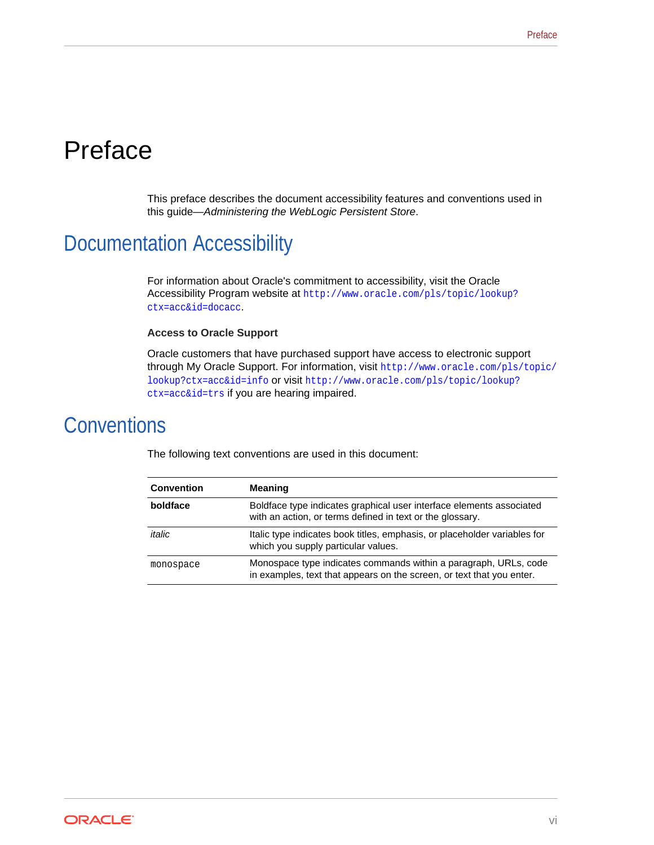# <span id="page-5-0"></span>Preface

This preface describes the document accessibility features and conventions used in this guide—*Administering the WebLogic Persistent Store*.

# Documentation Accessibility

For information about Oracle's commitment to accessibility, visit the Oracle Accessibility Program website at [http://www.oracle.com/pls/topic/lookup?](http://www.oracle.com/pls/topic/lookup?ctx=acc&id=docacc) [ctx=acc&id=docacc](http://www.oracle.com/pls/topic/lookup?ctx=acc&id=docacc).

#### **Access to Oracle Support**

Oracle customers that have purchased support have access to electronic support through My Oracle Support. For information, visit [http://www.oracle.com/pls/topic/](http://www.oracle.com/pls/topic/lookup?ctx=acc&id=info) [lookup?ctx=acc&id=info](http://www.oracle.com/pls/topic/lookup?ctx=acc&id=info) or visit [http://www.oracle.com/pls/topic/lookup?](http://www.oracle.com/pls/topic/lookup?ctx=acc&id=trs) [ctx=acc&id=trs](http://www.oracle.com/pls/topic/lookup?ctx=acc&id=trs) if you are hearing impaired.

## **Conventions**

|  | The following text conventions are used in this document: |  |  |
|--|-----------------------------------------------------------|--|--|
|--|-----------------------------------------------------------|--|--|

| <b>Convention</b> | <b>Meaning</b>                                                                                                                            |
|-------------------|-------------------------------------------------------------------------------------------------------------------------------------------|
| boldface          | Boldface type indicates graphical user interface elements associated<br>with an action, or terms defined in text or the glossary.         |
| italic            | Italic type indicates book titles, emphasis, or placeholder variables for<br>which you supply particular values.                          |
| monospace         | Monospace type indicates commands within a paragraph, URLs, code<br>in examples, text that appears on the screen, or text that you enter. |

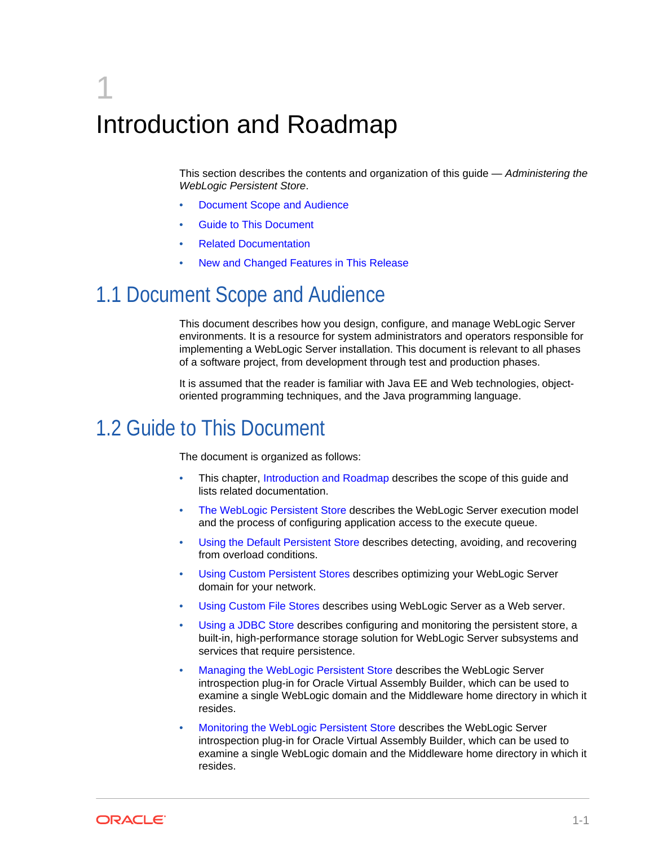# <span id="page-6-0"></span>1 Introduction and Roadmap

This section describes the contents and organization of this guide — *Administering the WebLogic Persistent Store*.

- Document Scope and Audience
- Guide to This Document
- [Related Documentation](#page-7-0)
- [New and Changed Features in This Release](#page-7-0)

# 1.1 Document Scope and Audience

This document describes how you design, configure, and manage WebLogic Server environments. It is a resource for system administrators and operators responsible for implementing a WebLogic Server installation. This document is relevant to all phases of a software project, from development through test and production phases.

It is assumed that the reader is familiar with Java EE and Web technologies, objectoriented programming techniques, and the Java programming language.

# 1.2 Guide to This Document

The document is organized as follows:

- This chapter, Introduction and Roadmap describes the scope of this guide and lists related documentation.
- [The WebLogic Persistent Store](#page-8-0) describes the WebLogic Server execution model and the process of configuring application access to the execute queue.
- [Using the Default Persistent Store](#page-18-0) describes detecting, avoiding, and recovering from overload conditions.
- [Using Custom Persistent Stores](#page-20-0) describes optimizing your WebLogic Server domain for your network.
- [Using Custom File Stores](#page-22-0) describes using WebLogic Server as a Web server.
- [Using a JDBC Store](#page-28-0) describes configuring and monitoring the persistent store, a built-in, high-performance storage solution for WebLogic Server subsystems and services that require persistence.
- [Managing the WebLogic Persistent Store](#page-49-0) describes the WebLogic Server introspection plug-in for Oracle Virtual Assembly Builder, which can be used to examine a single WebLogic domain and the Middleware home directory in which it resides.
- [Monitoring the WebLogic Persistent Store](#page-54-0) describes the WebLogic Server introspection plug-in for Oracle Virtual Assembly Builder, which can be used to examine a single WebLogic domain and the Middleware home directory in which it resides.

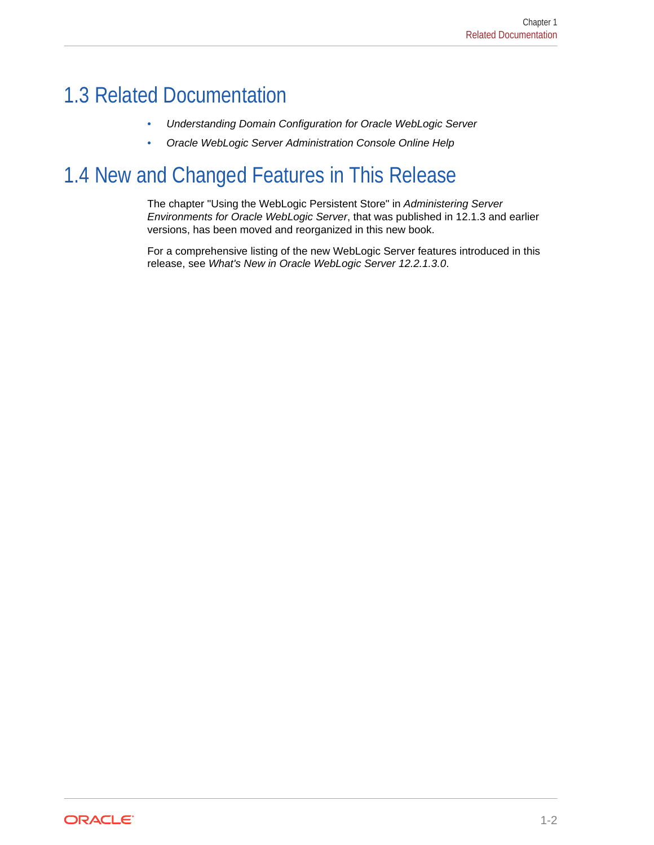# <span id="page-7-0"></span>1.3 Related Documentation

- *Understanding Domain Configuration for Oracle WebLogic Server*
- *Oracle WebLogic Server Administration Console Online Help*

# 1.4 New and Changed Features in This Release

The chapter "Using the WebLogic Persistent Store" in *Administering Server Environments for Oracle WebLogic Server*, that was published in 12.1.3 and earlier versions, has been moved and reorganized in this new book.

For a comprehensive listing of the new WebLogic Server features introduced in this release, see *What's New in Oracle WebLogic Server 12.2.1.3.0*.

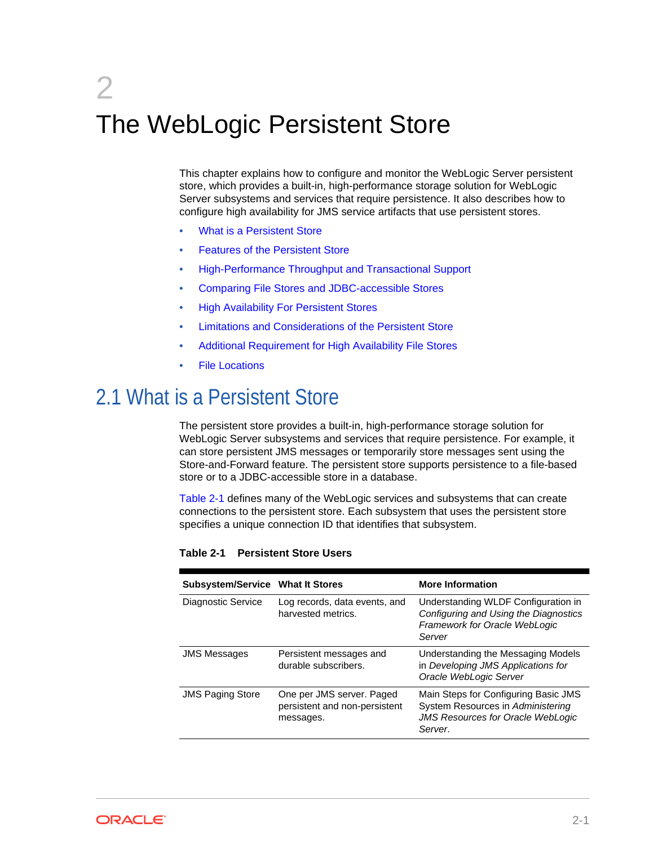# <span id="page-8-0"></span>2 The WebLogic Persistent Store

This chapter explains how to configure and monitor the WebLogic Server persistent store, which provides a built-in, high-performance storage solution for WebLogic Server subsystems and services that require persistence. It also describes how to configure high availability for JMS service artifacts that use persistent stores.

- What is a Persistent Store
- [Features of the Persistent Store](#page-9-0)
- [High-Performance Throughput and Transactional Support](#page-10-0)
- [Comparing File Stores and JDBC-accessible Stores](#page-10-0)
- [High Availability For Persistent Stores](#page-11-0)
- [Limitations and Considerations of the Persistent Store](#page-15-0)
- [Additional Requirement for High Availability File Stores](#page-16-0)
- **[File Locations](#page-16-0)**

# 2.1 What is a Persistent Store

The persistent store provides a built-in, high-performance storage solution for WebLogic Server subsystems and services that require persistence. For example, it can store persistent JMS messages or temporarily store messages sent using the Store-and-Forward feature. The persistent store supports persistence to a file-based store or to a JDBC-accessible store in a database.

Table 2-1 defines many of the WebLogic services and subsystems that can create connections to the persistent store. Each subsystem that uses the persistent store specifies a unique connection ID that identifies that subsystem.

| <b>Subsystem/Service What It Stores</b> |                                                                         | <b>More Information</b>                                                                                                          |  |
|-----------------------------------------|-------------------------------------------------------------------------|----------------------------------------------------------------------------------------------------------------------------------|--|
| Diagnostic Service                      | Log records, data events, and<br>harvested metrics.                     | Understanding WLDF Configuration in<br>Configuring and Using the Diagnostics<br>Framework for Oracle WebLogic<br>Server          |  |
| <b>JMS Messages</b>                     | Persistent messages and<br>durable subscribers.                         | Understanding the Messaging Models<br>in Developing JMS Applications for<br>Oracle WebLogic Server                               |  |
| <b>JMS Paging Store</b>                 | One per JMS server. Paged<br>persistent and non-persistent<br>messages. | Main Steps for Configuring Basic JMS<br>System Resources in Administering<br><b>JMS Resources for Oracle WebLogic</b><br>Server. |  |

#### **Table 2-1 Persistent Store Users**

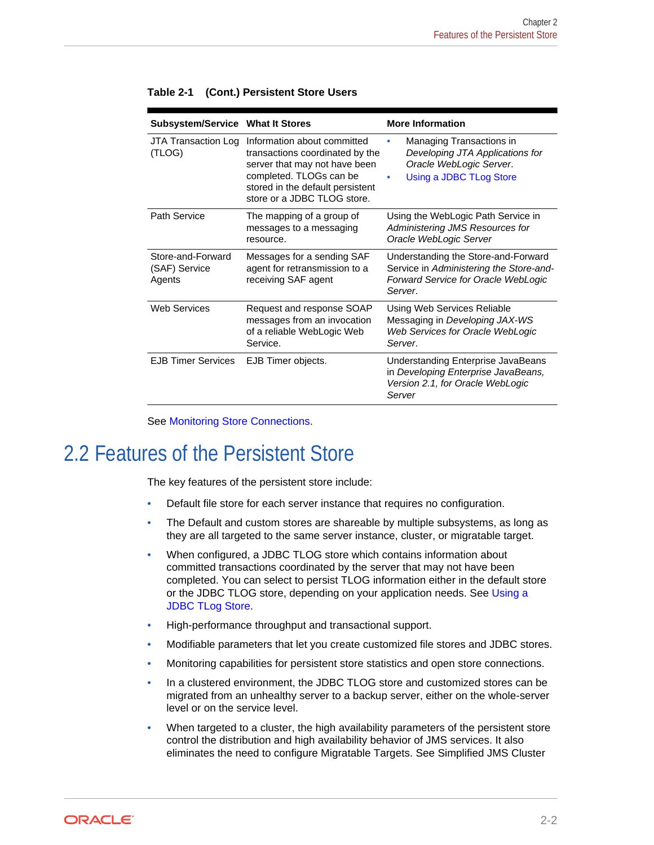| Subsystem/Service What It Stores             |                                                                                                                                                                                               | <b>More Information</b>                                                                                                               |
|----------------------------------------------|-----------------------------------------------------------------------------------------------------------------------------------------------------------------------------------------------|---------------------------------------------------------------------------------------------------------------------------------------|
| JTA Transaction Log<br>(TLOG)                | Information about committed<br>transactions coordinated by the<br>server that may not have been<br>completed. TLOGs can be<br>stored in the default persistent<br>store or a JDBC TLOG store. | <b>Managing Transactions in</b><br>Developing JTA Applications for<br>Oracle WebLogic Server.<br>Using a JDBC TLog Store<br>$\bullet$ |
| Path Service                                 | The mapping of a group of<br>messages to a messaging<br>resource.                                                                                                                             | Using the WebLogic Path Service in<br><b>Administering JMS Resources for</b><br>Oracle WebLogic Server                                |
| Store-and-Forward<br>(SAF) Service<br>Agents | Messages for a sending SAF<br>agent for retransmission to a<br>receiving SAF agent                                                                                                            | Understanding the Store-and-Forward<br>Service in Administering the Store-and-<br>Forward Service for Oracle WebLogic<br>Server.      |
| Web Services                                 | Request and response SOAP<br>messages from an invocation<br>of a reliable WebLogic Web<br>Service.                                                                                            | Using Web Services Reliable<br>Messaging in Developing JAX-WS<br>Web Services for Oracle WebLogic<br>Server.                          |
| <b>EJB Timer Services</b>                    | EJB Timer objects.                                                                                                                                                                            | Understanding Enterprise JavaBeans<br>in Developing Enterprise JavaBeans,<br>Version 2.1, for Oracle WebLogic<br>Server               |

<span id="page-9-0"></span>**Table 2-1 (Cont.) Persistent Store Users**

See [Monitoring Store Connections](#page-54-0).

# 2.2 Features of the Persistent Store

The key features of the persistent store include:

- Default file store for each server instance that requires no configuration.
- The Default and custom stores are shareable by multiple subsystems, as long as they are all targeted to the same server instance, cluster, or migratable target.
- When configured, a JDBC TLOG store which contains information about committed transactions coordinated by the server that may not have been completed. You can select to persist TLOG information either in the default store or the JDBC TLOG store, depending on your application needs. See [Using a](#page-28-0) [JDBC TLog Store](#page-28-0).
- High-performance throughput and transactional support.
- Modifiable parameters that let you create customized file stores and JDBC stores.
- Monitoring capabilities for persistent store statistics and open store connections.
- In a clustered environment, the JDBC TLOG store and customized stores can be migrated from an unhealthy server to a backup server, either on the whole-server level or on the service level.
- When targeted to a cluster, the high availability parameters of the persistent store control the distribution and high availability behavior of JMS services. It also eliminates the need to configure Migratable Targets. See Simplified JMS Cluster

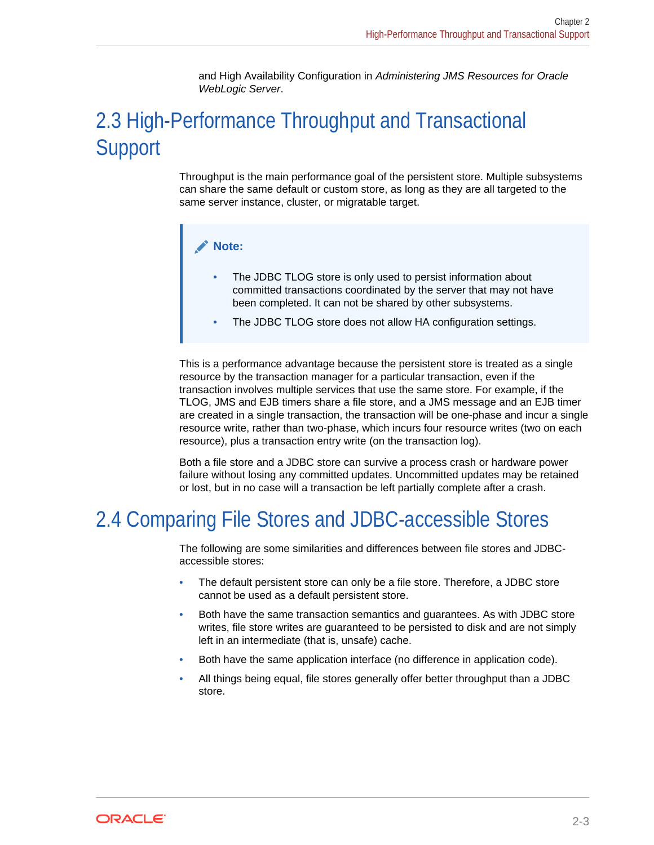and High Availability Configuration in *Administering JMS Resources for Oracle WebLogic Server*.

# <span id="page-10-0"></span>2.3 High-Performance Throughput and Transactional **Support**

Throughput is the main performance goal of the persistent store. Multiple subsystems can share the same default or custom store, as long as they are all targeted to the same server instance, cluster, or migratable target.

#### **Note:**

- The JDBC TLOG store is only used to persist information about committed transactions coordinated by the server that may not have been completed. It can not be shared by other subsystems.
- The JDBC TLOG store does not allow HA configuration settings.

This is a performance advantage because the persistent store is treated as a single resource by the transaction manager for a particular transaction, even if the transaction involves multiple services that use the same store. For example, if the TLOG, JMS and EJB timers share a file store, and a JMS message and an EJB timer are created in a single transaction, the transaction will be one-phase and incur a single resource write, rather than two-phase, which incurs four resource writes (two on each resource), plus a transaction entry write (on the transaction log).

Both a file store and a JDBC store can survive a process crash or hardware power failure without losing any committed updates. Uncommitted updates may be retained or lost, but in no case will a transaction be left partially complete after a crash.

# 2.4 Comparing File Stores and JDBC-accessible Stores

The following are some similarities and differences between file stores and JDBCaccessible stores:

- The default persistent store can only be a file store. Therefore, a JDBC store cannot be used as a default persistent store.
- Both have the same transaction semantics and guarantees. As with JDBC store writes, file store writes are guaranteed to be persisted to disk and are not simply left in an intermediate (that is, unsafe) cache.
- Both have the same application interface (no difference in application code).
- All things being equal, file stores generally offer better throughput than a JDBC store.

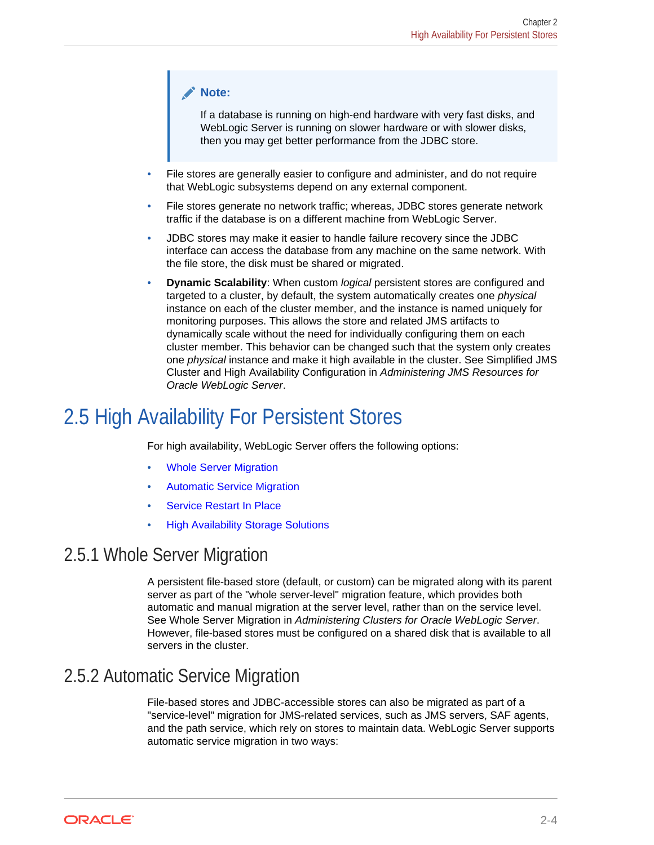#### <span id="page-11-0"></span>**Note:**

If a database is running on high-end hardware with very fast disks, and WebLogic Server is running on slower hardware or with slower disks, then you may get better performance from the JDBC store.

- File stores are generally easier to configure and administer, and do not require that WebLogic subsystems depend on any external component.
- File stores generate no network traffic; whereas, JDBC stores generate network traffic if the database is on a different machine from WebLogic Server.
- JDBC stores may make it easier to handle failure recovery since the JDBC interface can access the database from any machine on the same network. With the file store, the disk must be shared or migrated.
- **Dynamic Scalability**: When custom *logical* persistent stores are configured and targeted to a cluster, by default, the system automatically creates one *physical* instance on each of the cluster member, and the instance is named uniquely for monitoring purposes. This allows the store and related JMS artifacts to dynamically scale without the need for individually configuring them on each cluster member. This behavior can be changed such that the system only creates one *physical* instance and make it high available in the cluster. See Simplified JMS Cluster and High Availability Configuration in *Administering JMS Resources for Oracle WebLogic Server*.

# 2.5 High Availability For Persistent Stores

For high availability, WebLogic Server offers the following options:

- Whole Server Migration
- Automatic Service Migration
- **[Service Restart In Place](#page-12-0)**
- [High Availability Storage Solutions](#page-14-0)

## 2.5.1 Whole Server Migration

A persistent file-based store (default, or custom) can be migrated along with its parent server as part of the "whole server-level" migration feature, which provides both automatic and manual migration at the server level, rather than on the service level. See Whole Server Migration in *Administering Clusters for Oracle WebLogic Server*. However, file-based stores must be configured on a shared disk that is available to all servers in the cluster.

## 2.5.2 Automatic Service Migration

File-based stores and JDBC-accessible stores can also be migrated as part of a "service-level" migration for JMS-related services, such as JMS servers, SAF agents, and the path service, which rely on stores to maintain data. WebLogic Server supports automatic service migration in two ways:

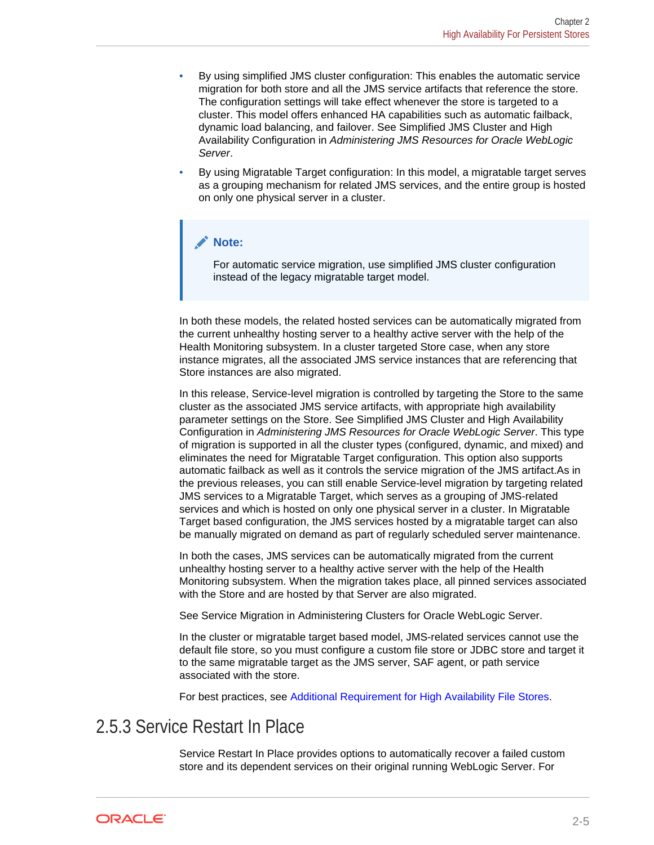- <span id="page-12-0"></span>• By using simplified JMS cluster configuration: This enables the automatic service migration for both store and all the JMS service artifacts that reference the store. The configuration settings will take effect whenever the store is targeted to a cluster. This model offers enhanced HA capabilities such as automatic failback, dynamic load balancing, and failover. See Simplified JMS Cluster and High Availability Configuration in *Administering JMS Resources for Oracle WebLogic Server*.
- By using Migratable Target configuration: In this model, a migratable target serves as a grouping mechanism for related JMS services, and the entire group is hosted on only one physical server in a cluster.

#### **Note:**

For automatic service migration, use simplified JMS cluster configuration instead of the legacy migratable target model.

In both these models, the related hosted services can be automatically migrated from the current unhealthy hosting server to a healthy active server with the help of the Health Monitoring subsystem. In a cluster targeted Store case, when any store instance migrates, all the associated JMS service instances that are referencing that Store instances are also migrated.

In this release, Service-level migration is controlled by targeting the Store to the same cluster as the associated JMS service artifacts, with appropriate high availability parameter settings on the Store. See Simplified JMS Cluster and High Availability Configuration in *Administering JMS Resources for Oracle WebLogic Server*. This type of migration is supported in all the cluster types (configured, dynamic, and mixed) and eliminates the need for Migratable Target configuration. This option also supports automatic failback as well as it controls the service migration of the JMS artifact.As in the previous releases, you can still enable Service-level migration by targeting related JMS services to a Migratable Target, which serves as a grouping of JMS-related services and which is hosted on only one physical server in a cluster. In Migratable Target based configuration, the JMS services hosted by a migratable target can also be manually migrated on demand as part of regularly scheduled server maintenance.

In both the cases, JMS services can be automatically migrated from the current unhealthy hosting server to a healthy active server with the help of the Health Monitoring subsystem. When the migration takes place, all pinned services associated with the Store and are hosted by that Server are also migrated.

See Service Migration in Administering Clusters for Oracle WebLogic Server.

In the cluster or migratable target based model, JMS-related services cannot use the default file store, so you must configure a custom file store or JDBC store and target it to the same migratable target as the JMS server, SAF agent, or path service associated with the store.

For best practices, see [Additional Requirement for High Availability File Stores](#page-16-0).

## 2.5.3 Service Restart In Place

Service Restart In Place provides options to automatically recover a failed custom store and its dependent services on their original running WebLogic Server. For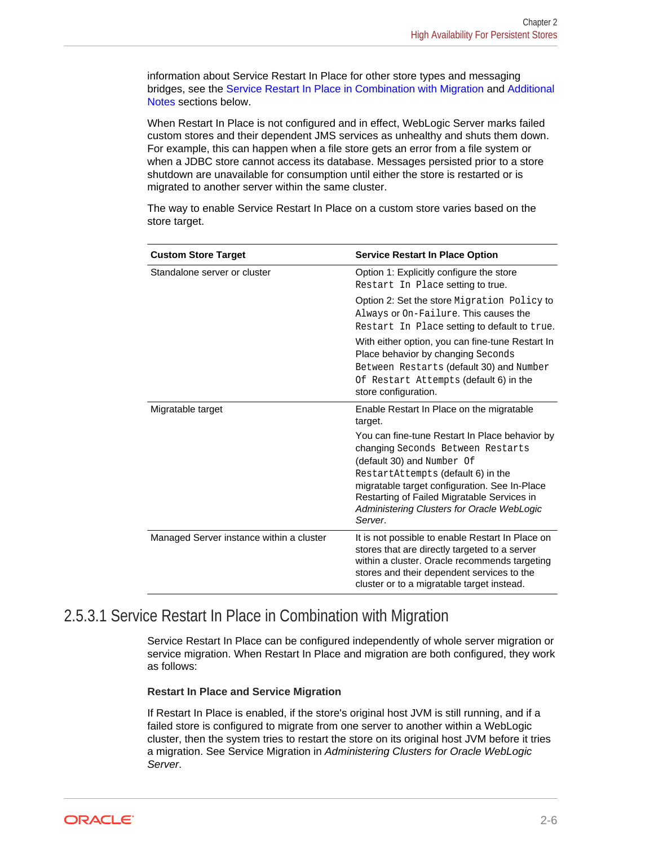<span id="page-13-0"></span>information about Service Restart In Place for other store types and messaging bridges, see the Service Restart In Place in Combination with Migration and [Additional](#page-14-0) [Notes](#page-14-0) sections below.

When Restart In Place is not configured and in effect, WebLogic Server marks failed custom stores and their dependent JMS services as unhealthy and shuts them down. For example, this can happen when a file store gets an error from a file system or when a JDBC store cannot access its database. Messages persisted prior to a store shutdown are unavailable for consumption until either the store is restarted or is migrated to another server within the same cluster.

The way to enable Service Restart In Place on a custom store varies based on the store target.

| <b>Custom Store Target</b>               | <b>Service Restart In Place Option</b>                                                                                                                                                                                                                                                                           |
|------------------------------------------|------------------------------------------------------------------------------------------------------------------------------------------------------------------------------------------------------------------------------------------------------------------------------------------------------------------|
| Standalone server or cluster             | Option 1: Explicitly configure the store<br>Restart In Place setting to true.                                                                                                                                                                                                                                    |
|                                          | Option 2: Set the store Migration Policy to<br>Always or On-Failure. This causes the<br>Restart In Place setting to default to true.                                                                                                                                                                             |
|                                          | With either option, you can fine-tune Restart In<br>Place behavior by changing Seconds<br>Between Restarts (default 30) and Number<br>Of Restart Attempts (default 6) in the<br>store configuration.                                                                                                             |
| Migratable target                        | Enable Restart In Place on the migratable<br>target.                                                                                                                                                                                                                                                             |
|                                          | You can fine-tune Restart In Place behavior by<br>changing Seconds Between Restarts<br>(default 30) and Number Of<br>RestartAttempts (default 6) in the<br>migratable target configuration. See In-Place<br>Restarting of Failed Migratable Services in<br>Administering Clusters for Oracle WebLogic<br>Server. |
| Managed Server instance within a cluster | It is not possible to enable Restart In Place on<br>stores that are directly targeted to a server<br>within a cluster. Oracle recommends targeting<br>stores and their dependent services to the<br>cluster or to a migratable target instead.                                                                   |

#### 2.5.3.1 Service Restart In Place in Combination with Migration

Service Restart In Place can be configured independently of whole server migration or service migration. When Restart In Place and migration are both configured, they work as follows:

#### **Restart In Place and Service Migration**

If Restart In Place is enabled, if the store's original host JVM is still running, and if a failed store is configured to migrate from one server to another within a WebLogic cluster, then the system tries to restart the store on its original host JVM before it tries a migration. See Service Migration in *Administering Clusters for Oracle WebLogic Server*.

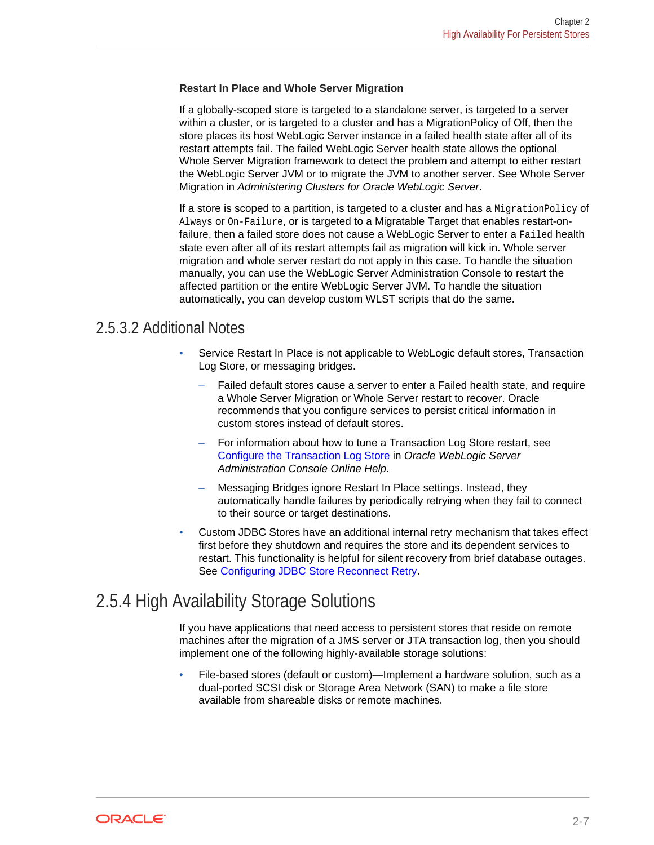#### <span id="page-14-0"></span>**Restart In Place and Whole Server Migration**

If a globally-scoped store is targeted to a standalone server, is targeted to a server within a cluster, or is targeted to a cluster and has a MigrationPolicy of Off, then the store places its host WebLogic Server instance in a failed health state after all of its restart attempts fail. The failed WebLogic Server health state allows the optional Whole Server Migration framework to detect the problem and attempt to either restart the WebLogic Server JVM or to migrate the JVM to another server. See Whole Server Migration in *Administering Clusters for Oracle WebLogic Server*.

If a store is scoped to a partition, is targeted to a cluster and has a MigrationPolicy of Always or On-Failure, or is targeted to a Migratable Target that enables restart-onfailure, then a failed store does not cause a WebLogic Server to enter a Failed health state even after all of its restart attempts fail as migration will kick in. Whole server migration and whole server restart do not apply in this case. To handle the situation manually, you can use the WebLogic Server Administration Console to restart the affected partition or the entire WebLogic Server JVM. To handle the situation automatically, you can develop custom WLST scripts that do the same.

#### 2.5.3.2 Additional Notes

- Service Restart In Place is not applicable to WebLogic default stores, Transaction Log Store, or messaging bridges.
	- Failed default stores cause a server to enter a Failed health state, and require a Whole Server Migration or Whole Server restart to recover. Oracle recommends that you configure services to persist critical information in custom stores instead of default stores.
	- For information about how to tune a Transaction Log Store restart, see Configure the Transaction Log Store in *Oracle WebLogic Server Administration Console Online Help*.
	- Messaging Bridges ignore Restart In Place settings. Instead, they automatically handle failures by periodically retrying when they fail to connect to their source or target destinations.
- Custom JDBC Stores have an additional internal retry mechanism that takes effect first before they shutdown and requires the store and its dependent services to restart. This functionality is helpful for silent recovery from brief database outages. See [Configuring JDBC Store Reconnect Retry.](#page-40-0)

## 2.5.4 High Availability Storage Solutions

If you have applications that need access to persistent stores that reside on remote machines after the migration of a JMS server or JTA transaction log, then you should implement one of the following highly-available storage solutions:

• File-based stores (default or custom)—Implement a hardware solution, such as a dual-ported SCSI disk or Storage Area Network (SAN) to make a file store available from shareable disks or remote machines.

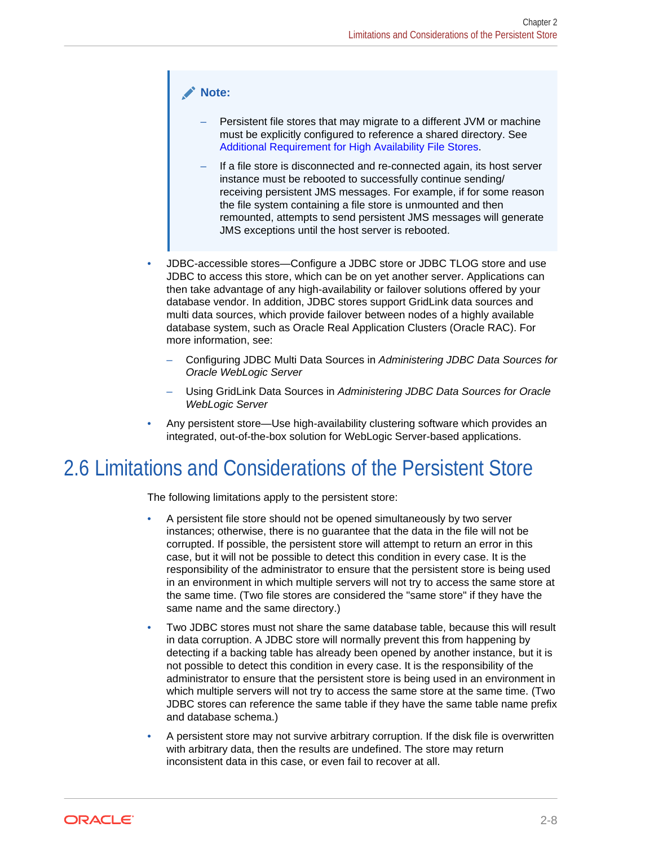#### <span id="page-15-0"></span>**Note:**

- Persistent file stores that may migrate to a different JVM or machine must be explicitly configured to reference a shared directory. See [Additional Requirement for High Availability File Stores](#page-16-0).
- If a file store is disconnected and re-connected again, its host server instance must be rebooted to successfully continue sending/ receiving persistent JMS messages. For example, if for some reason the file system containing a file store is unmounted and then remounted, attempts to send persistent JMS messages will generate JMS exceptions until the host server is rebooted.
- JDBC-accessible stores—Configure a JDBC store or JDBC TLOG store and use JDBC to access this store, which can be on yet another server. Applications can then take advantage of any high-availability or failover solutions offered by your database vendor. In addition, JDBC stores support GridLink data sources and multi data sources, which provide failover between nodes of a highly available database system, such as Oracle Real Application Clusters (Oracle RAC). For more information, see:
	- Configuring JDBC Multi Data Sources in *Administering JDBC Data Sources for Oracle WebLogic Server*
	- Using GridLink Data Sources in *Administering JDBC Data Sources for Oracle WebLogic Server*
- Any persistent store—Use high-availability clustering software which provides an integrated, out-of-the-box solution for WebLogic Server-based applications.

# 2.6 Limitations and Considerations of the Persistent Store

The following limitations apply to the persistent store:

- A persistent file store should not be opened simultaneously by two server instances; otherwise, there is no guarantee that the data in the file will not be corrupted. If possible, the persistent store will attempt to return an error in this case, but it will not be possible to detect this condition in every case. It is the responsibility of the administrator to ensure that the persistent store is being used in an environment in which multiple servers will not try to access the same store at the same time. (Two file stores are considered the "same store" if they have the same name and the same directory.)
- Two JDBC stores must not share the same database table, because this will result in data corruption. A JDBC store will normally prevent this from happening by detecting if a backing table has already been opened by another instance, but it is not possible to detect this condition in every case. It is the responsibility of the administrator to ensure that the persistent store is being used in an environment in which multiple servers will not try to access the same store at the same time. (Two JDBC stores can reference the same table if they have the same table name prefix and database schema.)
- A persistent store may not survive arbitrary corruption. If the disk file is overwritten with arbitrary data, then the results are undefined. The store may return inconsistent data in this case, or even fail to recover at all.

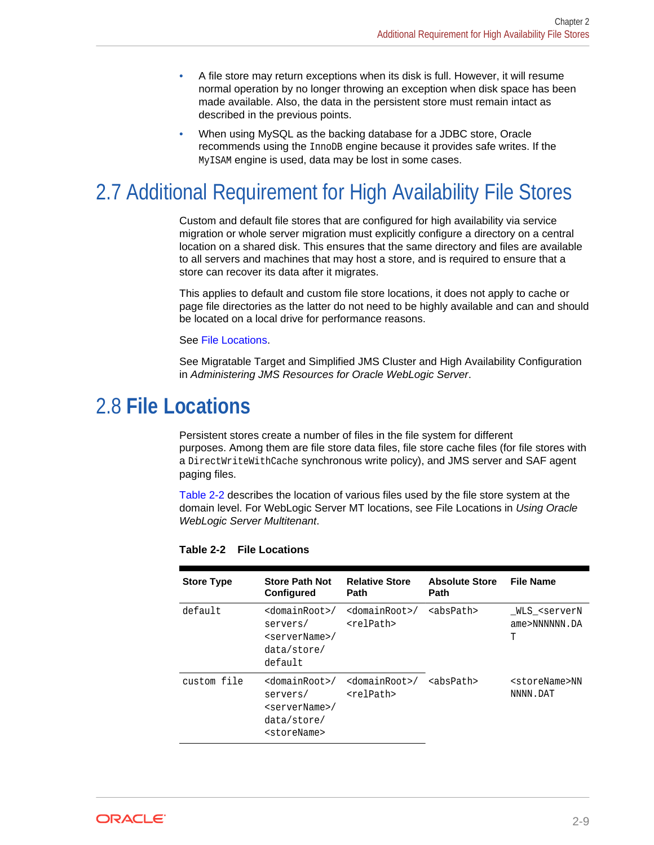- <span id="page-16-0"></span>• A file store may return exceptions when its disk is full. However, it will resume normal operation by no longer throwing an exception when disk space has been made available. Also, the data in the persistent store must remain intact as described in the previous points.
- When using MySQL as the backing database for a JDBC store, Oracle recommends using the InnoDB engine because it provides safe writes. If the MyISAM engine is used, data may be lost in some cases.

# 2.7 Additional Requirement for High Availability File Stores

Custom and default file stores that are configured for high availability via service migration or whole server migration must explicitly configure a directory on a central location on a shared disk. This ensures that the same directory and files are available to all servers and machines that may host a store, and is required to ensure that a store can recover its data after it migrates.

This applies to default and custom file store locations, it does not apply to cache or page file directories as the latter do not need to be highly available and can and should be located on a local drive for performance reasons.

#### See File Locations.

See Migratable Target and Simplified JMS Cluster and High Availability Configuration in *Administering JMS Resources for Oracle WebLogic Server*.

## 2.8 **File Locations**

Persistent stores create a number of files in the file system for different purposes. Among them are file store data files, file store cache files (for file stores with a DirectWriteWithCache synchronous write policy), and JMS server and SAF agent paging files.

Table 2-2 describes the location of various files used by the file store system at the domain level. For WebLogic Server MT locations, see File Locations in *Using Oracle WebLogic Server Multitenant*.

| <b>Store Type</b> | <b>Store Path Not</b><br><b>Configured</b>                                                                         | <b>Relative Store</b><br><b>Path</b>               | <b>Absolute Store</b><br><b>Path</b> | <b>File Name</b>                                    |
|-------------------|--------------------------------------------------------------------------------------------------------------------|----------------------------------------------------|--------------------------------------|-----------------------------------------------------|
| default           | $<$ domainRoot>/<br>servers/<br><servername>/<br/>data/store/<br/>default</servername>                             | <domainroot>/<br/><relpath></relpath></domainroot> | <abspath></abspath>                  | WLS <servern<br>ame&gt;NNNNNN.DA<br/>Τ</servern<br> |
| custom file       | <domainroot>/<br/>servers/<br/><servername>/<br/>data/store/<br/><storename></storename></servername></domainroot> | <domainroot>/<br/><relpath></relpath></domainroot> | $absPath$                            | <storename>NN<br/>NNNN.DAT</storename>              |

**Table 2-2 File Locations**

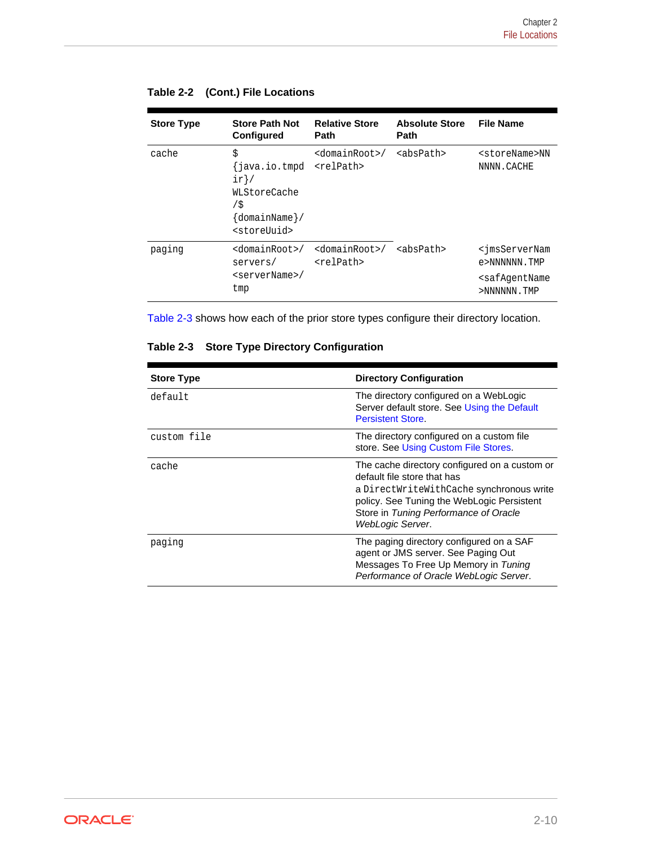| <b>Store Type</b> | <b>Store Path Not</b><br>Configured                                                                  | <b>Relative Store</b><br><b>Path</b>               | <b>Absolute Store</b><br><b>Path</b> | <b>File Name</b>                                                                                         |
|-------------------|------------------------------------------------------------------------------------------------------|----------------------------------------------------|--------------------------------------|----------------------------------------------------------------------------------------------------------|
| cache             | \$<br>{java.io.tmpd<br>$ir$ /<br>WLStoreCache<br>/\$<br>$\{domainName\}/$<br><storeuuid></storeuuid> | <domainroot>/<br/><relpath></relpath></domainroot> | <abspath></abspath>                  | <storename>NN<br/>NNNN.CACHE</storename>                                                                 |
| paging            | <domainroot>/<br/>servers/<br/><servername>/<br/>tmp</servername></domainroot>                       | <domainroot>/<br/><relpath></relpath></domainroot> | <abspath></abspath>                  | <jmsservernam<br>e&gt;NNNNNN.TMP<br/><safaqentname<br>&gt;NNNNNN.TMP</safaqentname<br></jmsservernam<br> |

|  |  | Table 2-2 (Cont.) File Locations |
|--|--|----------------------------------|
|--|--|----------------------------------|

Table 2-3 shows how each of the prior store types configure their directory location.

|  |  |  | Table 2-3 Store Type Directory Configuration |
|--|--|--|----------------------------------------------|
|--|--|--|----------------------------------------------|

| <b>Store Type</b> | <b>Directory Configuration</b>                                                                                                                                                                                                      |
|-------------------|-------------------------------------------------------------------------------------------------------------------------------------------------------------------------------------------------------------------------------------|
| default           | The directory configured on a WebLogic<br>Server default store. See Using the Default<br><b>Persistent Store.</b>                                                                                                                   |
| custom file       | The directory configured on a custom file.<br>store. See Using Custom File Stores.                                                                                                                                                  |
| cache             | The cache directory configured on a custom or<br>default file store that has<br>a DirectWriteWithCache synchronous write<br>policy. See Tuning the WebLogic Persistent<br>Store in Tuning Performance of Oracle<br>WebLogic Server. |
| paging            | The paging directory configured on a SAF<br>agent or JMS server. See Paging Out<br>Messages To Free Up Memory in Tuning<br>Performance of Oracle WebLogic Server.                                                                   |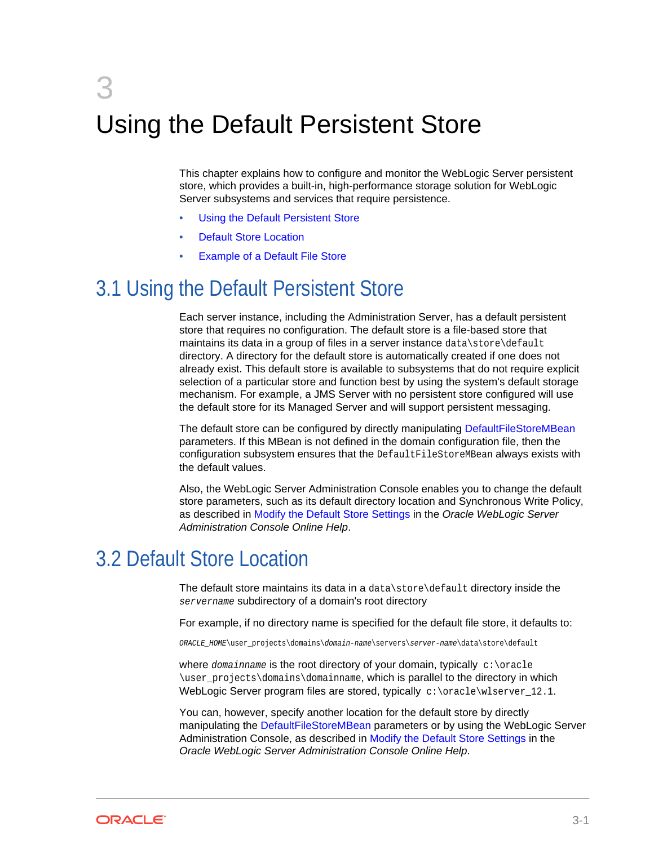# <span id="page-18-0"></span>3 Using the Default Persistent Store

This chapter explains how to configure and monitor the WebLogic Server persistent store, which provides a built-in, high-performance storage solution for WebLogic Server subsystems and services that require persistence.

- Using the Default Persistent Store
- **Default Store Location**
- **[Example of a Default File Store](#page-19-0)**

# 3.1 Using the Default Persistent Store

Each server instance, including the Administration Server, has a default persistent store that requires no configuration. The default store is a file-based store that maintains its data in a group of files in a server instance data\store\default directory. A directory for the default store is automatically created if one does not already exist. This default store is available to subsystems that do not require explicit selection of a particular store and function best by using the system's default storage mechanism. For example, a JMS Server with no persistent store configured will use the default store for its Managed Server and will support persistent messaging.

The default store can be configured by directly manipulating DefaultFileStoreMBean parameters. If this MBean is not defined in the domain configuration file, then the configuration subsystem ensures that the DefaultFileStoreMBean always exists with the default values.

Also, the WebLogic Server Administration Console enables you to change the default store parameters, such as its default directory location and Synchronous Write Policy, as described in Modify the Default Store Settings in the *Oracle WebLogic Server Administration Console Online Help*.

# 3.2 Default Store Location

The default store maintains its data in a data\store\default directory inside the servername subdirectory of a domain's root directory

For example, if no directory name is specified for the default file store, it defaults to:

ORACLE\_HOME\user\_projects\domains\domain-name\servers\server-name\data\store\default

where domainname is the root directory of your domain, typically  $c:\overline{c}:$ \user\_projects\domains\domainname, which is parallel to the directory in which WebLogic Server program files are stored, typically  $c:\\or{abc}\text{supp}12.1.$ 

You can, however, specify another location for the default store by directly manipulating the DefaultFileStoreMBean parameters or by using the WebLogic Server Administration Console, as described in Modify the Default Store Settings in the *Oracle WebLogic Server Administration Console Online Help*.

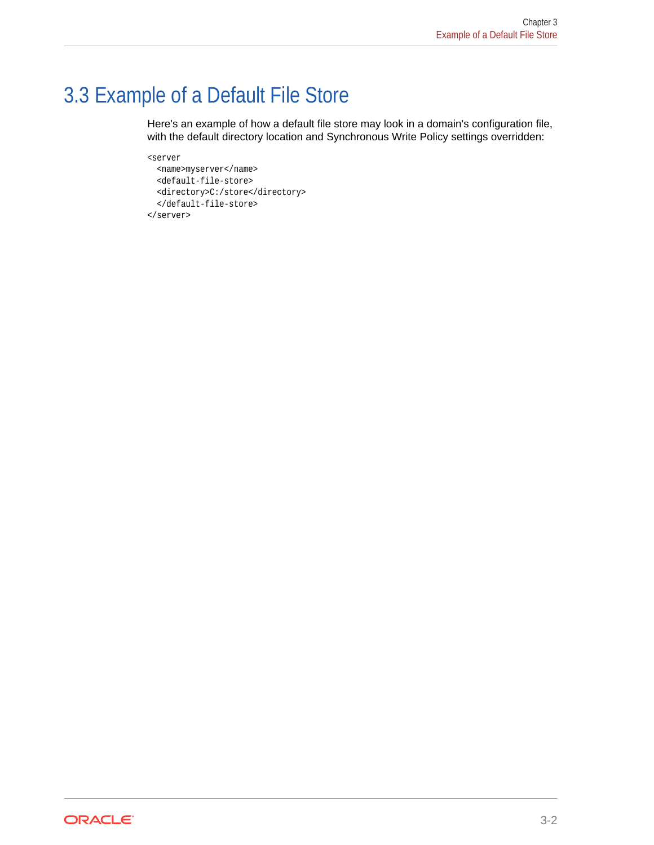# <span id="page-19-0"></span>3.3 Example of a Default File Store

Here's an example of how a default file store may look in a domain's configuration file, with the default directory location and Synchronous Write Policy settings overridden:

```
<server
   <name>myserver</name>
   <default-file-store>
   <directory>C:/store</directory>
   </default-file-store>
</server>
```
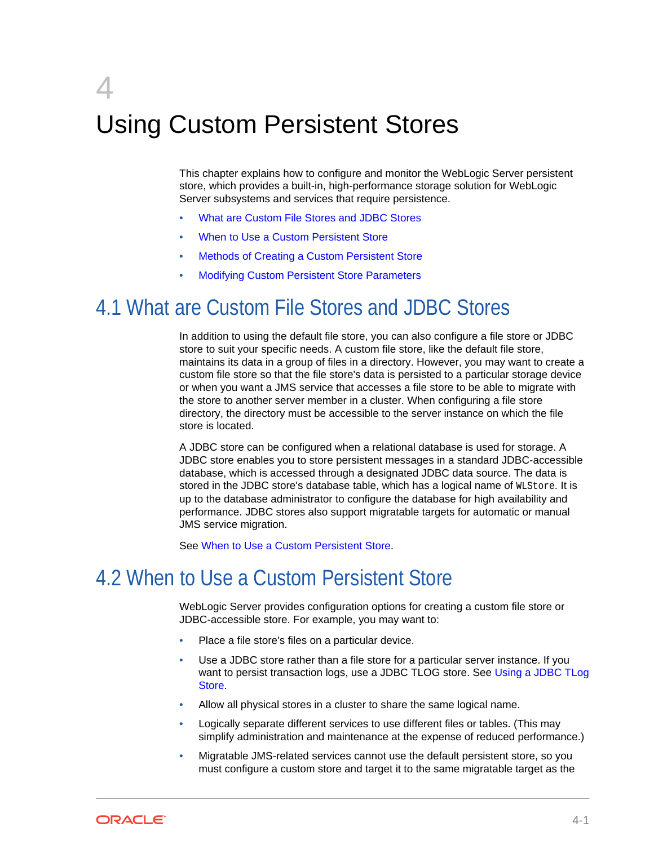# <span id="page-20-0"></span> $\sqrt{2}$ Using Custom Persistent Stores

This chapter explains how to configure and monitor the WebLogic Server persistent store, which provides a built-in, high-performance storage solution for WebLogic Server subsystems and services that require persistence.

- What are Custom File Stores and JDBC Stores
- When to Use a Custom Persistent Store
- [Methods of Creating a Custom Persistent Store](#page-21-0)
- [Modifying Custom Persistent Store Parameters](#page-21-0)

# 4.1 What are Custom File Stores and JDBC Stores

In addition to using the default file store, you can also configure a file store or JDBC store to suit your specific needs. A custom file store, like the default file store, maintains its data in a group of files in a directory. However, you may want to create a custom file store so that the file store's data is persisted to a particular storage device or when you want a JMS service that accesses a file store to be able to migrate with the store to another server member in a cluster. When configuring a file store directory, the directory must be accessible to the server instance on which the file store is located.

A JDBC store can be configured when a relational database is used for storage. A JDBC store enables you to store persistent messages in a standard JDBC-accessible database, which is accessed through a designated JDBC data source. The data is stored in the JDBC store's database table, which has a logical name of WLStore. It is up to the database administrator to configure the database for high availability and performance. JDBC stores also support migratable targets for automatic or manual JMS service migration.

See When to Use a Custom Persistent Store.

# 4.2 When to Use a Custom Persistent Store

WebLogic Server provides configuration options for creating a custom file store or JDBC-accessible store. For example, you may want to:

- Place a file store's files on a particular device.
- Use a JDBC store rather than a file store for a particular server instance. If you want to persist transaction logs, use a JDBC TLOG store. See [Using a JDBC TLog](#page-28-0) [Store.](#page-28-0)
- Allow all physical stores in a cluster to share the same logical name.
- Logically separate different services to use different files or tables. (This may simplify administration and maintenance at the expense of reduced performance.)
- Migratable JMS-related services cannot use the default persistent store, so you must configure a custom store and target it to the same migratable target as the

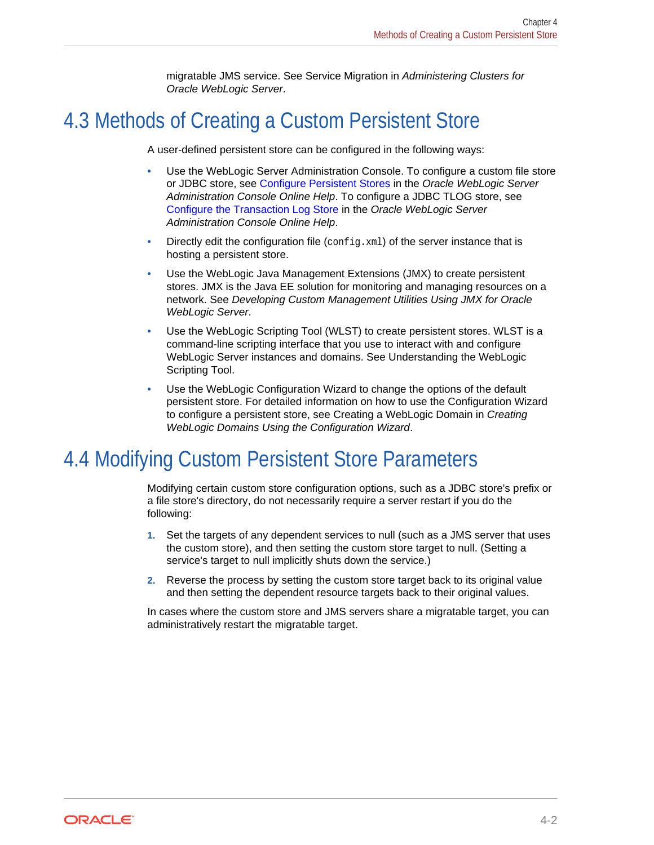migratable JMS service. See Service Migration in *Administering Clusters for Oracle WebLogic Server*.

# <span id="page-21-0"></span>4.3 Methods of Creating a Custom Persistent Store

A user-defined persistent store can be configured in the following ways:

- Use the WebLogic Server Administration Console. To configure a custom file store or JDBC store, see Configure Persistent Stores in the *Oracle WebLogic Server Administration Console Online Help*. To configure a JDBC TLOG store, see Configure the Transaction Log Store in the *Oracle WebLogic Server Administration Console Online Help*.
- Directly edit the configuration file  $(\text{config.xml})$  of the server instance that is hosting a persistent store.
- Use the WebLogic Java Management Extensions (JMX) to create persistent stores. JMX is the Java EE solution for monitoring and managing resources on a network. See *Developing Custom Management Utilities Using JMX for Oracle WebLogic Server*.
- Use the WebLogic Scripting Tool (WLST) to create persistent stores. WLST is a command-line scripting interface that you use to interact with and configure WebLogic Server instances and domains. See Understanding the WebLogic Scripting Tool.
- Use the WebLogic Configuration Wizard to change the options of the default persistent store. For detailed information on how to use the Configuration Wizard to configure a persistent store, see Creating a WebLogic Domain in *Creating WebLogic Domains Using the Configuration Wizard*.

# 4.4 Modifying Custom Persistent Store Parameters

Modifying certain custom store configuration options, such as a JDBC store's prefix or a file store's directory, do not necessarily require a server restart if you do the following:

- **1.** Set the targets of any dependent services to null (such as a JMS server that uses the custom store), and then setting the custom store target to null. (Setting a service's target to null implicitly shuts down the service.)
- **2.** Reverse the process by setting the custom store target back to its original value and then setting the dependent resource targets back to their original values.

In cases where the custom store and JMS servers share a migratable target, you can administratively restart the migratable target.

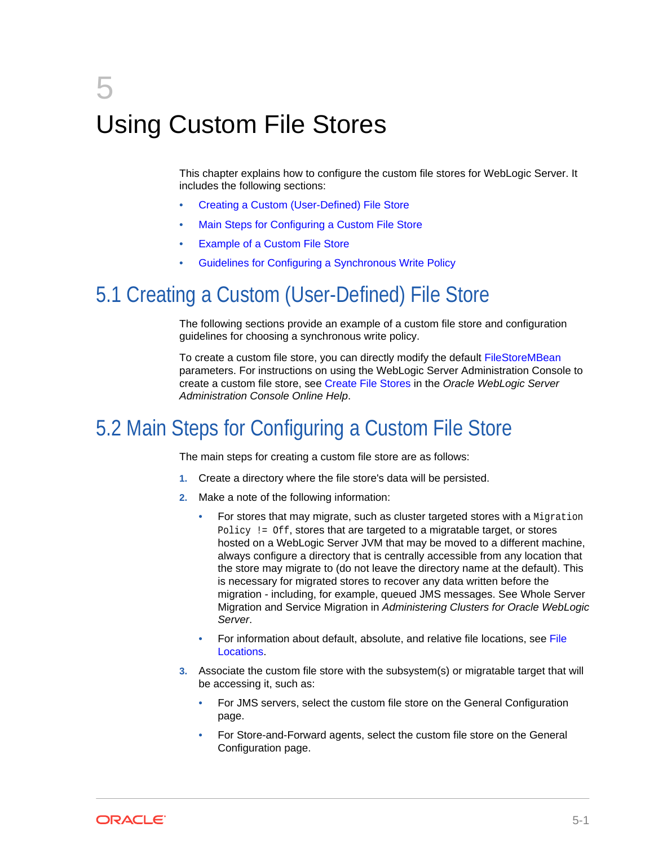# <span id="page-22-0"></span>5 Using Custom File Stores

This chapter explains how to configure the custom file stores for WebLogic Server. It includes the following sections:

- Creating a Custom (User-Defined) File Store
- Main Steps for Configuring a Custom File Store
- **[Example of a Custom File Store](#page-23-0)**
- [Guidelines for Configuring a Synchronous Write Policy](#page-25-0)

# 5.1 Creating a Custom (User-Defined) File Store

The following sections provide an example of a custom file store and configuration guidelines for choosing a synchronous write policy.

To create a custom file store, you can directly modify the default FileStoreMBean parameters. For instructions on using the WebLogic Server Administration Console to create a custom file store, see Create File Stores in the *Oracle WebLogic Server Administration Console Online Help*.

# 5.2 Main Steps for Configuring a Custom File Store

The main steps for creating a custom file store are as follows:

- **1.** Create a directory where the file store's data will be persisted.
- **2.** Make a note of the following information:
	- For stores that may migrate, such as cluster targeted stores with a Migration Policy != Off, stores that are targeted to a migratable target, or stores hosted on a WebLogic Server JVM that may be moved to a different machine, always configure a directory that is centrally accessible from any location that the store may migrate to (do not leave the directory name at the default). This is necessary for migrated stores to recover any data written before the migration - including, for example, queued JMS messages. See Whole Server Migration and Service Migration in *Administering Clusters for Oracle WebLogic Server*.
	- For information about default, absolute, and relative file locations, see [File](#page-16-0) [Locations.](#page-16-0)
- **3.** Associate the custom file store with the subsystem(s) or migratable target that will be accessing it, such as:
	- For JMS servers, select the custom file store on the General Configuration page.
	- For Store-and-Forward agents, select the custom file store on the General Configuration page.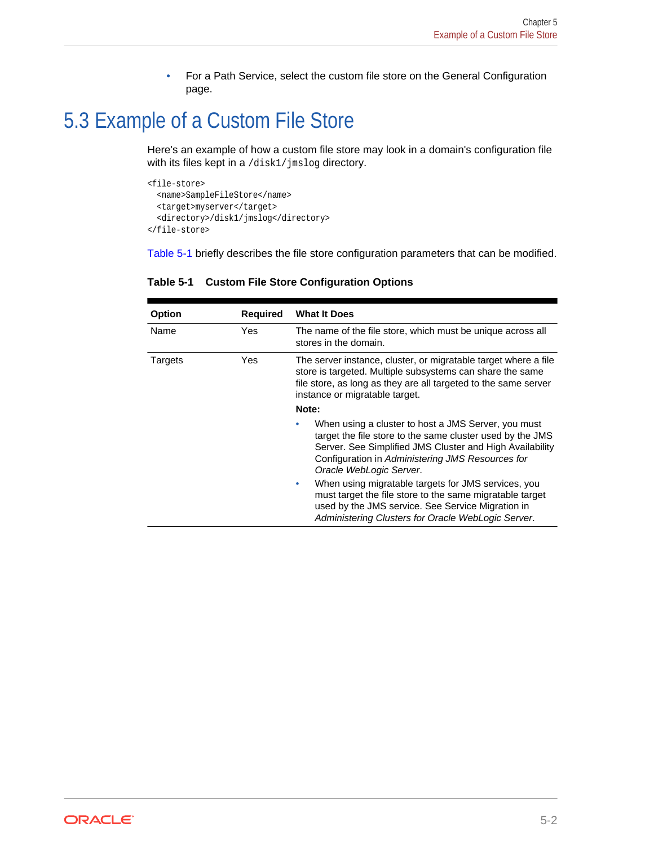• For a Path Service, select the custom file store on the General Configuration page.

# <span id="page-23-0"></span>5.3 Example of a Custom File Store

Here's an example of how a custom file store may look in a domain's configuration file with its files kept in a /disk1/jmslog directory.

```
<file-store>
   <name>SampleFileStore</name>
   <target>myserver</target>
   <directory>/disk1/jmslog</directory>
</file-store>
```
Table 5-1 briefly describes the file store configuration parameters that can be modified.

| Option  | <b>Required</b> | <b>What It Does</b>                                                                                                                                                                                                                                         |  |
|---------|-----------------|-------------------------------------------------------------------------------------------------------------------------------------------------------------------------------------------------------------------------------------------------------------|--|
| Name    | Yes             | The name of the file store, which must be unique across all<br>stores in the domain.                                                                                                                                                                        |  |
| Targets | Yes             | The server instance, cluster, or migratable target where a file<br>store is targeted. Multiple subsystems can share the same<br>file store, as long as they are all targeted to the same server<br>instance or migratable target.                           |  |
|         |                 | Note:                                                                                                                                                                                                                                                       |  |
|         |                 | When using a cluster to host a JMS Server, you must<br>target the file store to the same cluster used by the JMS<br>Server. See Simplified JMS Cluster and High Availability<br>Configuration in Administering JMS Resources for<br>Oracle WebLogic Server. |  |
|         |                 | When using migratable targets for JMS services, you<br>۰<br>must target the file store to the same migratable target<br>used by the JMS service. See Service Migration in<br>Administering Clusters for Oracle WebLogic Server.                             |  |

**Table 5-1 Custom File Store Configuration Options**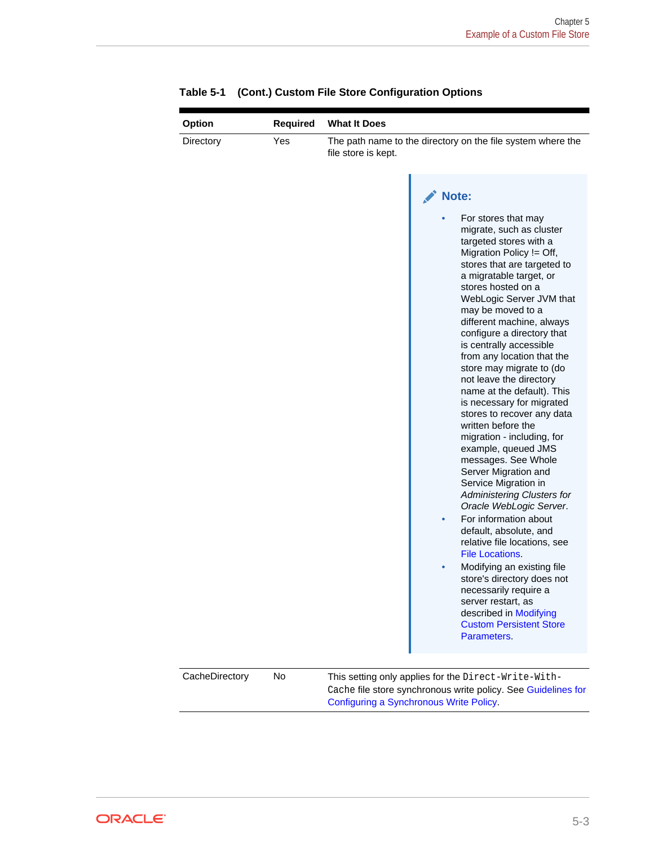| Option           | Required | <b>What It Does</b>                                                                                                                                                                                                                                                                                                                                                                                                                                                                                                                                                                                                                                                                                                                                                                                                                                                                                                                                                                                                                    |
|------------------|----------|----------------------------------------------------------------------------------------------------------------------------------------------------------------------------------------------------------------------------------------------------------------------------------------------------------------------------------------------------------------------------------------------------------------------------------------------------------------------------------------------------------------------------------------------------------------------------------------------------------------------------------------------------------------------------------------------------------------------------------------------------------------------------------------------------------------------------------------------------------------------------------------------------------------------------------------------------------------------------------------------------------------------------------------|
| Directory<br>Yes |          | The path name to the directory on the file system where the<br>file store is kept.                                                                                                                                                                                                                                                                                                                                                                                                                                                                                                                                                                                                                                                                                                                                                                                                                                                                                                                                                     |
|                  |          | Note:<br>For stores that may<br>migrate, such as cluster<br>targeted stores with a<br>Migration Policy != Off,<br>stores that are targeted to<br>a migratable target, or<br>stores hosted on a<br>WebLogic Server JVM that<br>may be moved to a<br>different machine, always<br>configure a directory that<br>is centrally accessible<br>from any location that the<br>store may migrate to (do<br>not leave the directory<br>name at the default). This<br>is necessary for migrated<br>stores to recover any data<br>written before the<br>migration - including, for<br>example, queued JMS<br>messages. See Whole<br>Server Migration and<br>Service Migration in<br>Administering Clusters for<br>Oracle WebLogic Server.<br>For information about<br>۰<br>default, absolute, and<br>relative file locations, see<br><b>File Locations.</b><br>Modifying an existing file<br>store's directory does not<br>necessarily require a<br>server restart, as<br>described in Modifying<br><b>Custom Persistent Store</b><br>Parameters. |
| CacheDirectory   | No       | This setting only applies for the Direct-Write-With-<br>Cache file store synchronous write policy. See Guidelines for<br>Configuring a Synchronous Write Policy.                                                                                                                                                                                                                                                                                                                                                                                                                                                                                                                                                                                                                                                                                                                                                                                                                                                                       |

|  | Table 5-1 (Cont.) Custom File Store Configuration Options |  |
|--|-----------------------------------------------------------|--|
|--|-----------------------------------------------------------|--|

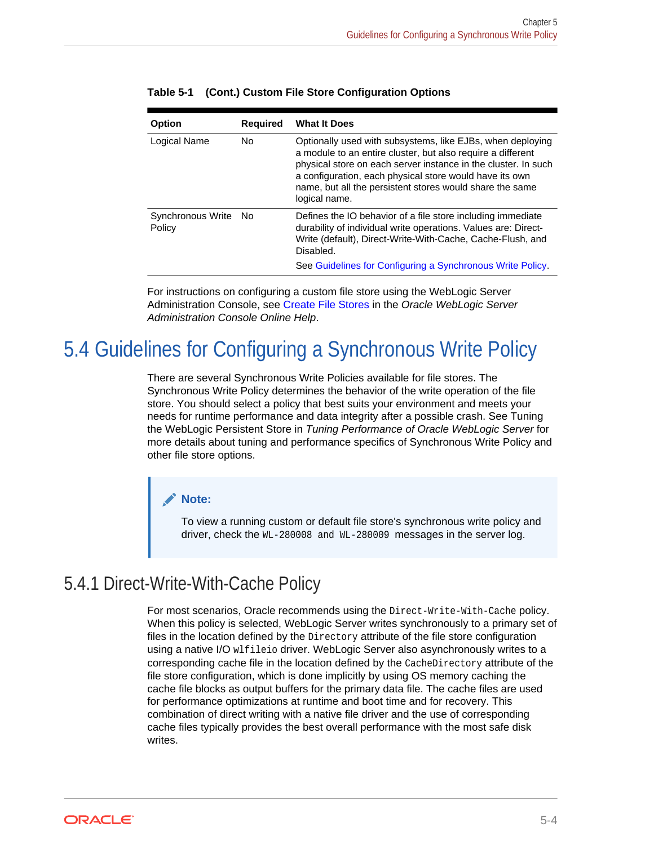| Option                      | <b>Required</b> | <b>What It Does</b>                                                                                                                                                                                                                                                                                                                 |
|-----------------------------|-----------------|-------------------------------------------------------------------------------------------------------------------------------------------------------------------------------------------------------------------------------------------------------------------------------------------------------------------------------------|
| Logical Name                | No.             | Optionally used with subsystems, like EJBs, when deploying<br>a module to an entire cluster, but also require a different<br>physical store on each server instance in the cluster. In such<br>a configuration, each physical store would have its own<br>name, but all the persistent stores would share the same<br>logical name. |
| Synchronous Write<br>Policy | No.             | Defines the IO behavior of a file store including immediate<br>durability of individual write operations. Values are: Direct-<br>Write (default), Direct-Write-With-Cache, Cache-Flush, and<br>Disabled.<br>See Guidelines for Configuring a Synchronous Write Policy.                                                              |

<span id="page-25-0"></span>

|  |  | Table 5-1 (Cont.) Custom File Store Configuration Options |  |
|--|--|-----------------------------------------------------------|--|
|--|--|-----------------------------------------------------------|--|

For instructions on configuring a custom file store using the WebLogic Server Administration Console, see Create File Stores in the *Oracle WebLogic Server Administration Console Online Help*.

# 5.4 Guidelines for Configuring a Synchronous Write Policy

There are several Synchronous Write Policies available for file stores. The Synchronous Write Policy determines the behavior of the write operation of the file store. You should select a policy that best suits your environment and meets your needs for runtime performance and data integrity after a possible crash. See Tuning the WebLogic Persistent Store in *Tuning Performance of Oracle WebLogic Server* for more details about tuning and performance specifics of Synchronous Write Policy and other file store options.

#### **Note:**

To view a running custom or default file store's synchronous write policy and driver, check the WL-280008 and WL-280009 messages in the server log.

### 5.4.1 Direct-Write-With-Cache Policy

For most scenarios, Oracle recommends using the Direct-Write-With-Cache policy. When this policy is selected, WebLogic Server writes synchronously to a primary set of files in the location defined by the Directory attribute of the file store configuration using a native I/O wlfileio driver. WebLogic Server also asynchronously writes to a corresponding cache file in the location defined by the CacheDirectory attribute of the file store configuration, which is done implicitly by using OS memory caching the cache file blocks as output buffers for the primary data file. The cache files are used for performance optimizations at runtime and boot time and for recovery. This combination of direct writing with a native file driver and the use of corresponding cache files typically provides the best overall performance with the most safe disk writes.

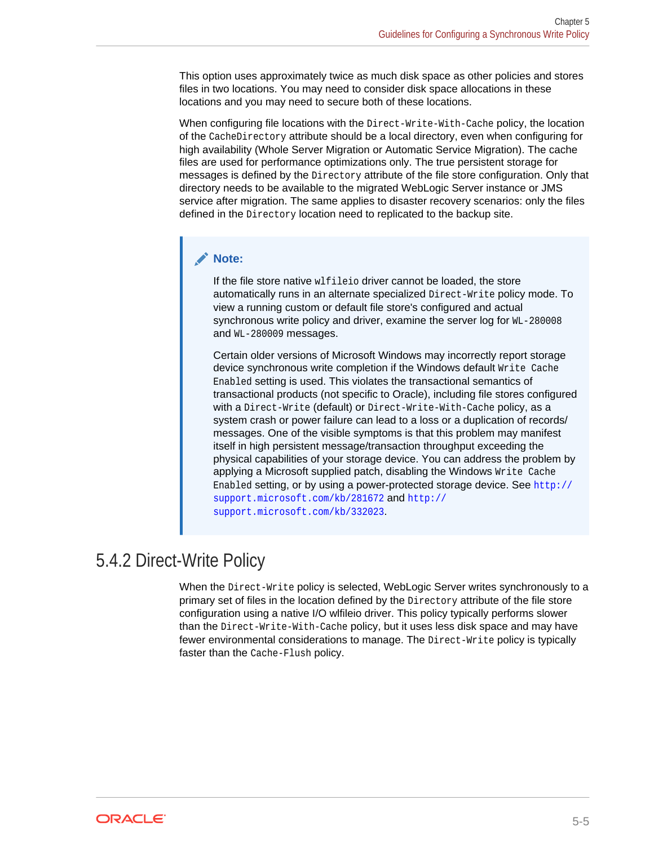<span id="page-26-0"></span>This option uses approximately twice as much disk space as other policies and stores files in two locations. You may need to consider disk space allocations in these locations and you may need to secure both of these locations.

When configuring file locations with the Direct-Write-With-Cache policy, the location of the CacheDirectory attribute should be a local directory, even when configuring for high availability (Whole Server Migration or Automatic Service Migration). The cache files are used for performance optimizations only. The true persistent storage for messages is defined by the Directory attribute of the file store configuration. Only that directory needs to be available to the migrated WebLogic Server instance or JMS service after migration. The same applies to disaster recovery scenarios: only the files defined in the Directory location need to replicated to the backup site.

#### **Note:**

If the file store native wlfileio driver cannot be loaded, the store automatically runs in an alternate specialized Direct-Write policy mode. To view a running custom or default file store's configured and actual synchronous write policy and driver, examine the server log for WL-280008 and WL-280009 messages.

Certain older versions of Microsoft Windows may incorrectly report storage device synchronous write completion if the Windows default Write Cache Enabled setting is used. This violates the transactional semantics of transactional products (not specific to Oracle), including file stores configured with a Direct-Write (default) or Direct-Write-With-Cache policy, as a system crash or power failure can lead to a loss or a duplication of records/ messages. One of the visible symptoms is that this problem may manifest itself in high persistent message/transaction throughput exceeding the physical capabilities of your storage device. You can address the problem by applying a Microsoft supplied patch, disabling the Windows Write Cache Enabled setting, or by using a power-protected storage device. See [http://](http://support.microsoft.com/kb/281672) [support.microsoft.com/kb/281672](http://support.microsoft.com/kb/281672) and [http://](http://support.microsoft.com/kb/332023) [support.microsoft.com/kb/332023](http://support.microsoft.com/kb/332023).

## 5.4.2 Direct-Write Policy

When the Direct-Write policy is selected, WebLogic Server writes synchronously to a primary set of files in the location defined by the Directory attribute of the file store configuration using a native I/O wlfileio driver. This policy typically performs slower than the Direct-Write-With-Cache policy, but it uses less disk space and may have fewer environmental considerations to manage. The Direct-Write policy is typically faster than the Cache-Flush policy.

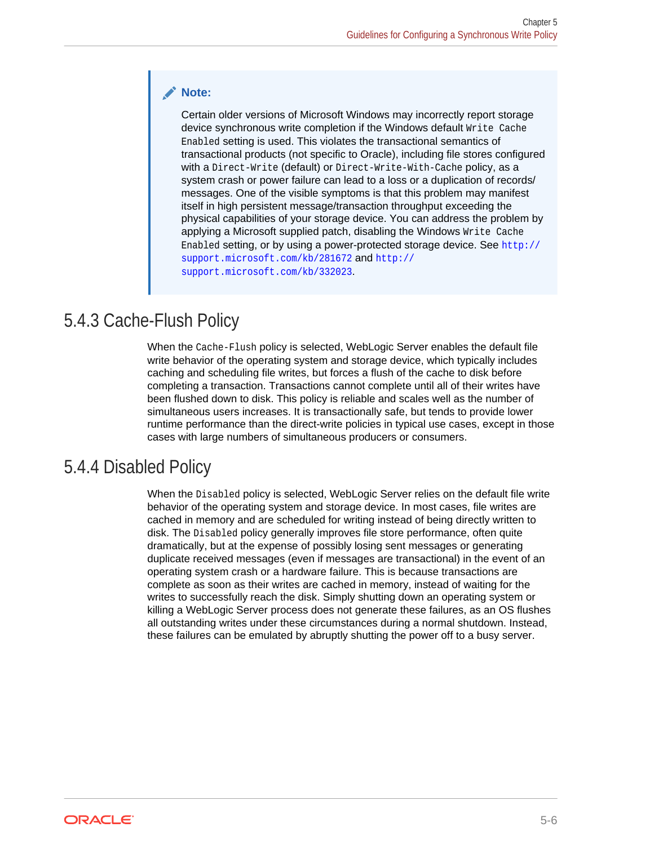#### <span id="page-27-0"></span>**Note:**

Certain older versions of Microsoft Windows may incorrectly report storage device synchronous write completion if the Windows default Write Cache Enabled setting is used. This violates the transactional semantics of transactional products (not specific to Oracle), including file stores configured with a Direct-Write (default) or Direct-Write-With-Cache policy, as a system crash or power failure can lead to a loss or a duplication of records/ messages. One of the visible symptoms is that this problem may manifest itself in high persistent message/transaction throughput exceeding the physical capabilities of your storage device. You can address the problem by applying a Microsoft supplied patch, disabling the Windows Write Cache Enabled setting, or by using a power-protected storage device. See [http://](http://support.microsoft.com/kb/281672) [support.microsoft.com/kb/281672](http://support.microsoft.com/kb/281672) and [http://](http://support.microsoft.com/kb/332023) [support.microsoft.com/kb/332023](http://support.microsoft.com/kb/332023).

## 5.4.3 Cache-Flush Policy

When the Cache-Flush policy is selected, WebLogic Server enables the default file write behavior of the operating system and storage device, which typically includes caching and scheduling file writes, but forces a flush of the cache to disk before completing a transaction. Transactions cannot complete until all of their writes have been flushed down to disk. This policy is reliable and scales well as the number of simultaneous users increases. It is transactionally safe, but tends to provide lower runtime performance than the direct-write policies in typical use cases, except in those cases with large numbers of simultaneous producers or consumers.

## 5.4.4 Disabled Policy

When the Disabled policy is selected, WebLogic Server relies on the default file write behavior of the operating system and storage device. In most cases, file writes are cached in memory and are scheduled for writing instead of being directly written to disk. The Disabled policy generally improves file store performance, often quite dramatically, but at the expense of possibly losing sent messages or generating duplicate received messages (even if messages are transactional) in the event of an operating system crash or a hardware failure. This is because transactions are complete as soon as their writes are cached in memory, instead of waiting for the writes to successfully reach the disk. Simply shutting down an operating system or killing a WebLogic Server process does not generate these failures, as an OS flushes all outstanding writes under these circumstances during a normal shutdown. Instead, these failures can be emulated by abruptly shutting the power off to a busy server.

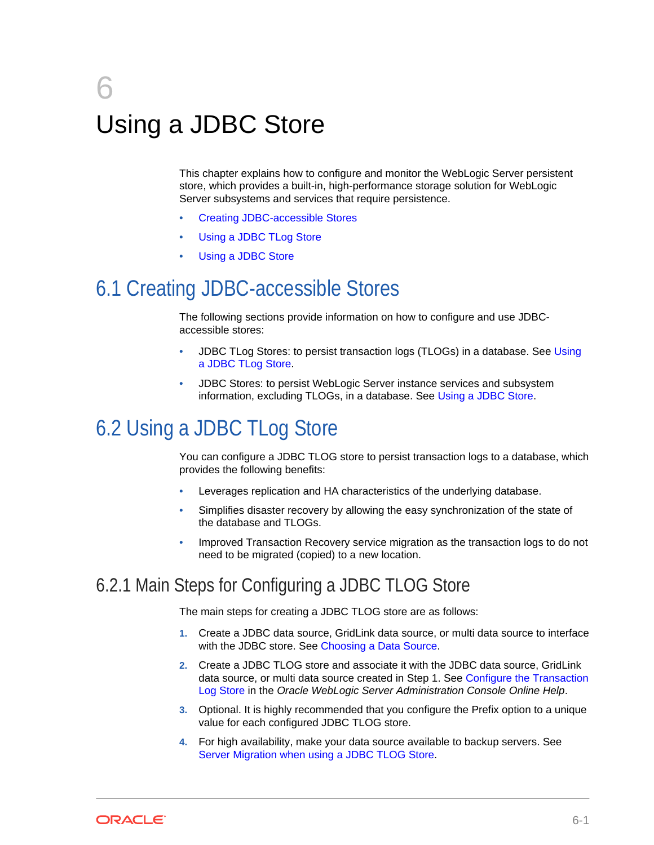# <span id="page-28-0"></span>6 Using a JDBC Store

This chapter explains how to configure and monitor the WebLogic Server persistent store, which provides a built-in, high-performance storage solution for WebLogic Server subsystems and services that require persistence.

- Creating JDBC-accessible Stores
- Using a JDBC TLog Store
- [Using a JDBC Store](#page-33-0)

# 6.1 Creating JDBC-accessible Stores

The following sections provide information on how to configure and use JDBCaccessible stores:

- JDBC TLog Stores: to persist transaction logs (TLOGs) in a database. See Using a JDBC TLog Store.
- JDBC Stores: to persist WebLogic Server instance services and subsystem information, excluding TLOGs, in a database. See [Using a JDBC Store](#page-33-0).

# 6.2 Using a JDBC TLog Store

You can configure a JDBC TLOG store to persist transaction logs to a database, which provides the following benefits:

- Leverages replication and HA characteristics of the underlying database.
- Simplifies disaster recovery by allowing the easy synchronization of the state of the database and TLOGs.
- Improved Transaction Recovery service migration as the transaction logs to do not need to be migrated (copied) to a new location.

## 6.2.1 Main Steps for Configuring a JDBC TLOG Store

The main steps for creating a JDBC TLOG store are as follows:

- **1.** Create a JDBC data source, GridLink data source, or multi data source to interface with the JDBC store. See [Choosing a Data Source](#page-29-0).
- **2.** Create a JDBC TLOG store and associate it with the JDBC data source, GridLink data source, or multi data source created in Step 1. See Configure the Transaction Log Store in the *Oracle WebLogic Server Administration Console Online Help*.
- **3.** Optional. It is highly recommended that you configure the Prefix option to a unique value for each configured JDBC TLOG store.
- **4.** For high availability, make your data source available to backup servers. See [Server Migration when using a JDBC TLOG Store.](#page-32-0)

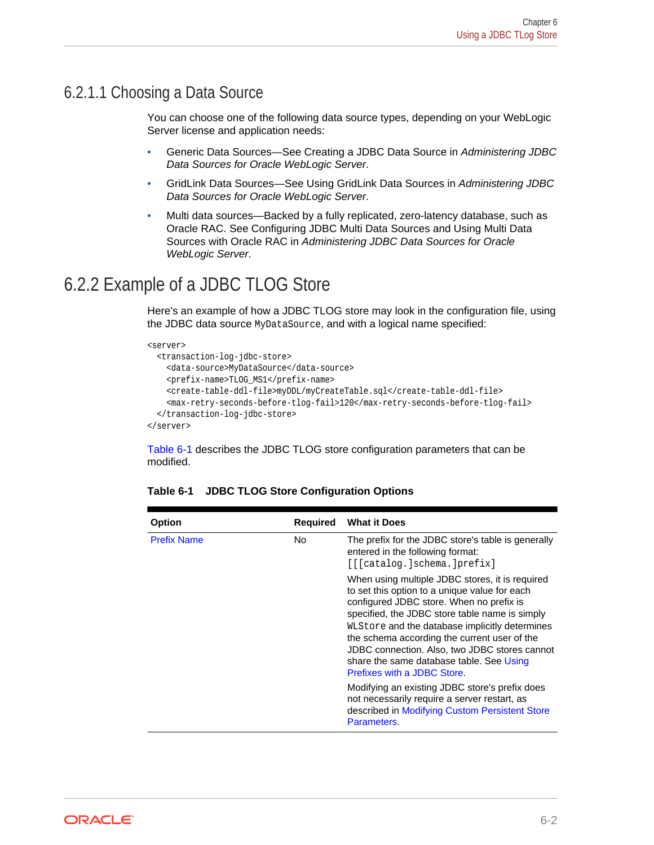#### <span id="page-29-0"></span>6.2.1.1 Choosing a Data Source

You can choose one of the following data source types, depending on your WebLogic Server license and application needs:

- Generic Data Sources—See Creating a JDBC Data Source in *Administering JDBC Data Sources for Oracle WebLogic Server*.
- GridLink Data Sources—See Using GridLink Data Sources in *Administering JDBC Data Sources for Oracle WebLogic Server*.
- Multi data sources—Backed by a fully replicated, zero-latency database, such as Oracle RAC. See Configuring JDBC Multi Data Sources and Using Multi Data Sources with Oracle RAC in *Administering JDBC Data Sources for Oracle WebLogic Server*.

## 6.2.2 Example of a JDBC TLOG Store

Here's an example of how a JDBC TLOG store may look in the configuration file, using the JDBC data source MyDataSource, and with a logical name specified:

```
<server>
   <transaction-log-jdbc-store>
     <data-source>MyDataSource</data-source>
     <prefix-name>TLOG_MS1</prefix-name>
     <create-table-ddl-file>myDDL/myCreateTable.sql</create-table-ddl-file>
     <max-retry-seconds-before-tlog-fail>120</max-retry-seconds-before-tlog-fail>
   </transaction-log-jdbc-store>
```
</server>

Table 6-1 describes the JDBC TLOG store configuration parameters that can be modified.

| Option             | <b>Required</b> | <b>What it Does</b>                                                                                                                                                                                                                                                                                                                                                                                                                                                                                                                                                              |
|--------------------|-----------------|----------------------------------------------------------------------------------------------------------------------------------------------------------------------------------------------------------------------------------------------------------------------------------------------------------------------------------------------------------------------------------------------------------------------------------------------------------------------------------------------------------------------------------------------------------------------------------|
| <b>Prefix Name</b> | No.             | The prefix for the JDBC store's table is generally<br>entered in the following format:<br>[[[catalog.]schema.]prefix]                                                                                                                                                                                                                                                                                                                                                                                                                                                            |
|                    |                 | When using multiple JDBC stores, it is required<br>to set this option to a unique value for each<br>configured JDBC store. When no prefix is<br>specified, the JDBC store table name is simply<br>WLStore and the database implicitly determines<br>the schema according the current user of the<br>JDBC connection. Also, two JDBC stores cannot<br>share the same database table. See Using<br>Prefixes with a JDBC Store.<br>Modifying an existing JDBC store's prefix does<br>not necessarily require a server restart, as<br>described in Modifying Custom Persistent Store |
|                    |                 | Parameters.                                                                                                                                                                                                                                                                                                                                                                                                                                                                                                                                                                      |

#### **Table 6-1 JDBC TLOG Store Configuration Options**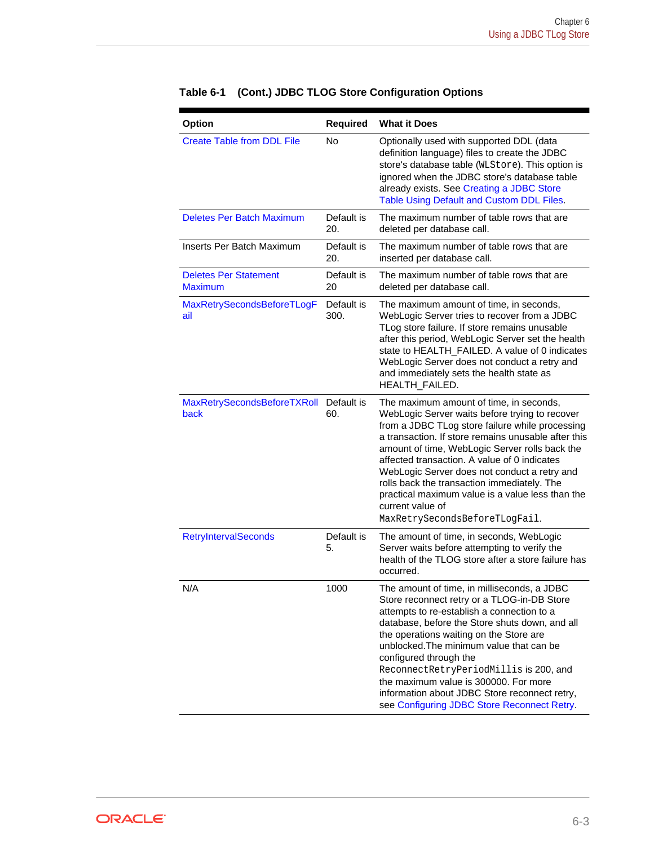| Option                                         | Required           | <b>What it Does</b>                                                                                                                                                                                                                                                                                                                                                                                                                                                                                            |
|------------------------------------------------|--------------------|----------------------------------------------------------------------------------------------------------------------------------------------------------------------------------------------------------------------------------------------------------------------------------------------------------------------------------------------------------------------------------------------------------------------------------------------------------------------------------------------------------------|
| <b>Create Table from DDL File</b>              | No                 | Optionally used with supported DDL (data<br>definition language) files to create the JDBC<br>store's database table (WLStore). This option is<br>ignored when the JDBC store's database table<br>already exists. See Creating a JDBC Store<br>Table Using Default and Custom DDL Files.                                                                                                                                                                                                                        |
| <b>Deletes Per Batch Maximum</b>               | Default is<br>20.  | The maximum number of table rows that are<br>deleted per database call.                                                                                                                                                                                                                                                                                                                                                                                                                                        |
| Inserts Per Batch Maximum                      | Default is<br>20.  | The maximum number of table rows that are<br>inserted per database call.                                                                                                                                                                                                                                                                                                                                                                                                                                       |
| <b>Deletes Per Statement</b><br><b>Maximum</b> | Default is<br>20   | The maximum number of table rows that are<br>deleted per database call.                                                                                                                                                                                                                                                                                                                                                                                                                                        |
| MaxRetrySecondsBeforeTLogF<br>ail              | Default is<br>300. | The maximum amount of time, in seconds,<br>WebLogic Server tries to recover from a JDBC<br>TLog store failure. If store remains unusable<br>after this period, WebLogic Server set the health<br>state to HEALTH_FAILED. A value of 0 indicates<br>WebLogic Server does not conduct a retry and<br>and immediately sets the health state as<br>HEALTH FAILED.                                                                                                                                                  |
| MaxRetrySecondsBeforeTXRoll<br>back            | Default is<br>60.  | The maximum amount of time, in seconds,<br>WebLogic Server waits before trying to recover<br>from a JDBC TLog store failure while processing<br>a transaction. If store remains unusable after this<br>amount of time, WebLogic Server rolls back the<br>affected transaction. A value of 0 indicates<br>WebLogic Server does not conduct a retry and<br>rolls back the transaction immediately. The<br>practical maximum value is a value less than the<br>current value of<br>MaxRetrySecondsBeforeTLogFail. |
| <b>RetryIntervalSeconds</b>                    | Default is<br>5.   | The amount of time, in seconds, WebLogic<br>Server waits before attempting to verify the<br>health of the TLOG store after a store failure has<br>occurred.                                                                                                                                                                                                                                                                                                                                                    |
| N/A                                            | 1000               | The amount of time, in milliseconds, a JDBC<br>Store reconnect retry or a TLOG-in-DB Store<br>attempts to re-establish a connection to a<br>database, before the Store shuts down, and all<br>the operations waiting on the Store are<br>unblocked. The minimum value that can be<br>configured through the<br>ReconnectRetryPeriodMillis is 200, and<br>the maximum value is 300000. For more<br>information about JDBC Store reconnect retry,<br>see Configuring JDBC Store Reconnect Retry.                 |

#### **Table 6-1 (Cont.) JDBC TLOG Store Configuration Options**

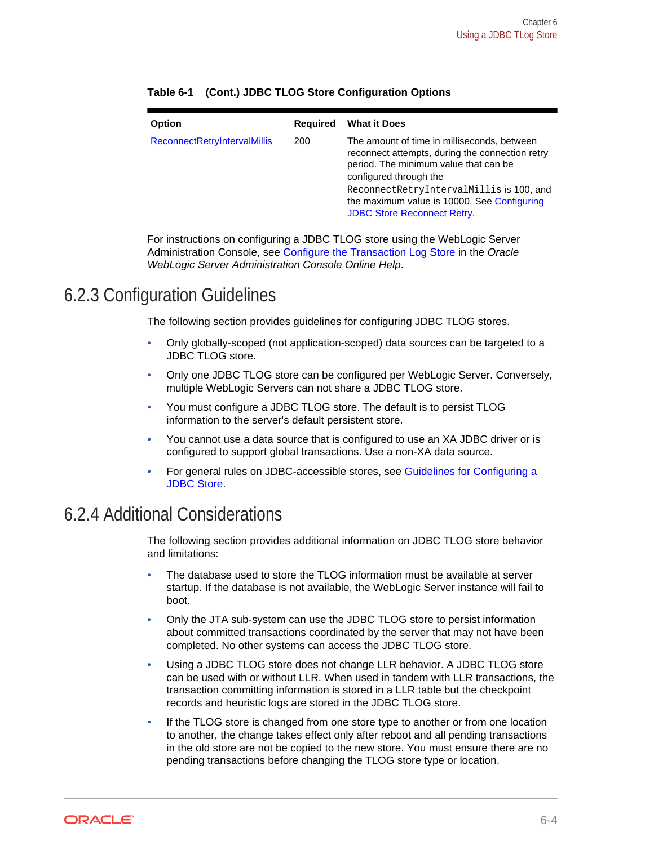| Option                              | <b>Required</b> | <b>What it Does</b>                                                                                                                                                                                                                                                                                |
|-------------------------------------|-----------------|----------------------------------------------------------------------------------------------------------------------------------------------------------------------------------------------------------------------------------------------------------------------------------------------------|
| <b>ReconnectRetryIntervalMillis</b> | 200             | The amount of time in milliseconds, between<br>reconnect attempts, during the connection retry<br>period. The minimum value that can be<br>configured through the<br>ReconnectRetryIntervalMillis is 100, and<br>the maximum value is 10000. See Configuring<br><b>JDBC Store Reconnect Retry.</b> |

<span id="page-31-0"></span>

|  | Table 6-1 (Cont.) JDBC TLOG Store Configuration Options |  |
|--|---------------------------------------------------------|--|
|  |                                                         |  |

For instructions on configuring a JDBC TLOG store using the WebLogic Server Administration Console, see Configure the Transaction Log Store in the *Oracle WebLogic Server Administration Console Online Help*.

### 6.2.3 Configuration Guidelines

The following section provides guidelines for configuring JDBC TLOG stores.

- Only globally-scoped (not application-scoped) data sources can be targeted to a JDBC TLOG store.
- Only one JDBC TLOG store can be configured per WebLogic Server. Conversely, multiple WebLogic Servers can not share a JDBC TLOG store.
- You must configure a JDBC TLOG store. The default is to persist TLOG information to the server's default persistent store.
- You cannot use a data source that is configured to use an XA JDBC driver or is configured to support global transactions. Use a non-XA data source.
- For general rules on JDBC-accessible stores, see [Guidelines for Configuring a](#page-44-0) [JDBC Store.](#page-44-0)

## 6.2.4 Additional Considerations

The following section provides additional information on JDBC TLOG store behavior and limitations:

- The database used to store the TLOG information must be available at server startup. If the database is not available, the WebLogic Server instance will fail to boot.
- Only the JTA sub-system can use the JDBC TLOG store to persist information about committed transactions coordinated by the server that may not have been completed. No other systems can access the JDBC TLOG store.
- Using a JDBC TLOG store does not change LLR behavior. A JDBC TLOG store can be used with or without LLR. When used in tandem with LLR transactions, the transaction committing information is stored in a LLR table but the checkpoint records and heuristic logs are stored in the JDBC TLOG store.
- If the TLOG store is changed from one store type to another or from one location to another, the change takes effect only after reboot and all pending transactions in the old store are not be copied to the new store. You must ensure there are no pending transactions before changing the TLOG store type or location.

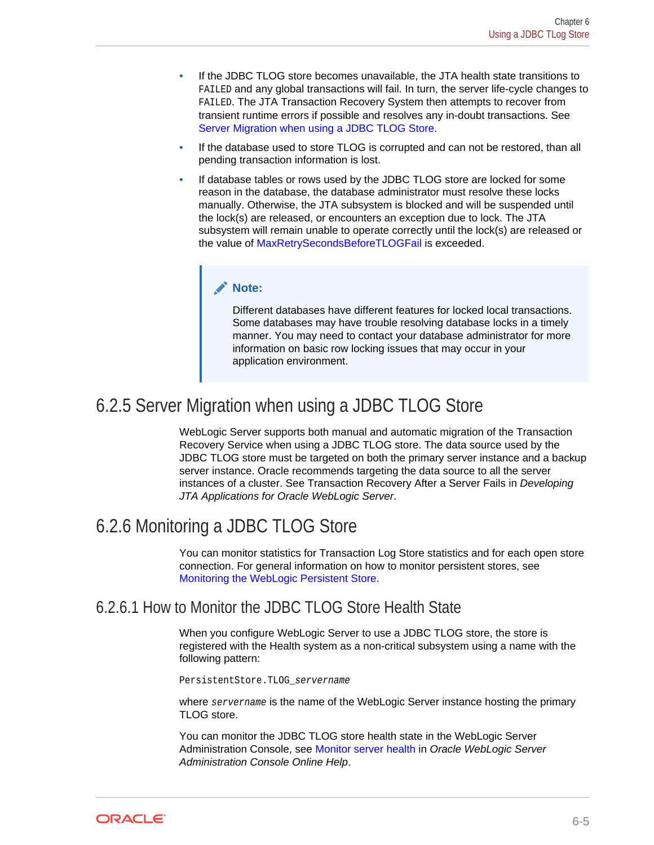- <span id="page-32-0"></span>• If the JDBC TLOG store becomes unavailable, the JTA health state transitions to FAILED and any global transactions will fail. In turn, the server life-cycle changes to FAILED. The JTA Transaction Recovery System then attempts to recover from transient runtime errors if possible and resolves any in-doubt transactions. See Server Migration when using a JDBC TLOG Store.
- If the database used to store TLOG is corrupted and can not be restored, than all pending transaction information is lost.
- If database tables or rows used by the JDBC TLOG store are locked for some reason in the database, the database administrator must resolve these locks manually. Otherwise, the JTA subsystem is blocked and will be suspended until the lock(s) are released, or encounters an exception due to lock. The JTA subsystem will remain unable to operate correctly until the lock(s) are released or the value of MaxRetrySecondsBeforeTLOGFail is exceeded.

#### **Note:**

Different databases have different features for locked local transactions. Some databases may have trouble resolving database locks in a timely manner. You may need to contact your database administrator for more information on basic row locking issues that may occur in your application environment.

## 6.2.5 Server Migration when using a JDBC TLOG Store

WebLogic Server supports both manual and automatic migration of the Transaction Recovery Service when using a JDBC TLOG store. The data source used by the JDBC TLOG store must be targeted on both the primary server instance and a backup server instance. Oracle recommends targeting the data source to all the server instances of a cluster. See Transaction Recovery After a Server Fails in *Developing JTA Applications for Oracle WebLogic Server*.

## 6.2.6 Monitoring a JDBC TLOG Store

You can monitor statistics for Transaction Log Store statistics and for each open store connection. For general information on how to monitor persistent stores, see [Monitoring the WebLogic Persistent Store.](#page-54-0)

#### 6.2.6.1 How to Monitor the JDBC TLOG Store Health State

When you configure WebLogic Server to use a JDBC TLOG store, the store is registered with the Health system as a non-critical subsystem using a name with the following pattern:

PersistentStore.TLOG\_servername

where servername is the name of the WebLogic Server instance hosting the primary TLOG store.

You can monitor the JDBC TLOG store health state in the WebLogic Server Administration Console, see Monitor server health in *Oracle WebLogic Server Administration Console Online Help*.

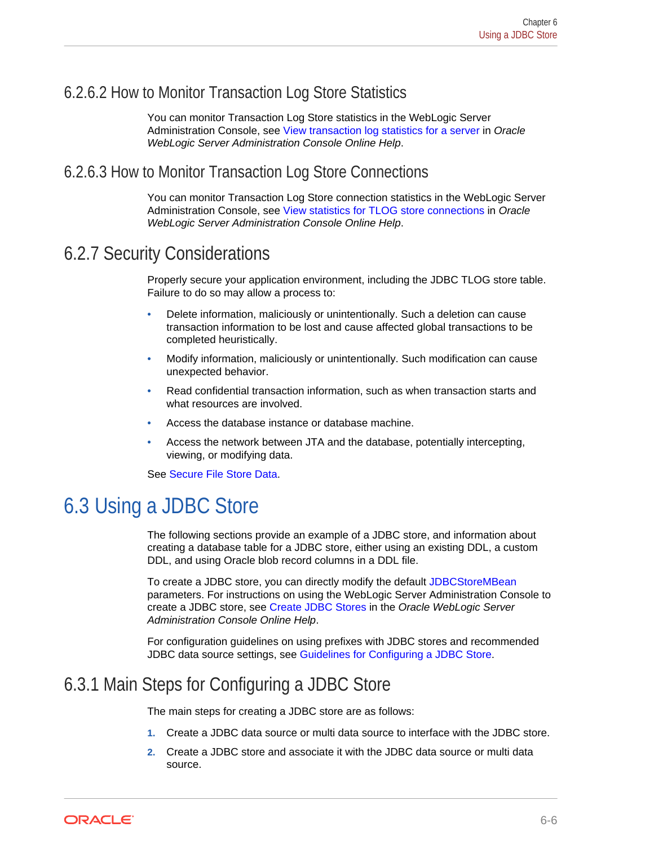### <span id="page-33-0"></span>6.2.6.2 How to Monitor Transaction Log Store Statistics

You can monitor Transaction Log Store statistics in the WebLogic Server Administration Console, see View transaction log statistics for a server in *Oracle WebLogic Server Administration Console Online Help*.

#### 6.2.6.3 How to Monitor Transaction Log Store Connections

You can monitor Transaction Log Store connection statistics in the WebLogic Server Administration Console, see View statistics for TLOG store connections in *Oracle WebLogic Server Administration Console Online Help*.

## 6.2.7 Security Considerations

Properly secure your application environment, including the JDBC TLOG store table. Failure to do so may allow a process to:

- Delete information, maliciously or unintentionally. Such a deletion can cause transaction information to be lost and cause affected global transactions to be completed heuristically.
- Modify information, maliciously or unintentionally. Such modification can cause unexpected behavior.
- Read confidential transaction information, such as when transaction starts and what resources are involved.
- Access the database instance or database machine.
- Access the network between JTA and the database, potentially intercepting, viewing, or modifying data.

See [Secure File Store Data.](#page-53-0)

# 6.3 Using a JDBC Store

The following sections provide an example of a JDBC store, and information about creating a database table for a JDBC store, either using an existing DDL, a custom DDL, and using Oracle blob record columns in a DDL file.

To create a JDBC store, you can directly modify the default JDBCStoreMBean parameters. For instructions on using the WebLogic Server Administration Console to create a JDBC store, see Create JDBC Stores in the *Oracle WebLogic Server Administration Console Online Help*.

For configuration guidelines on using prefixes with JDBC stores and recommended JDBC data source settings, see [Guidelines for Configuring a JDBC Store](#page-44-0).

## 6.3.1 Main Steps for Configuring a JDBC Store

The main steps for creating a JDBC store are as follows:

- **1.** Create a JDBC data source or multi data source to interface with the JDBC store.
- **2.** Create a JDBC store and associate it with the JDBC data source or multi data source.

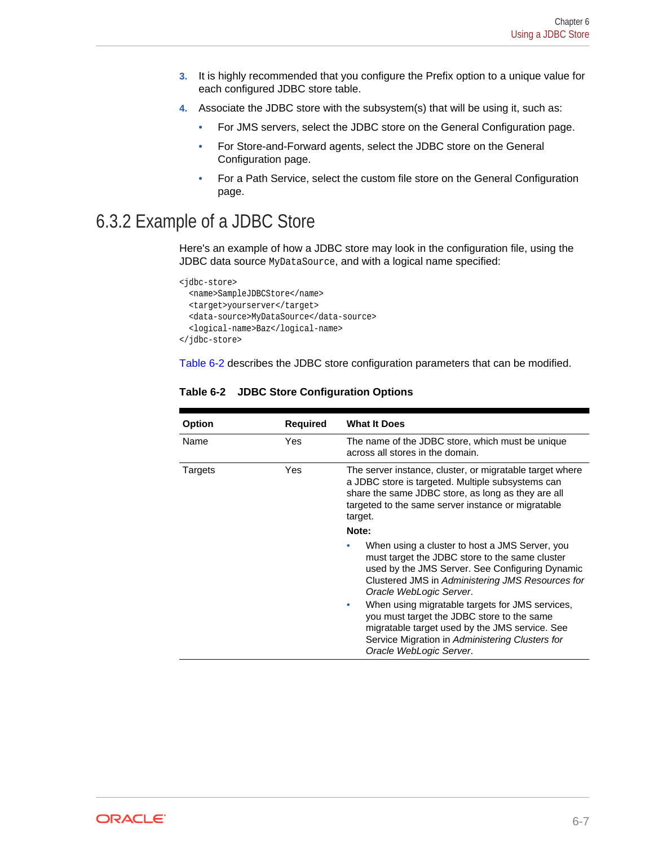- <span id="page-34-0"></span>**3.** It is highly recommended that you configure the Prefix option to a unique value for each configured JDBC store table.
- **4.** Associate the JDBC store with the subsystem(s) that will be using it, such as:
	- For JMS servers, select the JDBC store on the General Configuration page.
	- For Store-and-Forward agents, select the JDBC store on the General Configuration page.
	- For a Path Service, select the custom file store on the General Configuration page.

## 6.3.2 Example of a JDBC Store

Here's an example of how a JDBC store may look in the configuration file, using the JDBC data source MyDataSource, and with a logical name specified:

```
<jdbc-store>
   <name>SampleJDBCStore</name>
  <target>yourserver</target>
  <data-source>MyDataSource</data-source>
   <logical-name>Baz</logical-name>
</jdbc-store>
```
Table 6-2 describes the JDBC store configuration parameters that can be modified.

| Option  | <b>Required</b> | <b>What It Does</b>                                                                                                                                                                                                                                                                                                                                                                                                                                                      |
|---------|-----------------|--------------------------------------------------------------------------------------------------------------------------------------------------------------------------------------------------------------------------------------------------------------------------------------------------------------------------------------------------------------------------------------------------------------------------------------------------------------------------|
| Name    | Yes.            | The name of the JDBC store, which must be unique<br>across all stores in the domain.                                                                                                                                                                                                                                                                                                                                                                                     |
| Targets | Yes             | The server instance, cluster, or migratable target where<br>a JDBC store is targeted. Multiple subsystems can<br>share the same JDBC store, as long as they are all<br>targeted to the same server instance or migratable<br>target.<br>Note:                                                                                                                                                                                                                            |
|         |                 | When using a cluster to host a JMS Server, you<br>must target the JDBC store to the same cluster<br>used by the JMS Server. See Configuring Dynamic<br>Clustered JMS in Administering JMS Resources for<br>Oracle WebLogic Server.<br>When using migratable targets for JMS services,<br>۰<br>you must target the JDBC store to the same<br>migratable target used by the JMS service. See<br>Service Migration in Administering Clusters for<br>Oracle WebLogic Server. |

**Table 6-2 JDBC Store Configuration Options**

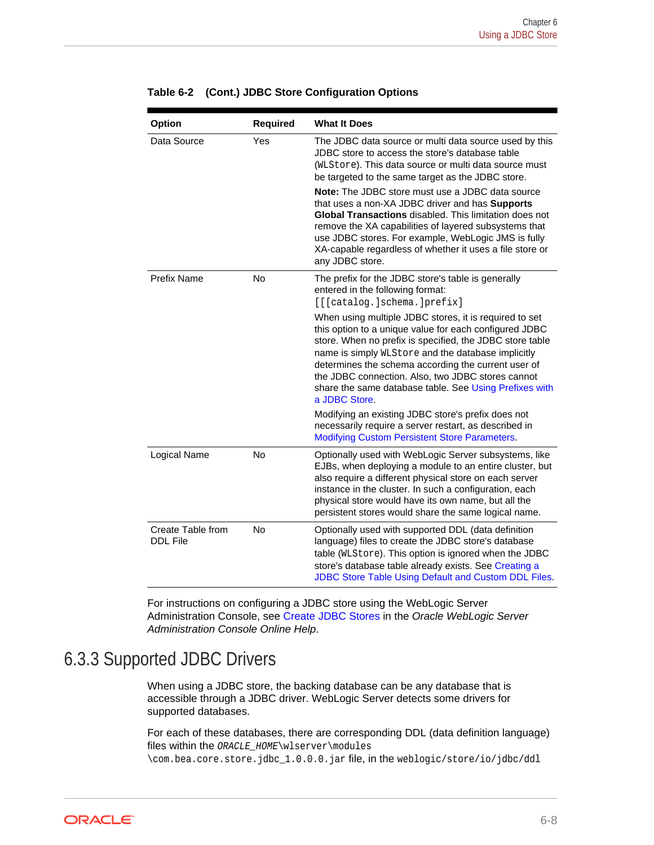| Option                               | <b>Required</b> | <b>What It Does</b>                                                                                                                                                                                                                                                                                                                                                                                                       |
|--------------------------------------|-----------------|---------------------------------------------------------------------------------------------------------------------------------------------------------------------------------------------------------------------------------------------------------------------------------------------------------------------------------------------------------------------------------------------------------------------------|
| Data Source                          | Yes             | The JDBC data source or multi data source used by this<br>JDBC store to access the store's database table<br>(WLStore). This data source or multi data source must<br>be targeted to the same target as the JDBC store.<br>Note: The JDBC store must use a JDBC data source                                                                                                                                               |
|                                      |                 | that uses a non-XA JDBC driver and has Supports<br>Global Transactions disabled. This limitation does not<br>remove the XA capabilities of layered subsystems that<br>use JDBC stores. For example, WebLogic JMS is fully<br>XA-capable regardless of whether it uses a file store or<br>any JDBC store.                                                                                                                  |
| <b>Prefix Name</b>                   | <b>No</b>       | The prefix for the JDBC store's table is generally<br>entered in the following format:<br>[[[catalog.]schema.]prefix]                                                                                                                                                                                                                                                                                                     |
|                                      |                 | When using multiple JDBC stores, it is required to set<br>this option to a unique value for each configured JDBC<br>store. When no prefix is specified, the JDBC store table<br>name is simply WLStore and the database implicitly<br>determines the schema according the current user of<br>the JDBC connection. Also, two JDBC stores cannot<br>share the same database table. See Using Prefixes with<br>a JDBC Store. |
|                                      |                 | Modifying an existing JDBC store's prefix does not<br>necessarily require a server restart, as described in<br><b>Modifying Custom Persistent Store Parameters.</b>                                                                                                                                                                                                                                                       |
| Logical Name                         | No              | Optionally used with WebLogic Server subsystems, like<br>EJBs, when deploying a module to an entire cluster, but<br>also require a different physical store on each server<br>instance in the cluster. In such a configuration, each<br>physical store would have its own name, but all the<br>persistent stores would share the same logical name.                                                                       |
| Create Table from<br><b>DDL File</b> | <b>No</b>       | Optionally used with supported DDL (data definition<br>language) files to create the JDBC store's database<br>table (WLStore). This option is ignored when the JDBC<br>store's database table already exists. See Creating a<br>JDBC Store Table Using Default and Custom DDL Files.                                                                                                                                      |

#### <span id="page-35-0"></span>**Table 6-2 (Cont.) JDBC Store Configuration Options**

For instructions on configuring a JDBC store using the WebLogic Server Administration Console, see Create JDBC Stores in the *Oracle WebLogic Server Administration Console Online Help*.

## 6.3.3 Supported JDBC Drivers

When using a JDBC store, the backing database can be any database that is accessible through a JDBC driver. WebLogic Server detects some drivers for supported databases.

For each of these databases, there are corresponding DDL (data definition language) files within the ORACLE\_HOME\wlserver\modules

\com.bea.core.store.jdbc\_1.0.0.0.jar file, in the weblogic/store/io/jdbc/ddl

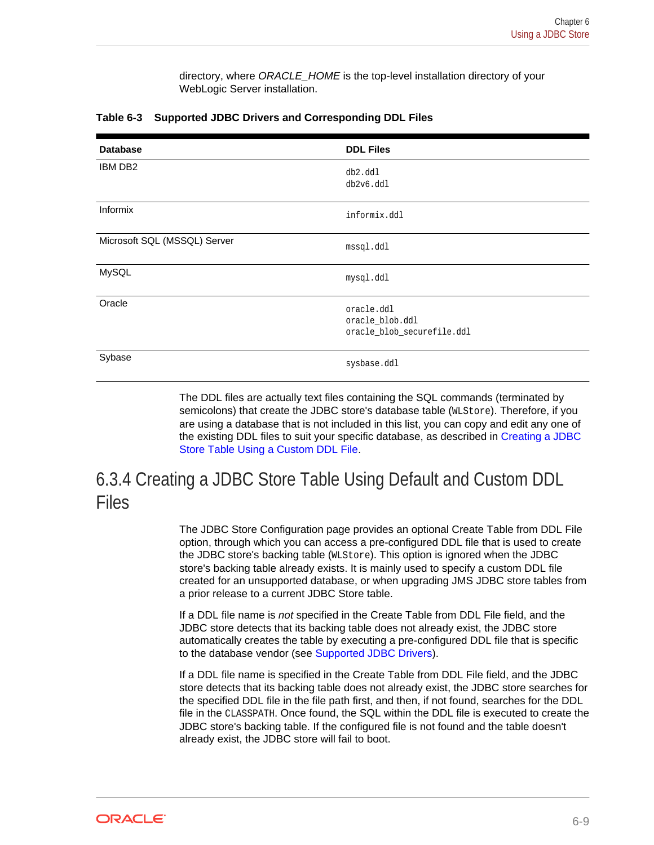directory, where *ORACLE\_HOME* is the top-level installation directory of your WebLogic Server installation.

| <b>Database</b>              | <b>DDL Files</b>                                            |
|------------------------------|-------------------------------------------------------------|
| <b>IBM DB2</b>               | db2.ddl<br>db2v6.ddl                                        |
| <b>Informix</b>              | informix.ddl                                                |
| Microsoft SQL (MSSQL) Server | mssql.ddl                                                   |
| MySQL                        | mysql.ddl                                                   |
| Oracle                       | oracle.ddl<br>oracle_blob.ddl<br>oracle_blob_securefile.ddl |
| Sybase                       | sysbase.ddl                                                 |

#### <span id="page-36-0"></span>**Table 6-3 Supported JDBC Drivers and Corresponding DDL Files**

The DDL files are actually text files containing the SQL commands (terminated by semicolons) that create the JDBC store's database table (WLStore). Therefore, if you are using a database that is not included in this list, you can copy and edit any one of the existing DDL files to suit your specific database, as described in [Creating a JDBC](#page-37-0) [Store Table Using a Custom DDL File](#page-37-0).

# 6.3.4 Creating a JDBC Store Table Using Default and Custom DDL Files

The JDBC Store Configuration page provides an optional Create Table from DDL File option, through which you can access a pre-configured DDL file that is used to create the JDBC store's backing table (WLStore). This option is ignored when the JDBC store's backing table already exists. It is mainly used to specify a custom DDL file created for an unsupported database, or when upgrading JMS JDBC store tables from a prior release to a current JDBC Store table.

If a DDL file name is *not* specified in the Create Table from DDL File field, and the JDBC store detects that its backing table does not already exist, the JDBC store automatically creates the table by executing a pre-configured DDL file that is specific to the database vendor (see [Supported JDBC Drivers\)](#page-35-0).

If a DDL file name is specified in the Create Table from DDL File field, and the JDBC store detects that its backing table does not already exist, the JDBC store searches for the specified DDL file in the file path first, and then, if not found, searches for the DDL file in the CLASSPATH. Once found, the SQL within the DDL file is executed to create the JDBC store's backing table. If the configured file is not found and the table doesn't already exist, the JDBC store will fail to boot.

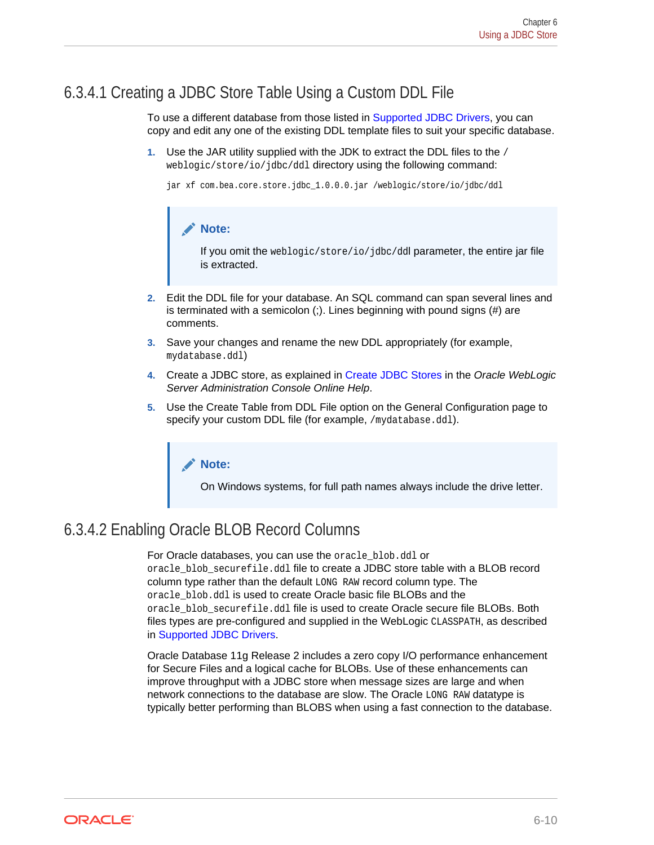### <span id="page-37-0"></span>6.3.4.1 Creating a JDBC Store Table Using a Custom DDL File

To use a different database from those listed in [Supported JDBC Drivers,](#page-35-0) you can copy and edit any one of the existing DDL template files to suit your specific database.

**1.** Use the JAR utility supplied with the JDK to extract the DDL files to the / weblogic/store/io/jdbc/ddl directory using the following command:

```
jar xf com.bea.core.store.jdbc_1.0.0.0.jar /weblogic/store/io/jdbc/ddl
```
#### **Note:**

If you omit the weblogic/store/io/jdbc/ddl parameter, the entire jar file is extracted.

- **2.** Edit the DDL file for your database. An SQL command can span several lines and is terminated with a semicolon (;). Lines beginning with pound signs (#) are comments.
- **3.** Save your changes and rename the new DDL appropriately (for example, mydatabase.ddl)
- **4.** Create a JDBC store, as explained in Create JDBC Stores in the *Oracle WebLogic Server Administration Console Online Help*.
- **5.** Use the Create Table from DDL File option on the General Configuration page to specify your custom DDL file (for example, /mydatabase.ddl).

#### **Note:**

On Windows systems, for full path names always include the drive letter.

## 6.3.4.2 Enabling Oracle BLOB Record Columns

For Oracle databases, you can use the oracle\_blob.ddl or oracle blob securefile.ddl file to create a JDBC store table with a BLOB record column type rather than the default LONG RAW record column type. The oracle\_blob.ddl is used to create Oracle basic file BLOBs and the oracle\_blob\_securefile.ddl file is used to create Oracle secure file BLOBs. Both files types are pre-configured and supplied in the WebLogic CLASSPATH, as described in [Supported JDBC Drivers](#page-35-0).

Oracle Database 11g Release 2 includes a zero copy I/O performance enhancement for Secure Files and a logical cache for BLOBs. Use of these enhancements can improve throughput with a JDBC store when message sizes are large and when network connections to the database are slow. The Oracle LONG RAW datatype is typically better performing than BLOBS when using a fast connection to the database.

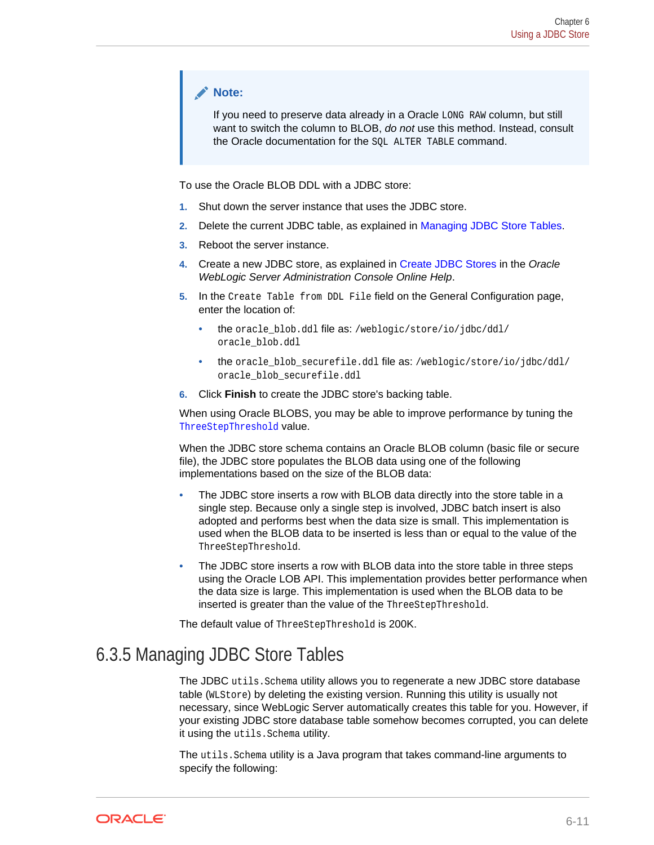#### <span id="page-38-0"></span>**Note:**

If you need to preserve data already in a Oracle LONG RAW column, but still want to switch the column to BLOB, *do not* use this method. Instead, consult the Oracle documentation for the SQL ALTER TABLE command.

To use the Oracle BLOB DDL with a JDBC store:

- **1.** Shut down the server instance that uses the JDBC store.
- **2.** Delete the current JDBC table, as explained in Managing JDBC Store Tables.
- **3.** Reboot the server instance.
- **4.** Create a new JDBC store, as explained in Create JDBC Stores in the *Oracle WebLogic Server Administration Console Online Help*.
- **5.** In the Create Table from DDL File field on the General Configuration page, enter the location of:
	- the oracle\_blob.ddl file as: /weblogic/store/io/jdbc/ddl/ oracle\_blob.ddl
	- the oracle\_blob\_securefile.ddl file as: /weblogic/store/io/jdbc/ddl/ oracle\_blob\_securefile.ddl
- **6.** Click **Finish** to create the JDBC store's backing table.

When using Oracle BLOBS, you may be able to improve performance by tuning the ThreeStepThreshold value.

When the JDBC store schema contains an Oracle BLOB column (basic file or secure file), the JDBC store populates the BLOB data using one of the following implementations based on the size of the BLOB data:

- The JDBC store inserts a row with BLOB data directly into the store table in a single step. Because only a single step is involved, JDBC batch insert is also adopted and performs best when the data size is small. This implementation is used when the BLOB data to be inserted is less than or equal to the value of the ThreeStepThreshold.
- The JDBC store inserts a row with BLOB data into the store table in three steps using the Oracle LOB API. This implementation provides better performance when the data size is large. This implementation is used when the BLOB data to be inserted is greater than the value of the ThreeStepThreshold.

The default value of ThreeStepThreshold is 200K.

## 6.3.5 Managing JDBC Store Tables

The JDBC utils. Schema utility allows you to regenerate a new JDBC store database table (WLStore) by deleting the existing version. Running this utility is usually not necessary, since WebLogic Server automatically creates this table for you. However, if your existing JDBC store database table somehow becomes corrupted, you can delete it using the utils.Schema utility.

The utils.Schema utility is a Java program that takes command-line arguments to specify the following:

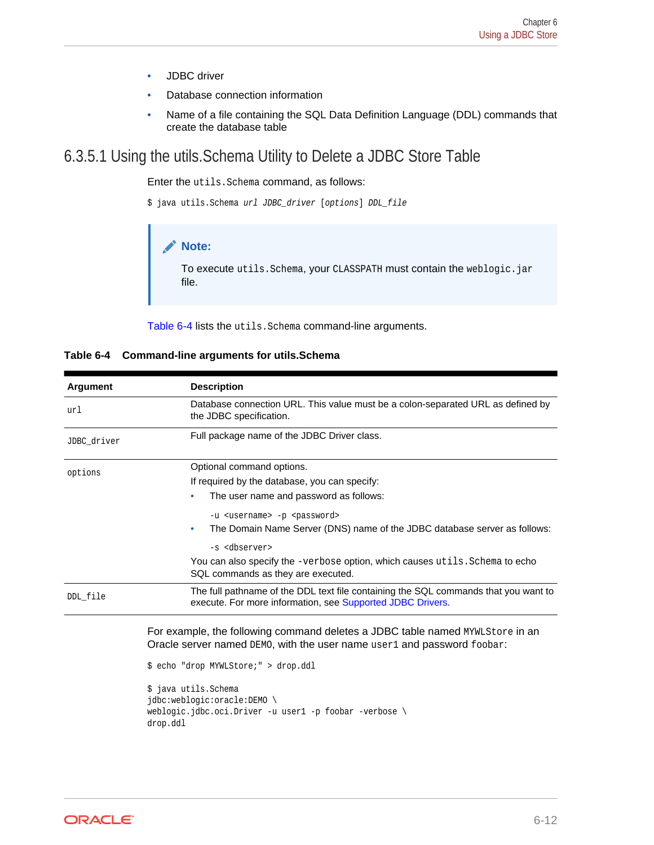- JDBC driver
- Database connection information
- Name of a file containing the SQL Data Definition Language (DDL) commands that create the database table

#### <span id="page-39-0"></span>6.3.5.1 Using the utils.Schema Utility to Delete a JDBC Store Table

Enter the utils.Schema command, as follows:

```
$ java utils.Schema url JDBC_driver [options] DDL_file
```


To execute utils.Schema, your CLASSPATH must contain the weblogic.jar file.

Table 6-4 lists the utils. Schema command-line arguments.

| Database connection URL. This value must be a colon-separated URL as defined by                                                                                                                                                                                                                                  |
|------------------------------------------------------------------------------------------------------------------------------------------------------------------------------------------------------------------------------------------------------------------------------------------------------------------|
| the JDBC specification.                                                                                                                                                                                                                                                                                          |
| Full package name of the JDBC Driver class.                                                                                                                                                                                                                                                                      |
| Optional command options.                                                                                                                                                                                                                                                                                        |
| If required by the database, you can specify:                                                                                                                                                                                                                                                                    |
| The user name and password as follows:<br>۰                                                                                                                                                                                                                                                                      |
| -u <username> -p <password></password></username>                                                                                                                                                                                                                                                                |
| The Domain Name Server (DNS) name of the JDBC database server as follows:<br>۰                                                                                                                                                                                                                                   |
| -s <dbserver></dbserver>                                                                                                                                                                                                                                                                                         |
| You can also specify the -verbose option, which causes utils. Schema to echo<br>SQL commands as they are executed.                                                                                                                                                                                               |
| The full pathname of the DDL text file containing the SQL commands that you want to<br>execute. For more information, see Supported JDBC Drivers.                                                                                                                                                                |
| For example, the following command deletes a JDBC table named MYWLStore in an<br>Oracle server named DEMO, with the user name user1 and password foobar:<br>\$ echo "drop MYWLStore;" > drop.ddl<br>\$ java utils. Schema<br>jdbc:weblogic:oracle:DEMO \<br>weblogic.jdbc.oci.Driver -u user1 -p foobar -verbose |
|                                                                                                                                                                                                                                                                                                                  |

#### **Table 6-4 Command-line arguments for utils.Schema**



drop.ddl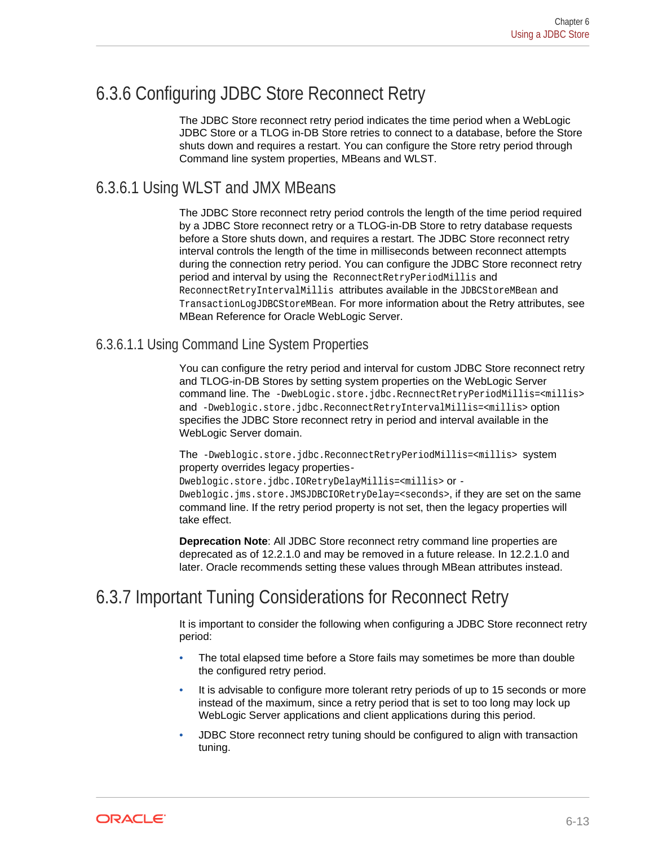## <span id="page-40-0"></span>6.3.6 Configuring JDBC Store Reconnect Retry

The JDBC Store reconnect retry period indicates the time period when a WebLogic JDBC Store or a TLOG in-DB Store retries to connect to a database, before the Store shuts down and requires a restart. You can configure the Store retry period through Command line system properties, MBeans and WLST.

#### 6.3.6.1 Using WLST and JMX MBeans

The JDBC Store reconnect retry period controls the length of the time period required by a JDBC Store reconnect retry or a TLOG-in-DB Store to retry database requests before a Store shuts down, and requires a restart. The JDBC Store reconnect retry interval controls the length of the time in milliseconds between reconnect attempts during the connection retry period. You can configure the JDBC Store reconnect retry period and interval by using the ReconnectRetryPeriodMillis and ReconnectRetryIntervalMillis attributes available in the JDBCStoreMBean and TransactionLogJDBCStoreMBean. For more information about the Retry attributes, see MBean Reference for Oracle WebLogic Server.

#### 6.3.6.1.1 Using Command Line System Properties

You can configure the retry period and interval for custom JDBC Store reconnect retry and TLOG-in-DB Stores by setting system properties on the WebLogic Server command line. The -DwebLogic.store.jdbc.RecnnectRetryPeriodMillis=<millis> and -Dweblogic.store.jdbc.ReconnectRetryIntervalMillis=<millis> option specifies the JDBC Store reconnect retry in period and interval available in the WebLogic Server domain.

The -Dweblogic.store.jdbc.ReconnectRetryPeriodMillis=<millis> system property overrides legacy properties-

Dweblogic.store.jdbc.IORetryDelayMillis=<millis> or - Dweblogic.jms.store.JMSJDBCIORetryDelay=<seconds>, if they are set on the same command line. If the retry period property is not set, then the legacy properties will take effect.

**Deprecation Note**: All JDBC Store reconnect retry command line properties are deprecated as of 12.2.1.0 and may be removed in a future release. In 12.2.1.0 and later. Oracle recommends setting these values through MBean attributes instead.

## 6.3.7 Important Tuning Considerations for Reconnect Retry

It is important to consider the following when configuring a JDBC Store reconnect retry period:

- The total elapsed time before a Store fails may sometimes be more than double the configured retry period.
- It is advisable to configure more tolerant retry periods of up to 15 seconds or more instead of the maximum, since a retry period that is set to too long may lock up WebLogic Server applications and client applications during this period.
- JDBC Store reconnect retry tuning should be configured to align with transaction tuning.

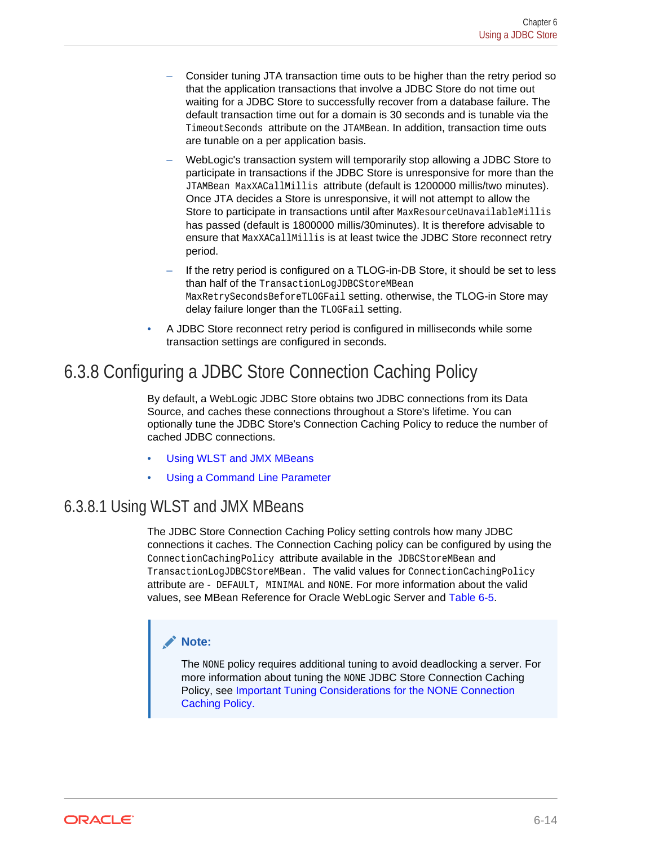- <span id="page-41-0"></span>– Consider tuning JTA transaction time outs to be higher than the retry period so that the application transactions that involve a JDBC Store do not time out waiting for a JDBC Store to successfully recover from a database failure. The default transaction time out for a domain is 30 seconds and is tunable via the TimeoutSeconds attribute on the JTAMBean. In addition, transaction time outs are tunable on a per application basis.
- WebLogic's transaction system will temporarily stop allowing a JDBC Store to participate in transactions if the JDBC Store is unresponsive for more than the JTAMBean MaxXACallMillis attribute (default is 1200000 millis/two minutes). Once JTA decides a Store is unresponsive, it will not attempt to allow the Store to participate in transactions until after MaxResourceUnavailableMillis has passed (default is 1800000 millis/30minutes). It is therefore advisable to ensure that MaxXACallMillis is at least twice the JDBC Store reconnect retry period.
- If the retry period is configured on a TLOG-in-DB Store, it should be set to less than half of the TransactionLogJDBCStoreMBean MaxRetrySecondsBeforeTLOGFail setting. otherwise, the TLOG-in Store may delay failure longer than the TLOGFail setting.
- A JDBC Store reconnect retry period is configured in milliseconds while some transaction settings are configured in seconds.

## 6.3.8 Configuring a JDBC Store Connection Caching Policy

By default, a WebLogic JDBC Store obtains two JDBC connections from its Data Source, and caches these connections throughout a Store's lifetime. You can optionally tune the JDBC Store's Connection Caching Policy to reduce the number of cached JDBC connections.

- Using WLST and JMX MBeans
- [Using a Command Line Parameter](#page-42-0)

## 6.3.8.1 Using WLST and JMX MBeans

The JDBC Store Connection Caching Policy setting controls how many JDBC connections it caches. The Connection Caching policy can be configured by using the ConnectionCachingPolicy attribute available in the JDBCStoreMBean and TransactionLogJDBCStoreMBean. The valid values for ConnectionCachingPolicy attribute are - DEFAULT, MINIMAL and NONE. For more information about the valid values, see MBean Reference for Oracle WebLogic Server and [Table 6-5.](#page-42-0)

#### **Note:**

The NONE policy requires additional tuning to avoid deadlocking a server. For more information about tuning the NONE JDBC Store Connection Caching Policy, see [Important Tuning Considerations for the NONE Connection](#page-43-0) [Caching Policy.](#page-43-0)

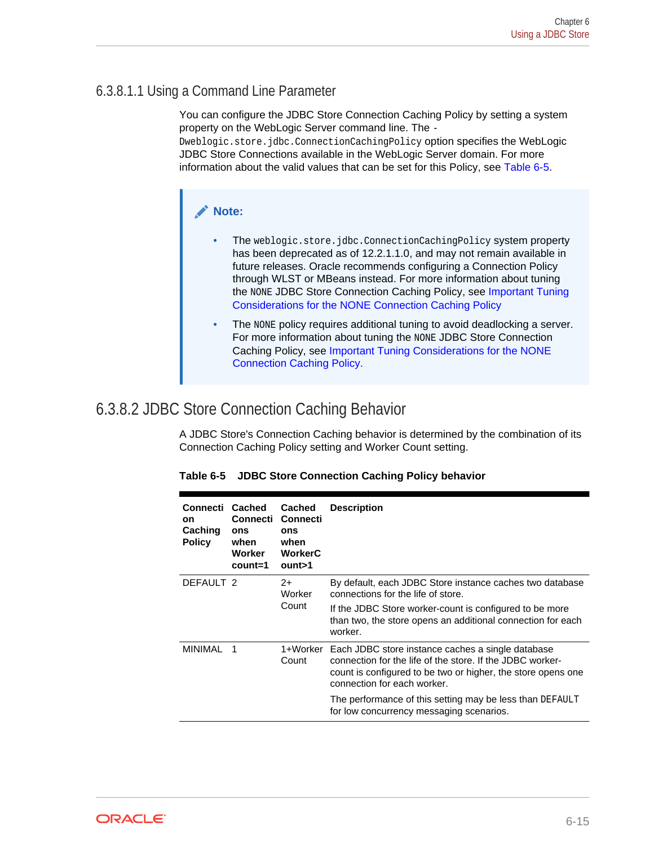#### <span id="page-42-0"></span>6.3.8.1.1 Using a Command Line Parameter

You can configure the JDBC Store Connection Caching Policy by setting a system property on the WebLogic Server command line. The - Dweblogic.store.jdbc.ConnectionCachingPolicy option specifies the WebLogic JDBC Store Connections available in the WebLogic Server domain. For more information about the valid values that can be set for this Policy, see Table 6-5.

#### **Note:**

- The weblogic.store.jdbc.ConnectionCachingPolicy system property has been deprecated as of 12.2.1.1.0, and may not remain available in future releases. Oracle recommends configuring a Connection Policy through WLST or MBeans instead. For more information about tuning the NONE JDBC Store Connection Caching Policy, see [Important Tuning](#page-43-0) [Considerations for the NONE Connection Caching Policy](#page-43-0)
- The NONE policy requires additional tuning to avoid deadlocking a server. For more information about tuning the NONE JDBC Store Connection Caching Policy, see [Important Tuning Considerations for the NONE](#page-43-0) [Connection Caching Policy.](#page-43-0)

#### 6.3.8.2 JDBC Store Connection Caching Behavior

A JDBC Store's Connection Caching behavior is determined by the combination of its Connection Caching Policy setting and Worker Count setting.

| Connecti<br>on<br>Caching<br><b>Policy</b> | <b>Cached</b><br>Connecti<br>ons<br>when<br>Worker<br>$count=1$ | <b>Cached</b><br><b>Connecti</b><br>ons<br>when<br><b>WorkerC</b><br>$_{\text{ount}>1}$ | <b>Description</b>                                                                                                                                                                                                                  |
|--------------------------------------------|-----------------------------------------------------------------|-----------------------------------------------------------------------------------------|-------------------------------------------------------------------------------------------------------------------------------------------------------------------------------------------------------------------------------------|
| DEFAULT <sub>2</sub>                       |                                                                 | $2+$<br>Worker<br>Count                                                                 | By default, each JDBC Store instance caches two database<br>connections for the life of store.<br>If the JDBC Store worker-count is configured to be more<br>than two, the store opens an additional connection for each<br>worker. |
| MINIMAI                                    | $\overline{1}$                                                  | 1+Worker<br>Count                                                                       | Each JDBC store instance caches a single database<br>connection for the life of the store. If the JDBC worker-<br>count is configured to be two or higher, the store opens one<br>connection for each worker.                       |
|                                            |                                                                 |                                                                                         | The performance of this setting may be less than DEFAULT<br>for low concurrency messaging scenarios.                                                                                                                                |

|  |  | Table 6-5 JDBC Store Connection Caching Policy behavior |  |
|--|--|---------------------------------------------------------|--|
|--|--|---------------------------------------------------------|--|

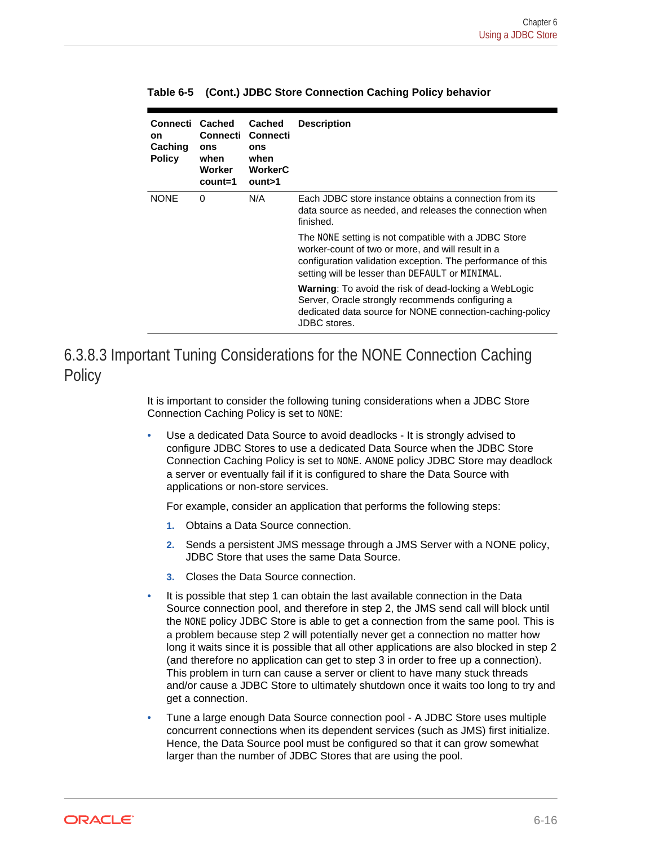| Connecti<br>on<br>Caching<br><b>Policy</b> | <b>Cached</b><br>Connecti<br>ons<br>when<br>Worker<br>count=1 | Cached<br>Connecti<br>ons<br>when<br><b>WorkerC</b><br>$_{\text{ount}>1}$ | <b>Description</b>                                                                                                                                                                                                          |
|--------------------------------------------|---------------------------------------------------------------|---------------------------------------------------------------------------|-----------------------------------------------------------------------------------------------------------------------------------------------------------------------------------------------------------------------------|
| <b>NONE</b>                                | 0                                                             | N/A                                                                       | Each JDBC store instance obtains a connection from its<br>data source as needed, and releases the connection when<br>finished.                                                                                              |
|                                            |                                                               |                                                                           | The NONE setting is not compatible with a JDBC Store<br>worker-count of two or more, and will result in a<br>configuration validation exception. The performance of this<br>setting will be lesser than DEFAULT or MINIMAL. |
|                                            |                                                               |                                                                           | <b>Warning:</b> To avoid the risk of dead-locking a WebLogic<br>Server, Oracle strongly recommends configuring a<br>dedicated data source for NONE connection-caching-policy<br>JDBC stores.                                |

<span id="page-43-0"></span>**Table 6-5 (Cont.) JDBC Store Connection Caching Policy behavior**

#### 6.3.8.3 Important Tuning Considerations for the NONE Connection Caching **Policy**

It is important to consider the following tuning considerations when a JDBC Store Connection Caching Policy is set to NONE:

Use a dedicated Data Source to avoid deadlocks - It is strongly advised to configure JDBC Stores to use a dedicated Data Source when the JDBC Store Connection Caching Policy is set to NONE. ANONE policy JDBC Store may deadlock a server or eventually fail if it is configured to share the Data Source with applications or non-store services.

For example, consider an application that performs the following steps:

- **1.** Obtains a Data Source connection.
- **2.** Sends a persistent JMS message through a JMS Server with a NONE policy, JDBC Store that uses the same Data Source.
- **3.** Closes the Data Source connection.
- It is possible that step 1 can obtain the last available connection in the Data Source connection pool, and therefore in step 2, the JMS send call will block until the NONE policy JDBC Store is able to get a connection from the same pool. This is a problem because step 2 will potentially never get a connection no matter how long it waits since it is possible that all other applications are also blocked in step 2 (and therefore no application can get to step 3 in order to free up a connection). This problem in turn can cause a server or client to have many stuck threads and/or cause a JDBC Store to ultimately shutdown once it waits too long to try and get a connection.
- Tune a large enough Data Source connection pool A JDBC Store uses multiple concurrent connections when its dependent services (such as JMS) first initialize. Hence, the Data Source pool must be configured so that it can grow somewhat larger than the number of JDBC Stores that are using the pool.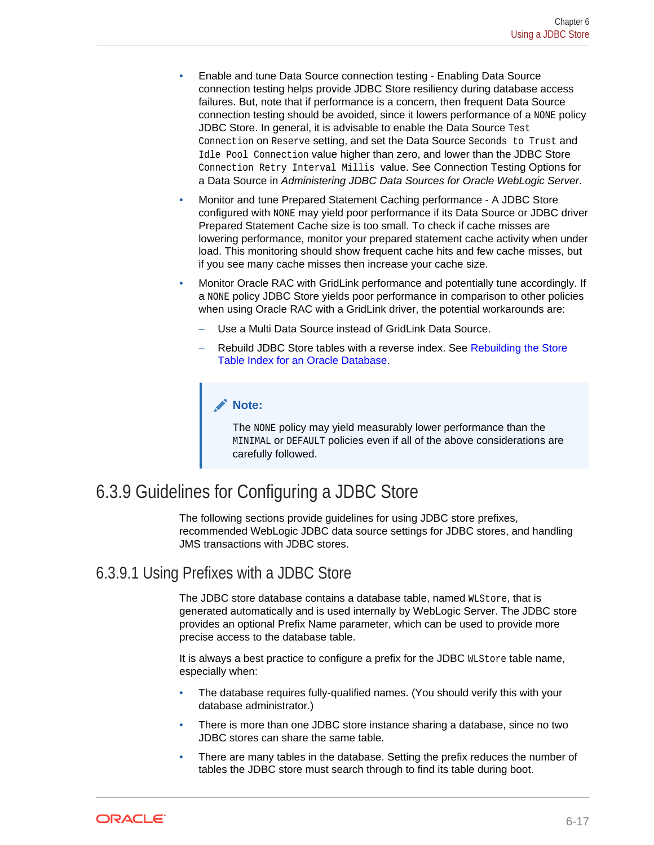- <span id="page-44-0"></span>• Enable and tune Data Source connection testing - Enabling Data Source connection testing helps provide JDBC Store resiliency during database access failures. But, note that if performance is a concern, then frequent Data Source connection testing should be avoided, since it lowers performance of a NONE policy JDBC Store. In general, it is advisable to enable the Data Source Test Connection on Reserve setting, and set the Data Source Seconds to Trust and Idle Pool Connection value higher than zero, and lower than the JDBC Store Connection Retry Interval Millis value. See Connection Testing Options for a Data Source in *Administering JDBC Data Sources for Oracle WebLogic Server*.
- Monitor and tune Prepared Statement Caching performance A JDBC Store configured with NONE may yield poor performance if its Data Source or JDBC driver Prepared Statement Cache size is too small. To check if cache misses are lowering performance, monitor your prepared statement cache activity when under load. This monitoring should show frequent cache hits and few cache misses, but if you see many cache misses then increase your cache size.
- Monitor Oracle RAC with GridLink performance and potentially tune accordingly. If a NONE policy JDBC Store yields poor performance in comparison to other policies when using Oracle RAC with a GridLink driver, the potential workarounds are:
	- Use a Multi Data Source instead of GridLink Data Source.
	- Rebuild JDBC Store tables with a reverse index. See [Rebuilding the Store](#page-47-0) [Table Index for an Oracle Database](#page-47-0).

#### **Note:**

The NONE policy may yield measurably lower performance than the MINIMAL or DEFAULT policies even if all of the above considerations are carefully followed.

## 6.3.9 Guidelines for Configuring a JDBC Store

The following sections provide guidelines for using JDBC store prefixes, recommended WebLogic JDBC data source settings for JDBC stores, and handling JMS transactions with JDBC stores.

#### 6.3.9.1 Using Prefixes with a JDBC Store

The JDBC store database contains a database table, named WLStore, that is generated automatically and is used internally by WebLogic Server. The JDBC store provides an optional Prefix Name parameter, which can be used to provide more precise access to the database table.

It is always a best practice to configure a prefix for the JDBC WLStore table name, especially when:

- The database requires fully-qualified names. (You should verify this with your database administrator.)
- There is more than one JDBC store instance sharing a database, since no two JDBC stores can share the same table.
- There are many tables in the database. Setting the prefix reduces the number of tables the JDBC store must search through to find its table during boot.

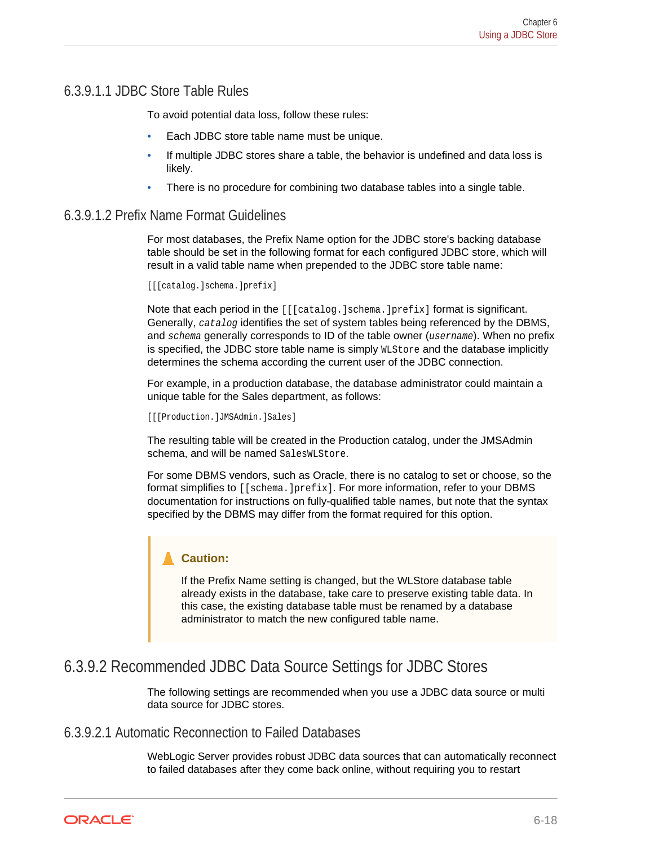#### <span id="page-45-0"></span>6.3.9.1.1 JDBC Store Table Rules

To avoid potential data loss, follow these rules:

- Each JDBC store table name must be unique.
- If multiple JDBC stores share a table, the behavior is undefined and data loss is likely.
- There is no procedure for combining two database tables into a single table.

#### 6.3.9.1.2 Prefix Name Format Guidelines

For most databases, the Prefix Name option for the JDBC store's backing database table should be set in the following format for each configured JDBC store, which will result in a valid table name when prepended to the JDBC store table name:

[[[catalog.]schema.]prefix]

Note that each period in the [[[catalog.]schema.]prefix] format is significant. Generally, catalog identifies the set of system tables being referenced by the DBMS, and schema generally corresponds to ID of the table owner (username). When no prefix is specified, the JDBC store table name is simply WLStore and the database implicitly determines the schema according the current user of the JDBC connection.

For example, in a production database, the database administrator could maintain a unique table for the Sales department, as follows:

[[[Production.]JMSAdmin.]Sales]

The resulting table will be created in the Production catalog, under the JMSAdmin schema, and will be named SalesWLStore.

For some DBMS vendors, such as Oracle, there is no catalog to set or choose, so the format simplifies to [[schema.]prefix]. For more information, refer to your DBMS documentation for instructions on fully-qualified table names, but note that the syntax specified by the DBMS may differ from the format required for this option.

#### **Caution:**

If the Prefix Name setting is changed, but the WLStore database table already exists in the database, take care to preserve existing table data. In this case, the existing database table must be renamed by a database administrator to match the new configured table name.

#### 6.3.9.2 Recommended JDBC Data Source Settings for JDBC Stores

The following settings are recommended when you use a JDBC data source or multi data source for JDBC stores.

#### 6.3.9.2.1 Automatic Reconnection to Failed Databases

WebLogic Server provides robust JDBC data sources that can automatically reconnect to failed databases after they come back online, without requiring you to restart

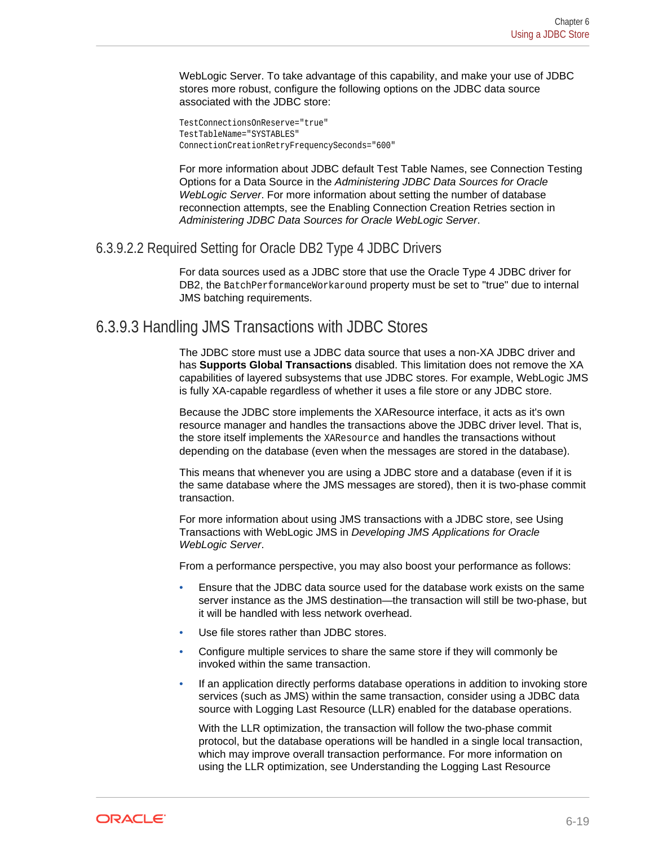<span id="page-46-0"></span>WebLogic Server. To take advantage of this capability, and make your use of JDBC stores more robust, configure the following options on the JDBC data source associated with the JDBC store:

TestConnectionsOnReserve="true" TestTableName="SYSTABLES" ConnectionCreationRetryFrequencySeconds="600"

For more information about JDBC default Test Table Names, see Connection Testing Options for a Data Source in the *Administering JDBC Data Sources for Oracle WebLogic Server*. For more information about setting the number of database reconnection attempts, see the Enabling Connection Creation Retries section in *Administering JDBC Data Sources for Oracle WebLogic Server*.

#### 6.3.9.2.2 Required Setting for Oracle DB2 Type 4 JDBC Drivers

For data sources used as a JDBC store that use the Oracle Type 4 JDBC driver for DB2, the BatchPerformanceWorkaround property must be set to "true" due to internal JMS batching requirements.

#### 6.3.9.3 Handling JMS Transactions with JDBC Stores

The JDBC store must use a JDBC data source that uses a non-XA JDBC driver and has **Supports Global Transactions** disabled. This limitation does not remove the XA capabilities of layered subsystems that use JDBC stores. For example, WebLogic JMS is fully XA-capable regardless of whether it uses a file store or any JDBC store.

Because the JDBC store implements the XAResource interface, it acts as it's own resource manager and handles the transactions above the JDBC driver level. That is, the store itself implements the XAResource and handles the transactions without depending on the database (even when the messages are stored in the database).

This means that whenever you are using a JDBC store and a database (even if it is the same database where the JMS messages are stored), then it is two-phase commit transaction.

For more information about using JMS transactions with a JDBC store, see Using Transactions with WebLogic JMS in *Developing JMS Applications for Oracle WebLogic Server*.

From a performance perspective, you may also boost your performance as follows:

- Ensure that the JDBC data source used for the database work exists on the same server instance as the JMS destination—the transaction will still be two-phase, but it will be handled with less network overhead.
- Use file stores rather than JDBC stores.
- Configure multiple services to share the same store if they will commonly be invoked within the same transaction.
- If an application directly performs database operations in addition to invoking store services (such as JMS) within the same transaction, consider using a JDBC data source with Logging Last Resource (LLR) enabled for the database operations.

With the LLR optimization, the transaction will follow the two-phase commit protocol, but the database operations will be handled in a single local transaction, which may improve overall transaction performance. For more information on using the LLR optimization, see Understanding the Logging Last Resource

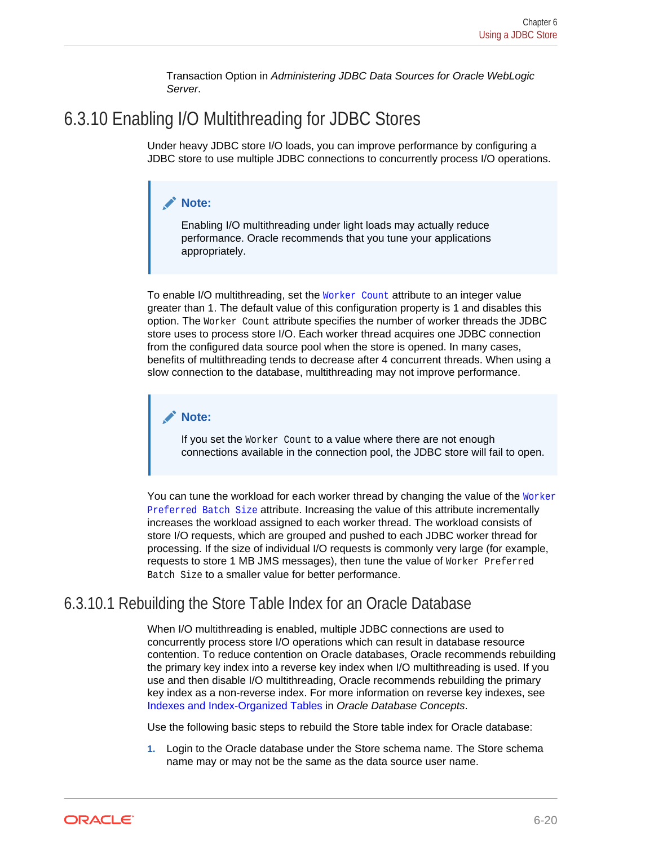Transaction Option in *Administering JDBC Data Sources for Oracle WebLogic Server*.

## <span id="page-47-0"></span>6.3.10 Enabling I/O Multithreading for JDBC Stores

Under heavy JDBC store I/O loads, you can improve performance by configuring a JDBC store to use multiple JDBC connections to concurrently process I/O operations.

#### **Note:**

Enabling I/O multithreading under light loads may actually reduce performance. Oracle recommends that you tune your applications appropriately.

To enable I/O multithreading, set the Worker Count attribute to an integer value greater than 1. The default value of this configuration property is 1 and disables this option. The Worker Count attribute specifies the number of worker threads the JDBC store uses to process store I/O. Each worker thread acquires one JDBC connection from the configured data source pool when the store is opened. In many cases, benefits of multithreading tends to decrease after 4 concurrent threads. When using a slow connection to the database, multithreading may not improve performance.

#### **Note:**

If you set the Worker Count to a value where there are not enough connections available in the connection pool, the JDBC store will fail to open.

You can tune the workload for each worker thread by changing the value of the Worker Preferred Batch Size attribute. Increasing the value of this attribute incrementally increases the workload assigned to each worker thread. The workload consists of store I/O requests, which are grouped and pushed to each JDBC worker thread for processing. If the size of individual I/O requests is commonly very large (for example, requests to store 1 MB JMS messages), then tune the value of Worker Preferred Batch Size to a smaller value for better performance.

#### 6.3.10.1 Rebuilding the Store Table Index for an Oracle Database

When I/O multithreading is enabled, multiple JDBC connections are used to concurrently process store I/O operations which can result in database resource contention. To reduce contention on Oracle databases, Oracle recommends rebuilding the primary key index into a reverse key index when I/O multithreading is used. If you use and then disable I/O multithreading, Oracle recommends rebuilding the primary key index as a non-reverse index. For more information on reverse key indexes, see [Indexes and Index-Organized Tables](http://docs.oracle.com/cd/E11882_01/server.112/e40540/indexiot.htm#CNCPT721) in *Oracle Database Concepts*.

Use the following basic steps to rebuild the Store table index for Oracle database:

**1.** Login to the Oracle database under the Store schema name. The Store schema name may or may not be the same as the data source user name.

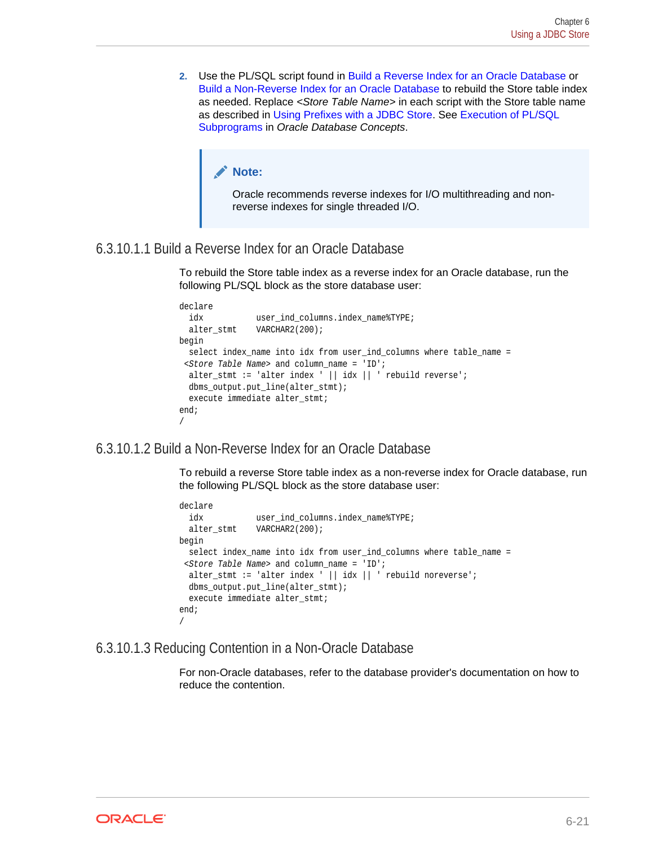**2.** Use the PL/SQL script found in Build a Reverse Index for an Oracle Database or Build a Non-Reverse Index for an Oracle Database to rebuild the Store table index as needed. Replace *<Store Table Name>* in each script with the Store table name as described in [Using Prefixes with a JDBC Store.](#page-44-0) See [Execution of PL/SQL](http://docs.oracle.com/database/121/CNCPT/srvrside.htm#CNCPT036) [Subprograms](http://docs.oracle.com/database/121/CNCPT/srvrside.htm#CNCPT036) in *Oracle Database Concepts*.

#### **Note:**

Oracle recommends reverse indexes for I/O multithreading and nonreverse indexes for single threaded I/O.

#### 6.3.10.1.1 Build a Reverse Index for an Oracle Database

To rebuild the Store table index as a reverse index for an Oracle database, run the following PL/SQL block as the store database user:

```
declare
  idx user_ind_columns.index_name%TYPE;
  alter_stmt VARCHAR2(200);
begin
 select index name into idx from user_ind_columns where table_name =
<Store Table Name> and column_name = 'ID';
  alter_stmt := 'alter index ' || idx || ' rebuild reverse';
  dbms_output.put_line(alter_stmt);
  execute immediate alter_stmt;
end;
/
```
#### 6.3.10.1.2 Build a Non-Reverse Index for an Oracle Database

To rebuild a reverse Store table index as a non-reverse index for Oracle database, run the following PL/SQL block as the store database user:

```
declare
  idx user_ind_columns.index_name%TYPE;
  alter_stmt VARCHAR2(200);
begin
  select index_name into idx from user_ind_columns where table_name =
 s < Store Table Name> and column name = 'ID';
 alter_stmt := 'alter index ' || idx || ' rebuild noreverse';
  dbms_output.put_line(alter_stmt);
  execute immediate alter_stmt;
end;
/
```
#### 6.3.10.1.3 Reducing Contention in a Non-Oracle Database

For non-Oracle databases, refer to the database provider's documentation on how to reduce the contention.

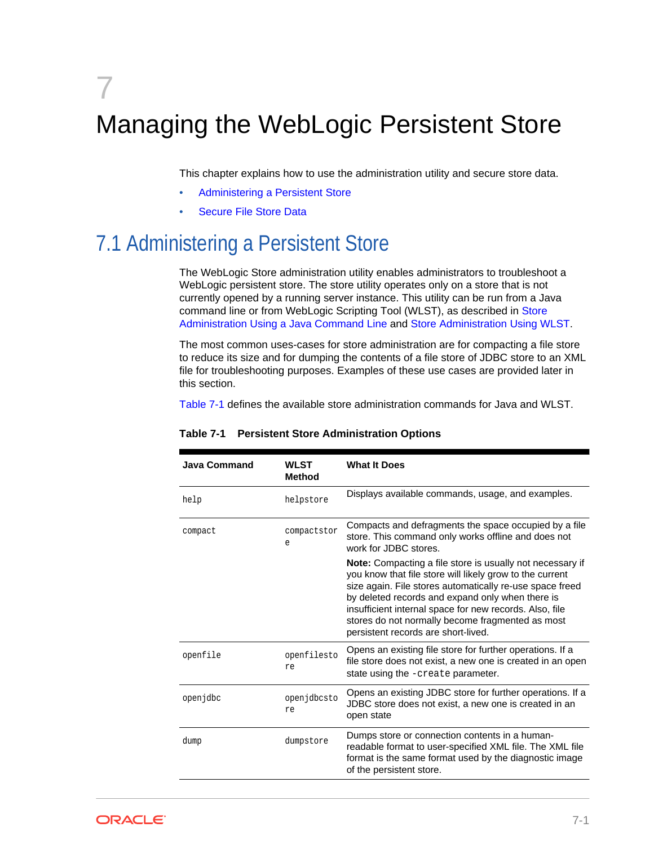# <span id="page-49-0"></span>7 Managing the WebLogic Persistent Store

This chapter explains how to use the administration utility and secure store data.

- Administering a Persistent Store
- [Secure File Store Data](#page-53-0)

# 7.1 Administering a Persistent Store

The WebLogic Store administration utility enables administrators to troubleshoot a WebLogic persistent store. The store utility operates only on a store that is not currently opened by a running server instance. This utility can be run from a Java command line or from WebLogic Scripting Tool (WLST), as described in [Store](#page-50-0) [Administration Using a Java Command Line](#page-50-0) and [Store Administration Using WLST.](#page-51-0)

The most common uses-cases for store administration are for compacting a file store to reduce its size and for dumping the contents of a file store of JDBC store to an XML file for troubleshooting purposes. Examples of these use cases are provided later in this section.

Table 7-1 defines the available store administration commands for Java and WLST.

| <b>Java Command</b> | <b>WLST</b><br><b>Method</b> | <b>What It Does</b>                                                                                                                                                                                                                                                                                                                                                                                |
|---------------------|------------------------------|----------------------------------------------------------------------------------------------------------------------------------------------------------------------------------------------------------------------------------------------------------------------------------------------------------------------------------------------------------------------------------------------------|
| help                | helpstore                    | Displays available commands, usage, and examples.                                                                                                                                                                                                                                                                                                                                                  |
| compact             | compactstor<br>e             | Compacts and defragments the space occupied by a file<br>store. This command only works offline and does not<br>work for JDBC stores.                                                                                                                                                                                                                                                              |
|                     |                              | <b>Note:</b> Compacting a file store is usually not necessary if<br>you know that file store will likely grow to the current<br>size again. File stores automatically re-use space freed<br>by deleted records and expand only when there is<br>insufficient internal space for new records. Also, file<br>stores do not normally become fragmented as most<br>persistent records are short-lived. |
| openfile            | openfilesto<br>re            | Opens an existing file store for further operations. If a<br>file store does not exist, a new one is created in an open<br>state using the -create parameter.                                                                                                                                                                                                                                      |
| openjdbc            | openjdbcsto<br>re            | Opens an existing JDBC store for further operations. If a<br>JDBC store does not exist, a new one is created in an<br>open state                                                                                                                                                                                                                                                                   |
| dump                | dumpstore                    | Dumps store or connection contents in a human-<br>readable format to user-specified XML file. The XML file<br>format is the same format used by the diagnostic image<br>of the persistent store.                                                                                                                                                                                                   |

#### **Table 7-1 Persistent Store Administration Options**

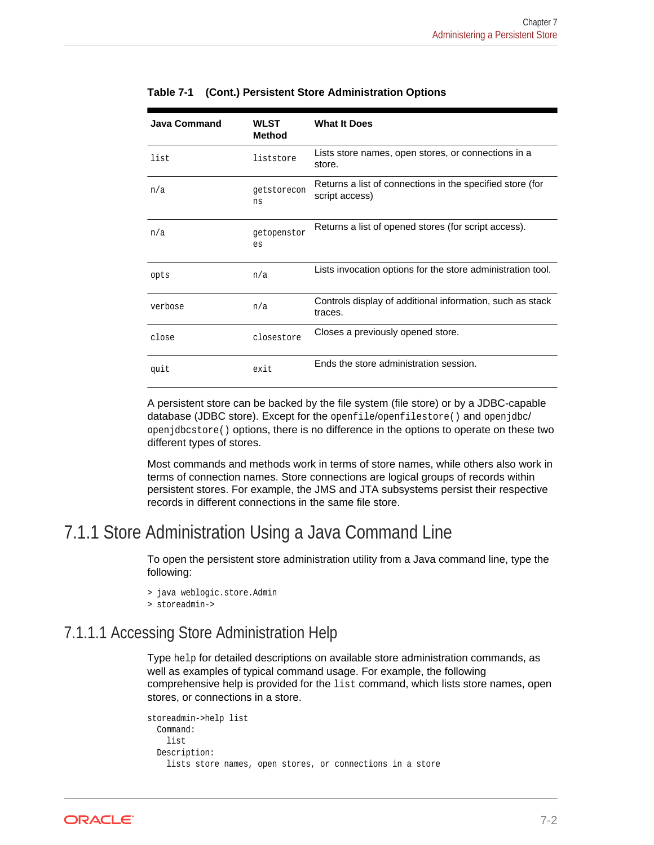| <b>Java Command</b> | <b>WLST</b><br><b>Method</b> | <b>What It Does</b>                                                         |
|---------------------|------------------------------|-----------------------------------------------------------------------------|
| list                | liststore                    | Lists store names, open stores, or connections in a<br>store.               |
| n/a                 | getstorecon<br>ns            | Returns a list of connections in the specified store (for<br>script access) |
| n/a                 | getopenstor<br>es            | Returns a list of opened stores (for script access).                        |
| opts                | n/a                          | Lists invocation options for the store administration tool.                 |
| verbose             | n/a                          | Controls display of additional information, such as stack<br>traces.        |
| close               | closestore                   | Closes a previously opened store.                                           |
| quit                | exit                         | Ends the store administration session.                                      |

<span id="page-50-0"></span>**Table 7-1 (Cont.) Persistent Store Administration Options**

A persistent store can be backed by the file system (file store) or by a JDBC-capable database (JDBC store). Except for the openfile/openfilestore() and openjdbc/ openjdbcstore() options, there is no difference in the options to operate on these two different types of stores.

Most commands and methods work in terms of store names, while others also work in terms of connection names. Store connections are logical groups of records within persistent stores. For example, the JMS and JTA subsystems persist their respective records in different connections in the same file store.

### 7.1.1 Store Administration Using a Java Command Line

To open the persistent store administration utility from a Java command line, type the following:

```
> java weblogic.store.Admin
```
> storeadmin->

### 7.1.1.1 Accessing Store Administration Help

Type help for detailed descriptions on available store administration commands, as well as examples of typical command usage. For example, the following comprehensive help is provided for the list command, which lists store names, open stores, or connections in a store.

```
storeadmin->help list
   Command:
     list
  Description:
     lists store names, open stores, or connections in a store
```
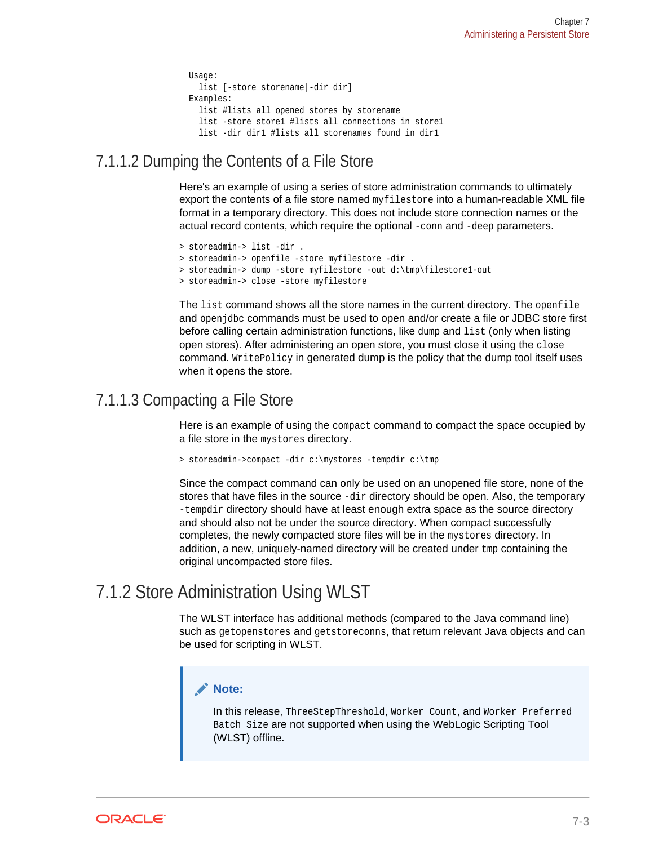```
 Usage:
  list [-store storename|-dir dir]
 Examples:
  list #lists all opened stores by storename
   list -store store1 #lists all connections in store1
   list -dir dir1 #lists all storenames found in dir1
```
### <span id="page-51-0"></span>7.1.1.2 Dumping the Contents of a File Store

Here's an example of using a series of store administration commands to ultimately export the contents of a file store named myfilestore into a human-readable XML file format in a temporary directory. This does not include store connection names or the actual record contents, which require the optional -conn and -deep parameters.

```
> storeadmin-> list -dir .
```

```
> storeadmin-> openfile -store myfilestore -dir .
```

```
> storeadmin-> dump -store myfilestore -out d:\tmp\filestore1-out
```

```
> storeadmin-> close -store myfilestore
```
The list command shows all the store names in the current directory. The openfile and openjdbc commands must be used to open and/or create a file or JDBC store first before calling certain administration functions, like dump and list (only when listing open stores). After administering an open store, you must close it using the close command. WritePolicy in generated dump is the policy that the dump tool itself uses when it opens the store.

#### 7.1.1.3 Compacting a File Store

Here is an example of using the compact command to compact the space occupied by a file store in the mystores directory.

> storeadmin->compact -dir c:\mystores -tempdir c:\tmp

Since the compact command can only be used on an unopened file store, none of the stores that have files in the source -dir directory should be open. Also, the temporary -tempdir directory should have at least enough extra space as the source directory and should also not be under the source directory. When compact successfully completes, the newly compacted store files will be in the mystores directory. In addition, a new, uniquely-named directory will be created under tmp containing the original uncompacted store files.

## 7.1.2 Store Administration Using WLST

The WLST interface has additional methods (compared to the Java command line) such as getopenstores and getstoreconns, that return relevant Java objects and can be used for scripting in WLST.

#### **Note:**

In this release, ThreeStepThreshold, Worker Count, and Worker Preferred Batch Size are not supported when using the WebLogic Scripting Tool (WLST) offline.

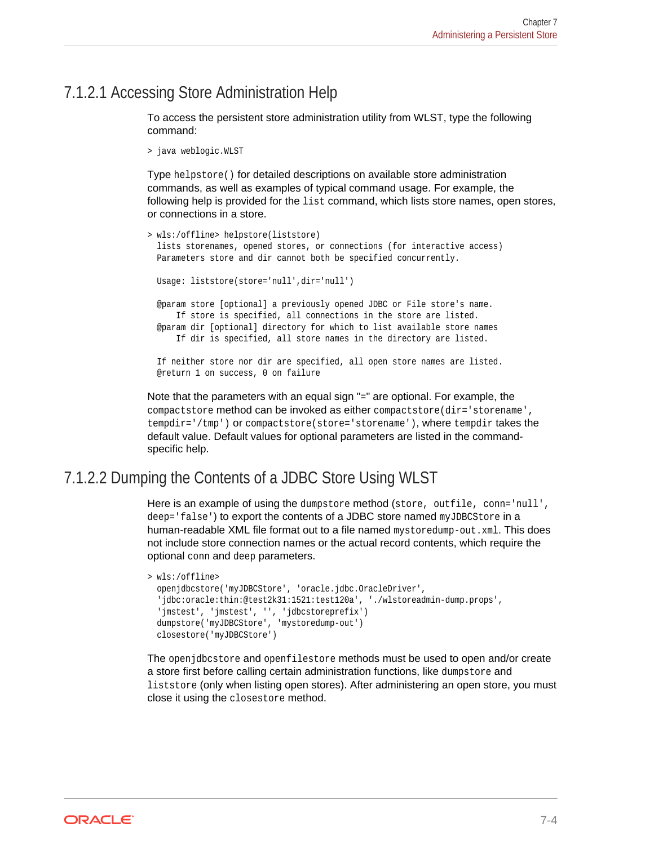#### <span id="page-52-0"></span>7.1.2.1 Accessing Store Administration Help

To access the persistent store administration utility from WLST, type the following command:

```
> java weblogic.WLST
```
Type helpstore() for detailed descriptions on available store administration commands, as well as examples of typical command usage. For example, the following help is provided for the list command, which lists store names, open stores, or connections in a store.

```
> wls:/offline> helpstore(liststore)
  lists storenames, opened stores, or connections (for interactive access)
  Parameters store and dir cannot both be specified concurrently.
  Usage: liststore(store='null',dir='null')
   @param store [optional] a previously opened JDBC or File store's name.
      If store is specified, all connections in the store are listed.
   @param dir [optional] directory for which to list available store names
      If dir is specified, all store names in the directory are listed.
   If neither store nor dir are specified, all open store names are listed.
  @return 1 on success, 0 on failure
```
Note that the parameters with an equal sign "=" are optional. For example, the compactstore method can be invoked as either compactstore(dir='storename', tempdir='/tmp') or compactstore(store='storename'), where tempdir takes the default value. Default values for optional parameters are listed in the commandspecific help.

#### 7.1.2.2 Dumping the Contents of a JDBC Store Using WLST

Here is an example of using the dumpstore method (store, outfile, conn='null', deep='false') to export the contents of a JDBC store named myJDBCStore in a human-readable XML file format out to a file named mystoredump-out.xml. This does not include store connection names or the actual record contents, which require the optional conn and deep parameters.

```
> wls:/offline>
  openjdbcstore('myJDBCStore', 'oracle.jdbc.OracleDriver',
   'jdbc:oracle:thin:@test2k31:1521:test120a', './wlstoreadmin-dump.props',
   'jmstest', 'jmstest', '', 'jdbcstoreprefix')
  dumpstore('myJDBCStore', 'mystoredump-out')
  closestore('myJDBCStore')
```
The openjdbcstore and openfilestore methods must be used to open and/or create a store first before calling certain administration functions, like dumpstore and liststore (only when listing open stores). After administering an open store, you must close it using the closestore method.

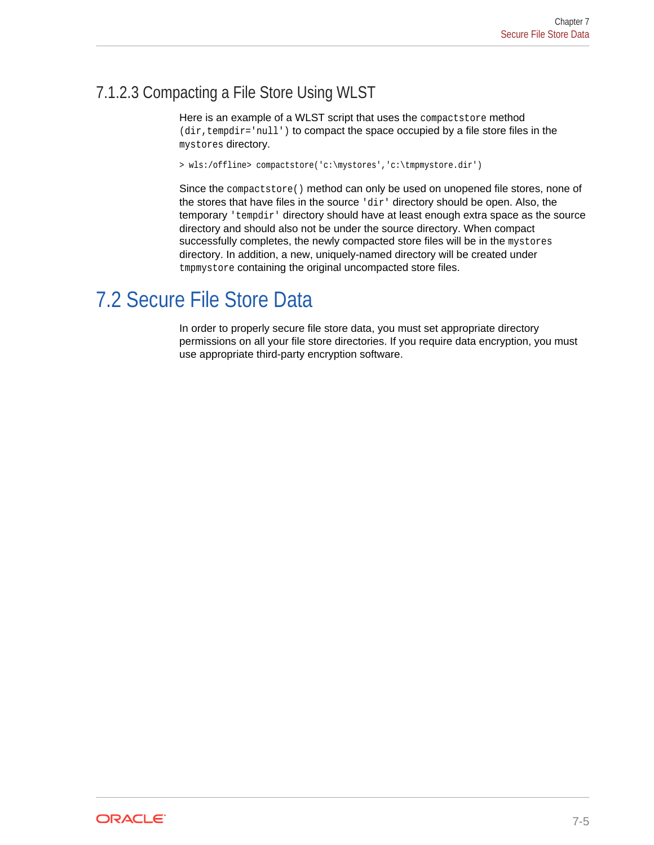## <span id="page-53-0"></span>7.1.2.3 Compacting a File Store Using WLST

Here is an example of a WLST script that uses the compactstore method (dir, tempdir='null') to compact the space occupied by a file store files in the mystores directory.

> wls:/offline> compactstore('c:\mystores','c:\tmpmystore.dir')

Since the compactstore() method can only be used on unopened file stores, none of the stores that have files in the source  $\langle \text{dir} \rangle$  directory should be open. Also, the  $temporary$  'tempdir' directory should have at least enough extra space as the source directory and should also not be under the source directory. When compact successfully completes, the newly compacted store files will be in the mystores directory. In addition, a new, uniquely-named directory will be created under tmpmystore containing the original uncompacted store files.

# 7.2 Secure File Store Data

In order to properly secure file store data, you must set appropriate directory permissions on all your file store directories. If you require data encryption, you must use appropriate third-party encryption software.

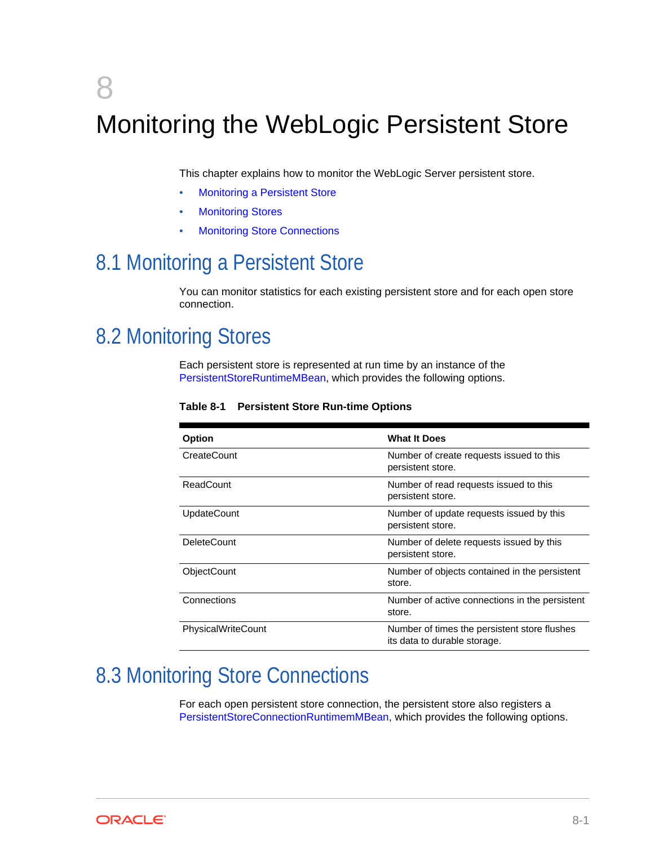# <span id="page-54-0"></span>8 Monitoring the WebLogic Persistent Store

This chapter explains how to monitor the WebLogic Server persistent store.

- **Monitoring a Persistent Store**
- **Monitoring Stores**
- **Monitoring Store Connections**

# 8.1 Monitoring a Persistent Store

You can monitor statistics for each existing persistent store and for each open store connection.

# 8.2 Monitoring Stores

Each persistent store is represented at run time by an instance of the PersistentStoreRuntimeMBean, which provides the following options.

| Option             | <b>What It Does</b>                                                          |
|--------------------|------------------------------------------------------------------------------|
| CreateCount        | Number of create requests issued to this<br>persistent store.                |
| ReadCount          | Number of read requests issued to this<br>persistent store.                  |
| <b>UpdateCount</b> | Number of update requests issued by this<br>persistent store.                |
| <b>DeleteCount</b> | Number of delete requests issued by this<br>persistent store.                |
| ObjectCount        | Number of objects contained in the persistent<br>store.                      |
| Connections        | Number of active connections in the persistent<br>store.                     |
| PhysicalWriteCount | Number of times the persistent store flushes<br>its data to durable storage. |

**Table 8-1 Persistent Store Run-time Options**

# 8.3 Monitoring Store Connections

For each open persistent store connection, the persistent store also registers a PersistentStoreConnectionRuntimemMBean, which provides the following options.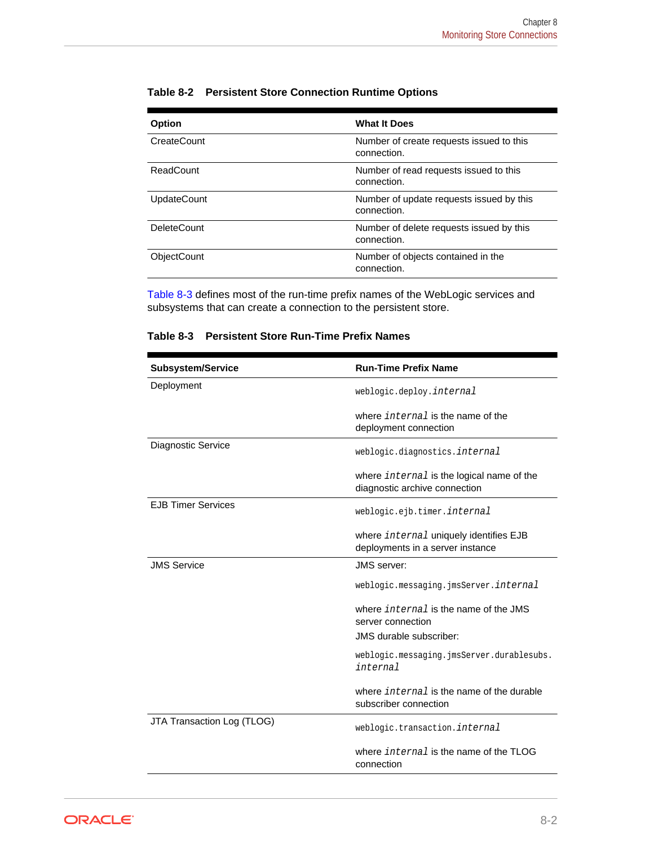| Table 8-2 Persistent Store Connection Runtime Options |
|-------------------------------------------------------|
|                                                       |

| Option             | <b>What It Does</b>                                     |
|--------------------|---------------------------------------------------------|
| CreateCount        | Number of create requests issued to this<br>connection. |
| ReadCount          | Number of read requests issued to this<br>connection.   |
| <b>UpdateCount</b> | Number of update requests issued by this<br>connection. |
| <b>DeleteCount</b> | Number of delete requests issued by this<br>connection. |
| ObjectCount        | Number of objects contained in the<br>connection.       |

Table 8-3 defines most of the run-time prefix names of the WebLogic services and subsystems that can create a connection to the persistent store.

| Table 8-3 Persistent Store Run-Time Prefix Names |  |  |
|--------------------------------------------------|--|--|
|--------------------------------------------------|--|--|

| <b>Subsystem/Service</b>   | <b>Run-Time Prefix Name</b>                                                       |
|----------------------------|-----------------------------------------------------------------------------------|
| Deployment                 | weblogic.deploy.internal                                                          |
|                            | where <i>internal</i> is the name of the<br>deployment connection                 |
| Diagnostic Service         | weblogic.diagnostics.internal                                                     |
|                            | where <i>internal</i> is the logical name of the<br>diagnostic archive connection |
| <b>EJB Timer Services</b>  | weblogic.ejb.timer.internal                                                       |
|                            | where internal uniquely identifies EJB<br>deployments in a server instance        |
| <b>JMS Service</b>         | JMS server:                                                                       |
|                            | weblogic.messaging.jmsServer. <i>internal</i>                                     |
|                            | where <i>internal</i> is the name of the JMS<br>server connection                 |
|                            | JMS durable subscriber:                                                           |
|                            | weblogic.messaging.jmsServer.durablesubs.<br>internal                             |
|                            | where <i>internal</i> is the name of the durable<br>subscriber connection         |
| JTA Transaction Log (TLOG) | weblogic.transaction.internal                                                     |
|                            | where <i>internal</i> is the name of the TLOG<br>connection                       |